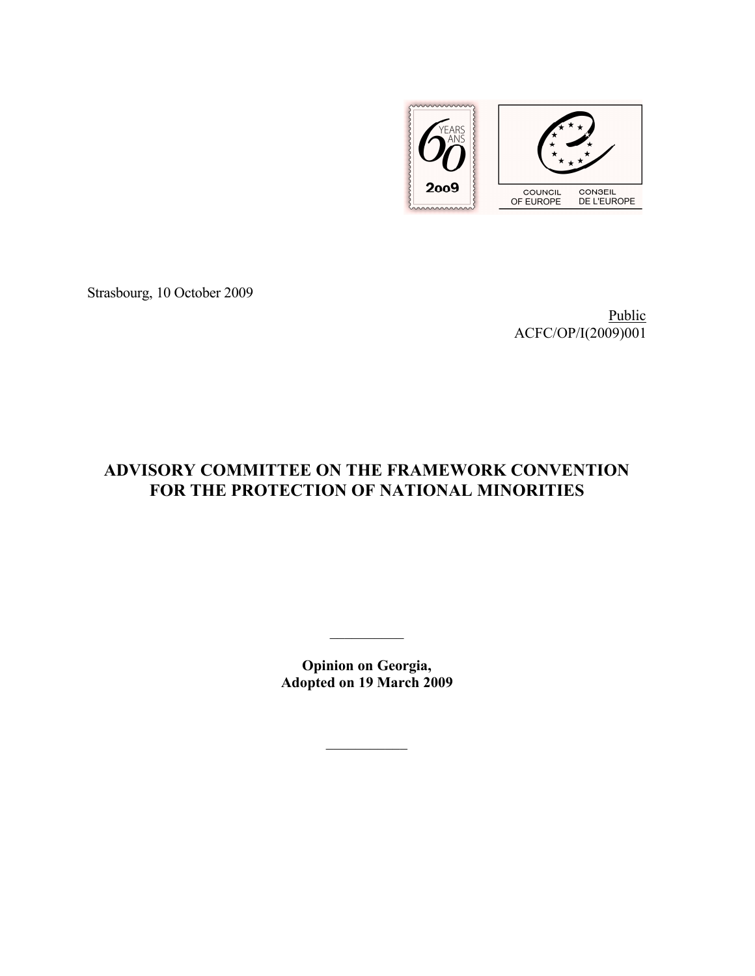

Strasbourg, 10 October 2009

Public ACFC/OP/I(2009)001

# **ADVISORY COMMITTEE ON THE FRAMEWORK CONVENTION FOR THE PROTECTION OF NATIONAL MINORITIES**

**Opinion on Georgia, Adopted on 19 March 2009**

 $\mathcal{L}_\text{max}$ 

 $\mathcal{L}_\text{max}$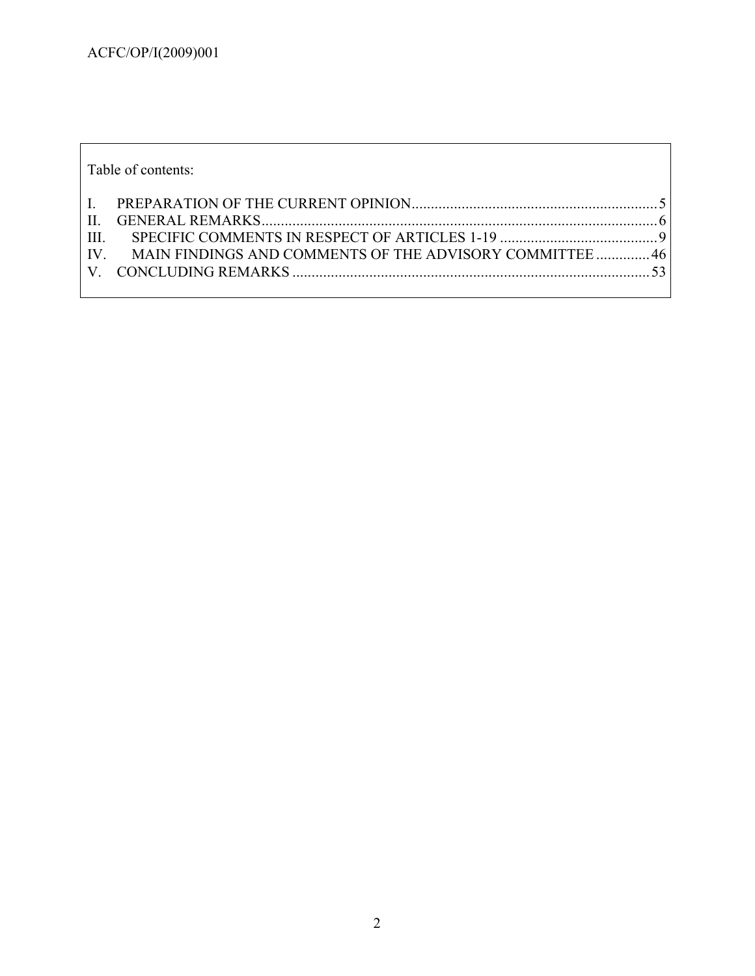| Table of contents: |                                                             |  |
|--------------------|-------------------------------------------------------------|--|
|                    |                                                             |  |
| III.               |                                                             |  |
|                    | IV. MAIN FINDINGS AND COMMENTS OF THE ADVISORY COMMITTEE 46 |  |
|                    |                                                             |  |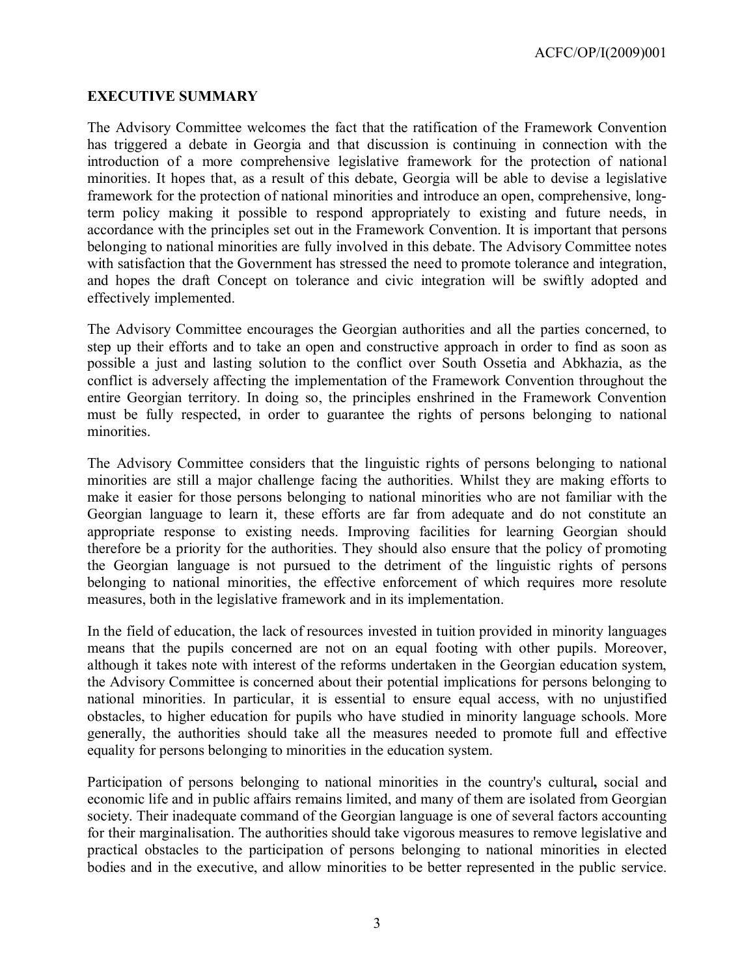ACFC/OP/I(2009)001

#### **EXECUTIVE SUMMARY**

The Advisory Committee welcomes the fact that the ratification of the Framework Convention has triggered a debate in Georgia and that discussion is continuing in connection with the introduction of a more comprehensive legislative framework for the protection of national minorities. It hopes that, as a result of this debate, Georgia will be able to devise a legislative framework for the protection of national minorities and introduce an open, comprehensive, longterm policy making it possible to respond appropriately to existing and future needs, in accordance with the principles set out in the Framework Convention. It is important that persons belonging to national minorities are fully involved in this debate. The Advisory Committee notes with satisfaction that the Government has stressed the need to promote tolerance and integration, and hopes the draft Concept on tolerance and civic integration will be swiftly adopted and effectively implemented.

The Advisory Committee encourages the Georgian authorities and all the parties concerned, to step up their efforts and to take an open and constructive approach in order to find as soon as possible a just and lasting solution to the conflict over South Ossetia and Abkhazia, as the conflict is adversely affecting the implementation of the Framework Convention throughout the entire Georgian territory. In doing so, the principles enshrined in the Framework Convention must be fully respected, in order to guarantee the rights of persons belonging to national minorities.

The Advisory Committee considers that the linguistic rights of persons belonging to national minorities are still a major challenge facing the authorities. Whilst they are making efforts to make it easier for those persons belonging to national minorities who are not familiar with the Georgian language to learn it, these efforts are far from adequate and do not constitute an appropriate response to existing needs. Improving facilities for learning Georgian should therefore be a priority for the authorities. They should also ensure that the policy of promoting the Georgian language is not pursued to the detriment of the linguistic rights of persons belonging to national minorities, the effective enforcement of which requires more resolute measures, both in the legislative framework and in its implementation.

In the field of education, the lack of resources invested in tuition provided in minority languages means that the pupils concerned are not on an equal footing with other pupils. Moreover, although it takes note with interest of the reforms undertaken in the Georgian education system, the Advisory Committee is concerned about their potential implications for persons belonging to national minorities. In particular, it is essential to ensure equal access, with no unjustified obstacles, to higher education for pupils who have studied in minority language schools. More generally, the authorities should take all the measures needed to promote full and effective equality for persons belonging to minorities in the education system.

Participation of persons belonging to national minorities in the country's cultural**,** social and economic life and in public affairs remains limited, and many of them are isolated from Georgian society. Their inadequate command of the Georgian language is one of several factors accounting for their marginalisation. The authorities should take vigorous measures to remove legislative and practical obstacles to the participation of persons belonging to national minorities in elected bodies and in the executive, and allow minorities to be better represented in the public service.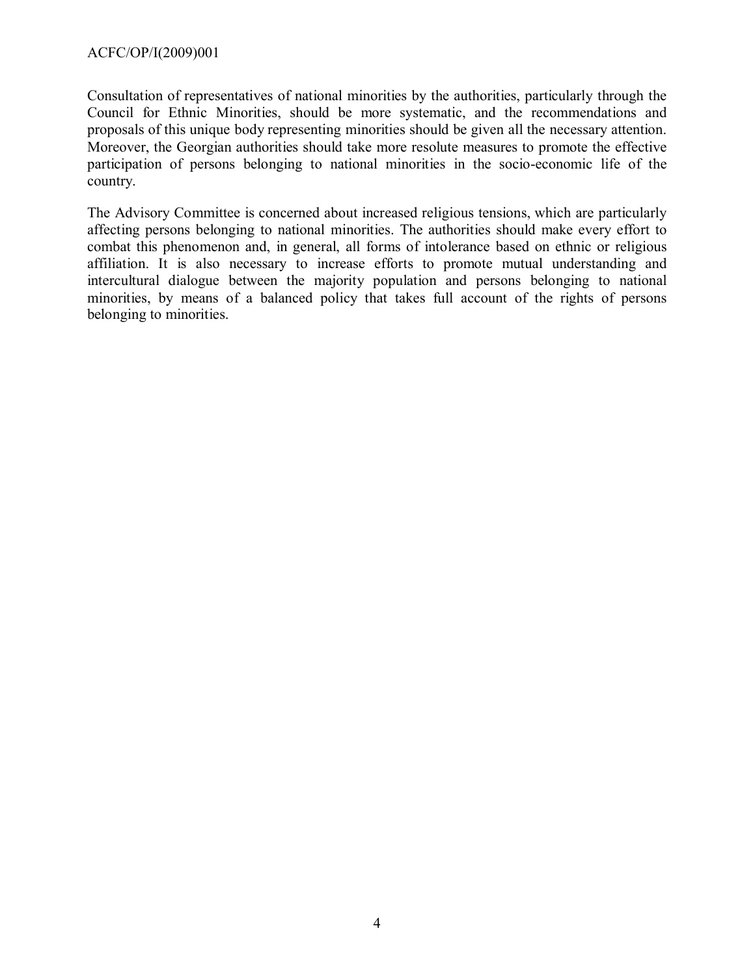Consultation of representatives of national minorities by the authorities, particularly through the Council for Ethnic Minorities, should be more systematic, and the recommendations and proposals of this unique body representing minorities should be given all the necessary attention. Moreover, the Georgian authorities should take more resolute measures to promote the effective participation of persons belonging to national minorities in the socio-economic life of the country.

The Advisory Committee is concerned about increased religious tensions, which are particularly affecting persons belonging to national minorities. The authorities should make every effort to combat this phenomenon and, in general, all forms of intolerance based on ethnic or religious affiliation. It is also necessary to increase efforts to promote mutual understanding and intercultural dialogue between the majority population and persons belonging to national minorities, by means of a balanced policy that takes full account of the rights of persons belonging to minorities.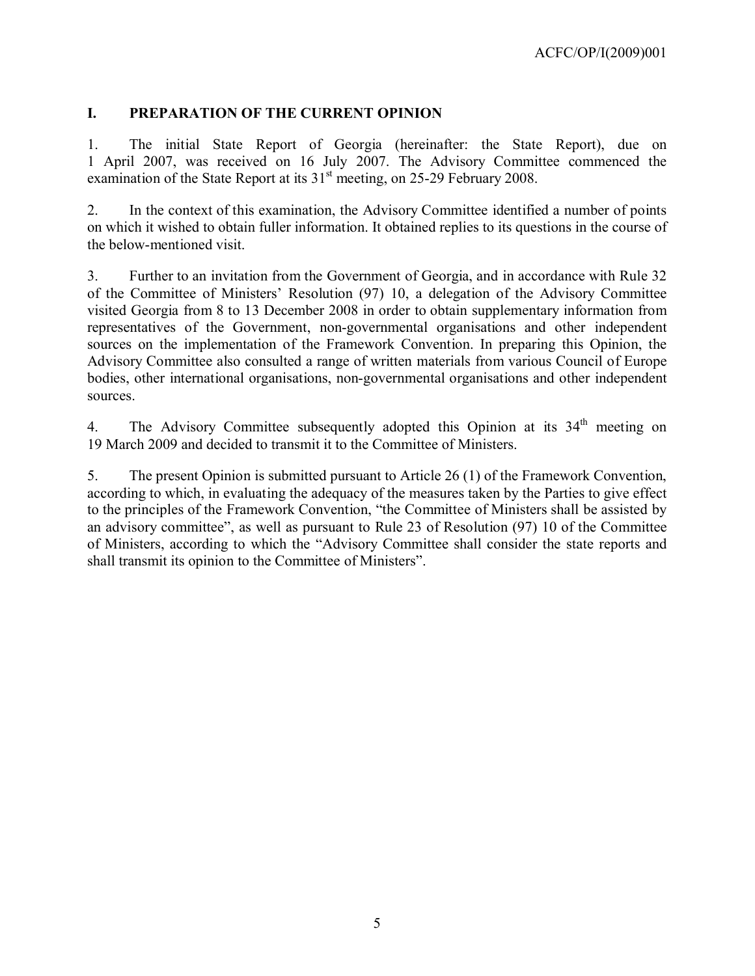## <span id="page-4-0"></span>**I. PREPARATION OF THE CURRENT OPINION**

1. The initial State Report of Georgia (hereinafter: the State Report), due on 1 April 2007, was received on 16 July 2007. The Advisory Committee commenced the examination of the State Report at its  $31<sup>st</sup>$  meeting, on 25-29 February 2008.

2. In the context of this examination, the Advisory Committee identified a number of points on which it wished to obtain fuller information. It obtained replies to its questions in the course of the below-mentioned visit.

3. Further to an invitation from the Government of Georgia, and in accordance with Rule 32 of the Committee of Ministers' Resolution (97) 10, a delegation of the Advisory Committee visited Georgia from 8 to 13 December 2008 in order to obtain supplementary information from representatives of the Government, non-governmental organisations and other independent sources on the implementation of the Framework Convention. In preparing this Opinion, the Advisory Committee also consulted a range of written materials from various Council of Europe bodies, other international organisations, non-governmental organisations and other independent sources.

4. The Advisory Committee subsequently adopted this Opinion at its 34<sup>th</sup> meeting on 19 March 2009 and decided to transmit it to the Committee of Ministers.

5. The present Opinion is submitted pursuant to Article 26 (1) of the Framework Convention, according to which, in evaluating the adequacy of the measures taken by the Parties to give effect to the principles of the Framework Convention, "the Committee of Ministers shall be assisted by an advisory committee", as well as pursuant to Rule 23 of Resolution (97) 10 of the Committee of Ministers, according to which the "Advisory Committee shall consider the state reports and shall transmit its opinion to the Committee of Ministers".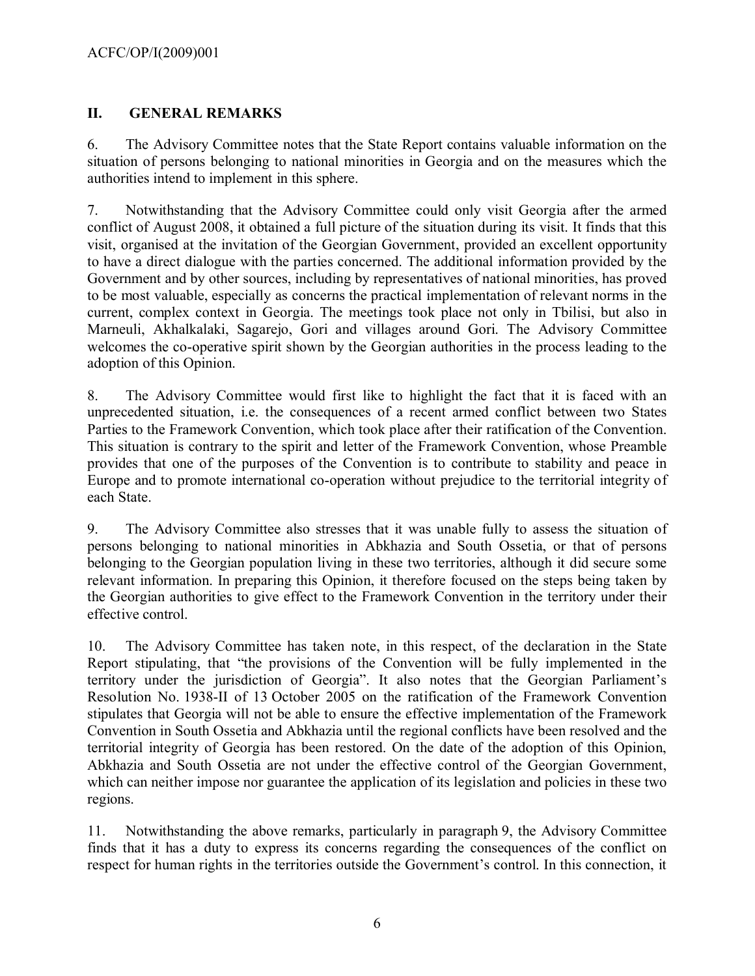## <span id="page-5-0"></span>**II. GENERAL REMARKS**

6. The Advisory Committee notes that the State Report contains valuable information on the situation of persons belonging to national minorities in Georgia and on the measures which the authorities intend to implement in this sphere.

7. Notwithstanding that the Advisory Committee could only visit Georgia after the armed conflict of August 2008, it obtained a full picture of the situation during its visit. It finds that this visit, organised at the invitation of the Georgian Government, provided an excellent opportunity to have a direct dialogue with the parties concerned. The additional information provided by the Government and by other sources, including by representatives of national minorities, has proved to be most valuable, especially as concerns the practical implementation of relevant norms in the current, complex context in Georgia. The meetings took place not only in Tbilisi, but also in Marneuli, Akhalkalaki, Sagarejo, Gori and villages around Gori. The Advisory Committee welcomes the co-operative spirit shown by the Georgian authorities in the process leading to the adoption of this Opinion.

8. The Advisory Committee would first like to highlight the fact that it is faced with an unprecedented situation, i.e. the consequences of a recent armed conflict between two States Parties to the Framework Convention, which took place after their ratification of the Convention. This situation is contrary to the spirit and letter of the Framework Convention, whose Preamble provides that one of the purposes of the Convention is to contribute to stability and peace in Europe and to promote international co-operation without prejudice to the territorial integrity of each State.

9. The Advisory Committee also stresses that it was unable fully to assess the situation of persons belonging to national minorities in Abkhazia and South Ossetia, or that of persons belonging to the Georgian population living in these two territories, although it did secure some relevant information. In preparing this Opinion, it therefore focused on the steps being taken by the Georgian authorities to give effect to the Framework Convention in the territory under their effective control.

10. The Advisory Committee has taken note, in this respect, of the declaration in the State Report stipulating, that "the provisions of the Convention will be fully implemented in the territory under the jurisdiction of Georgia". It also notes that the Georgian Parliament's Resolution No. 1938-II of 13 October 2005 on the ratification of the Framework Convention stipulates that Georgia will not be able to ensure the effective implementation of the Framework Convention in South Ossetia and Abkhazia until the regional conflicts have been resolved and the territorial integrity of Georgia has been restored. On the date of the adoption of this Opinion, Abkhazia and South Ossetia are not under the effective control of the Georgian Government, which can neither impose nor guarantee the application of its legislation and policies in these two regions.

11. Notwithstanding the above remarks, particularly in paragraph 9, the Advisory Committee finds that it has a duty to express its concerns regarding the consequences of the conflict on respect for human rights in the territories outside the Government's control. In this connection, it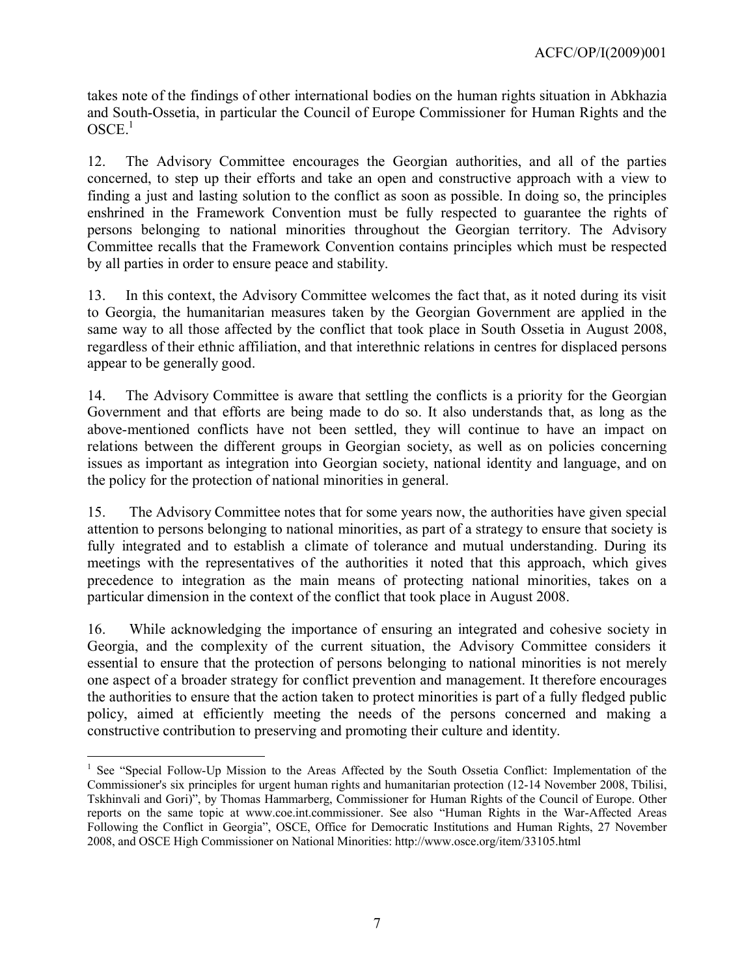takes note of the findings of other international bodies on the human rights situation in Abkhazia and South-Ossetia, in particular the Council of Europe Commissioner for Human Rights and the OSCE. [1](#page-6-0)

12. The Advisory Committee encourages the Georgian authorities, and all of the parties concerned, to step up their efforts and take an open and constructive approach with a view to finding a just and lasting solution to the conflict as soon as possible. In doing so, the principles enshrined in the Framework Convention must be fully respected to guarantee the rights of persons belonging to national minorities throughout the Georgian territory. The Advisory Committee recalls that the Framework Convention contains principles which must be respected by all parties in order to ensure peace and stability.

13. In this context, the Advisory Committee welcomes the fact that, as it noted during its visit to Georgia, the humanitarian measures taken by the Georgian Government are applied in the same way to all those affected by the conflict that took place in South Ossetia in August 2008, regardless of their ethnic affiliation, and that interethnic relations in centres for displaced persons appear to be generally good.

14. The Advisory Committee is aware that settling the conflicts is a priority for the Georgian Government and that efforts are being made to do so. It also understands that, as long as the above-mentioned conflicts have not been settled, they will continue to have an impact on relations between the different groups in Georgian society, as well as on policies concerning issues as important as integration into Georgian society, national identity and language, and on the policy for the protection of national minorities in general.

15. The Advisory Committee notes that for some years now, the authorities have given special attention to persons belonging to national minorities, as part of a strategy to ensure that society is fully integrated and to establish a climate of tolerance and mutual understanding. During its meetings with the representatives of the authorities it noted that this approach, which gives precedence to integration as the main means of protecting national minorities, takes on a particular dimension in the context of the conflict that took place in August 2008.

16. While acknowledging the importance of ensuring an integrated and cohesive society in Georgia, and the complexity of the current situation, the Advisory Committee considers it essential to ensure that the protection of persons belonging to national minorities is not merely one aspect of a broader strategy for conflict prevention and management. It therefore encourages the authorities to ensure that the action taken to protect minorities is part of a fully fledged public policy, aimed at efficiently meeting the needs of the persons concerned and making a constructive contribution to preserving and promoting their culture and identity.

 $\overline{a}$ 

<span id="page-6-0"></span><sup>&</sup>lt;sup>1</sup> See "Special Follow-Up Mission to the Areas Affected by the South Ossetia Conflict: Implementation of the Commissioner's six principles for urgent human rights and humanitarian protection (12-14 November 2008, Tbilisi, Tskhinvali and Gori)", by Thomas Hammarberg, Commissioner for Human Rights of the Council of Europe. Other reports on the same topic at [www.coe.int.commissioner.](http://www.coe.int.commissioner/) See also "Human Rights in the War-Affected Areas Following the Conflict in Georgia", OSCE, Office for Democratic Institutions and Human Rights, 27 November 2008, and OSCE High Commissioner on National Minorities[: http://www.osce.org/item/33105.html](http://www.osce.org/item/33105.html)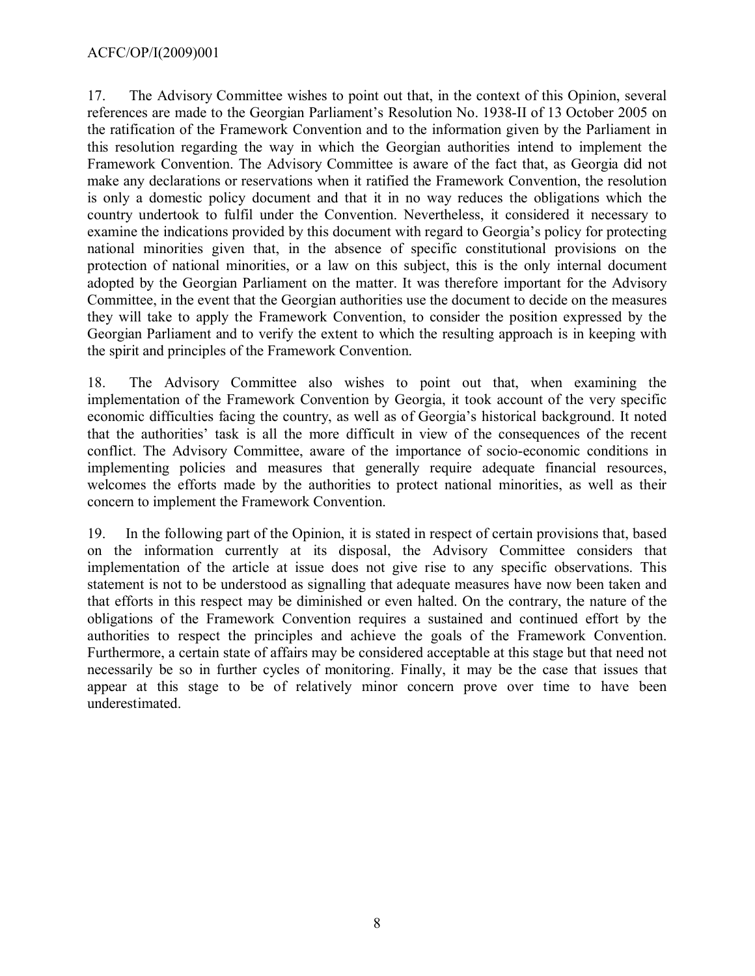#### ACFC/OP/I(2009)001

17. The Advisory Committee wishes to point out that, in the context of this Opinion, several references are made to the Georgian Parliament's Resolution No. 1938-II of 13 October 2005 on the ratification of the Framework Convention and to the information given by the Parliament in this resolution regarding the way in which the Georgian authorities intend to implement the Framework Convention. The Advisory Committee is aware of the fact that, as Georgia did not make any declarations or reservations when it ratified the Framework Convention, the resolution is only a domestic policy document and that it in no way reduces the obligations which the country undertook to fulfil under the Convention. Nevertheless, it considered it necessary to examine the indications provided by this document with regard to Georgia's policy for protecting national minorities given that, in the absence of specific constitutional provisions on the protection of national minorities, or a law on this subject, this is the only internal document adopted by the Georgian Parliament on the matter. It was therefore important for the Advisory Committee, in the event that the Georgian authorities use the document to decide on the measures they will take to apply the Framework Convention, to consider the position expressed by the Georgian Parliament and to verify the extent to which the resulting approach is in keeping with the spirit and principles of the Framework Convention.

18. The Advisory Committee also wishes to point out that, when examining the implementation of the Framework Convention by Georgia, it took account of the very specific economic difficulties facing the country, as well as of Georgia's historical background. It noted that the authorities' task is all the more difficult in view of the consequences of the recent conflict. The Advisory Committee, aware of the importance of socio-economic conditions in implementing policies and measures that generally require adequate financial resources, welcomes the efforts made by the authorities to protect national minorities, as well as their concern to implement the Framework Convention.

19. In the following part of the Opinion, it is stated in respect of certain provisions that, based on the information currently at its disposal, the Advisory Committee considers that implementation of the article at issue does not give rise to any specific observations. This statement is not to be understood as signalling that adequate measures have now been taken and that efforts in this respect may be diminished or even halted. On the contrary, the nature of the obligations of the Framework Convention requires a sustained and continued effort by the authorities to respect the principles and achieve the goals of the Framework Convention. Furthermore, a certain state of affairs may be considered acceptable at this stage but that need not necessarily be so in further cycles of monitoring. Finally, it may be the case that issues that appear at this stage to be of relatively minor concern prove over time to have been underestimated.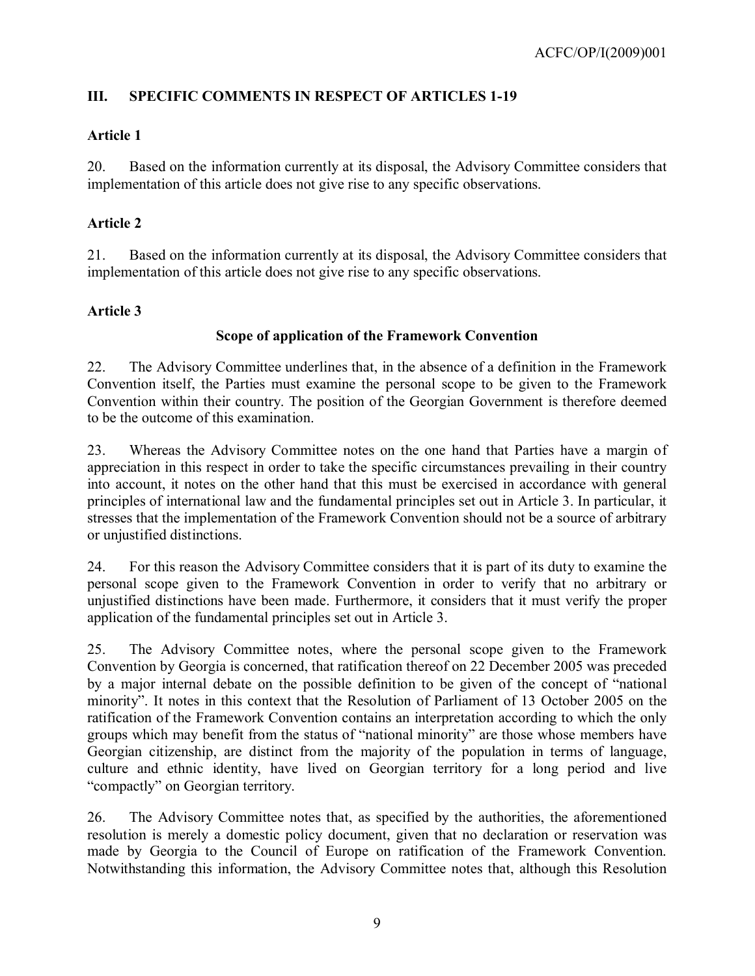## <span id="page-8-0"></span>**III. SPECIFIC COMMENTS IN RESPECT OF ARTICLES 1-19**

## **Article 1**

20. Based on the information currently at its disposal, the Advisory Committee considers that implementation of this article does not give rise to any specific observations.

## **Article 2**

21. Based on the information currently at its disposal, the Advisory Committee considers that implementation of this article does not give rise to any specific observations.

## **Article 3**

## **Scope of application of the Framework Convention**

22. The Advisory Committee underlines that, in the absence of a definition in the Framework Convention itself, the Parties must examine the personal scope to be given to the Framework Convention within their country. The position of the Georgian Government is therefore deemed to be the outcome of this examination.

23. Whereas the Advisory Committee notes on the one hand that Parties have a margin of appreciation in this respect in order to take the specific circumstances prevailing in their country into account, it notes on the other hand that this must be exercised in accordance with general principles of international law and the fundamental principles set out in Article 3. In particular, it stresses that the implementation of the Framework Convention should not be a source of arbitrary or unjustified distinctions.

24. For this reason the Advisory Committee considers that it is part of its duty to examine the personal scope given to the Framework Convention in order to verify that no arbitrary or unjustified distinctions have been made. Furthermore, it considers that it must verify the proper application of the fundamental principles set out in Article 3.

25. The Advisory Committee notes, where the personal scope given to the Framework Convention by Georgia is concerned, that ratification thereof on 22 December 2005 was preceded by a major internal debate on the possible definition to be given of the concept of "national minority". It notes in this context that the Resolution of Parliament of 13 October 2005 on the ratification of the Framework Convention contains an interpretation according to which the only groups which may benefit from the status of "national minority" are those whose members have Georgian citizenship, are distinct from the majority of the population in terms of language, culture and ethnic identity, have lived on Georgian territory for a long period and live "compactly" on Georgian territory.

26. The Advisory Committee notes that, as specified by the authorities, the aforementioned resolution is merely a domestic policy document, given that no declaration or reservation was made by Georgia to the Council of Europe on ratification of the Framework Convention. Notwithstanding this information, the Advisory Committee notes that, although this Resolution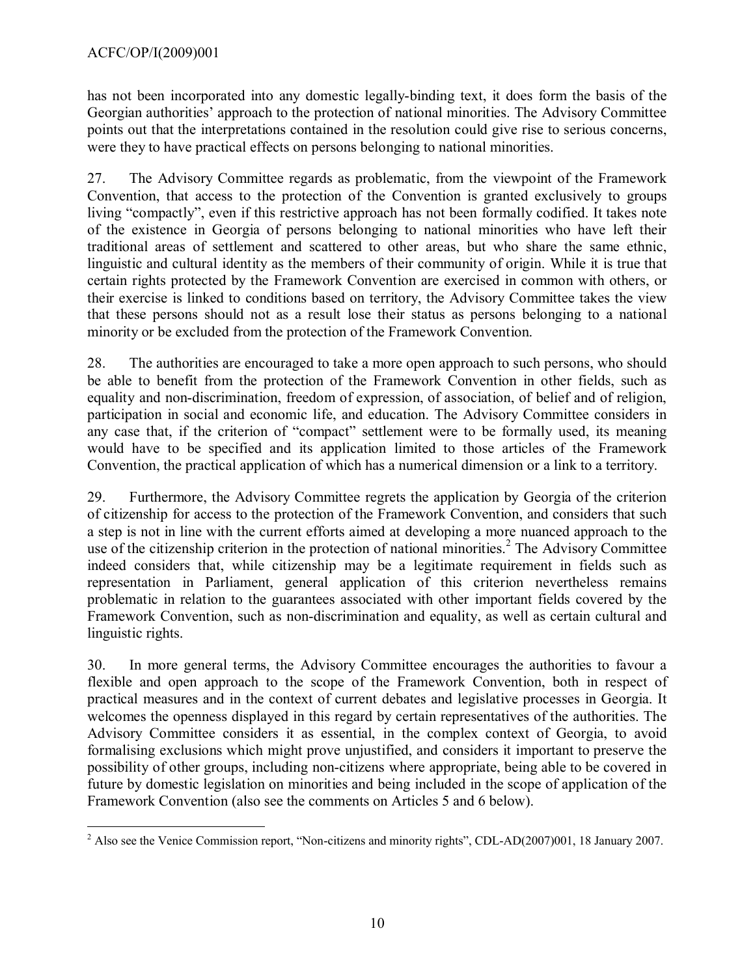has not been incorporated into any domestic legally-binding text, it does form the basis of the Georgian authorities' approach to the protection of national minorities. The Advisory Committee points out that the interpretations contained in the resolution could give rise to serious concerns, were they to have practical effects on persons belonging to national minorities.

27. The Advisory Committee regards as problematic, from the viewpoint of the Framework Convention, that access to the protection of the Convention is granted exclusively to groups living "compactly", even if this restrictive approach has not been formally codified. It takes note of the existence in Georgia of persons belonging to national minorities who have left their traditional areas of settlement and scattered to other areas, but who share the same ethnic, linguistic and cultural identity as the members of their community of origin. While it is true that certain rights protected by the Framework Convention are exercised in common with others, or their exercise is linked to conditions based on territory, the Advisory Committee takes the view that these persons should not as a result lose their status as persons belonging to a national minority or be excluded from the protection of the Framework Convention.

28. The authorities are encouraged to take a more open approach to such persons, who should be able to benefit from the protection of the Framework Convention in other fields, such as equality and non-discrimination, freedom of expression, of association, of belief and of religion, participation in social and economic life, and education. The Advisory Committee considers in any case that, if the criterion of "compact" settlement were to be formally used, its meaning would have to be specified and its application limited to those articles of the Framework Convention, the practical application of which has a numerical dimension or a link to a territory.

29. Furthermore, the Advisory Committee regrets the application by Georgia of the criterion of citizenship for access to the protection of the Framework Convention, and considers that such a step is not in line with the current efforts aimed at developing a more nuanced approach to the use of the citizenship criterion in the protection of national minorities.<sup>[2](#page-9-0)</sup> The Advisory Committee indeed considers that, while citizenship may be a legitimate requirement in fields such as representation in Parliament, general application of this criterion nevertheless remains problematic in relation to the guarantees associated with other important fields covered by the Framework Convention, such as non-discrimination and equality, as well as certain cultural and linguistic rights.

30. In more general terms, the Advisory Committee encourages the authorities to favour a flexible and open approach to the scope of the Framework Convention, both in respect of practical measures and in the context of current debates and legislative processes in Georgia. It welcomes the openness displayed in this regard by certain representatives of the authorities. The Advisory Committee considers it as essential, in the complex context of Georgia, to avoid formalising exclusions which might prove unjustified, and considers it important to preserve the possibility of other groups, including non-citizens where appropriate, being able to be covered in future by domestic legislation on minorities and being included in the scope of application of the Framework Convention (also see the comments on Articles 5 and 6 below).

<span id="page-9-0"></span> $\overline{a}$  $2$  Also see the Venice Commission report, "Non-citizens and minority rights", CDL-AD(2007)001, 18 January 2007.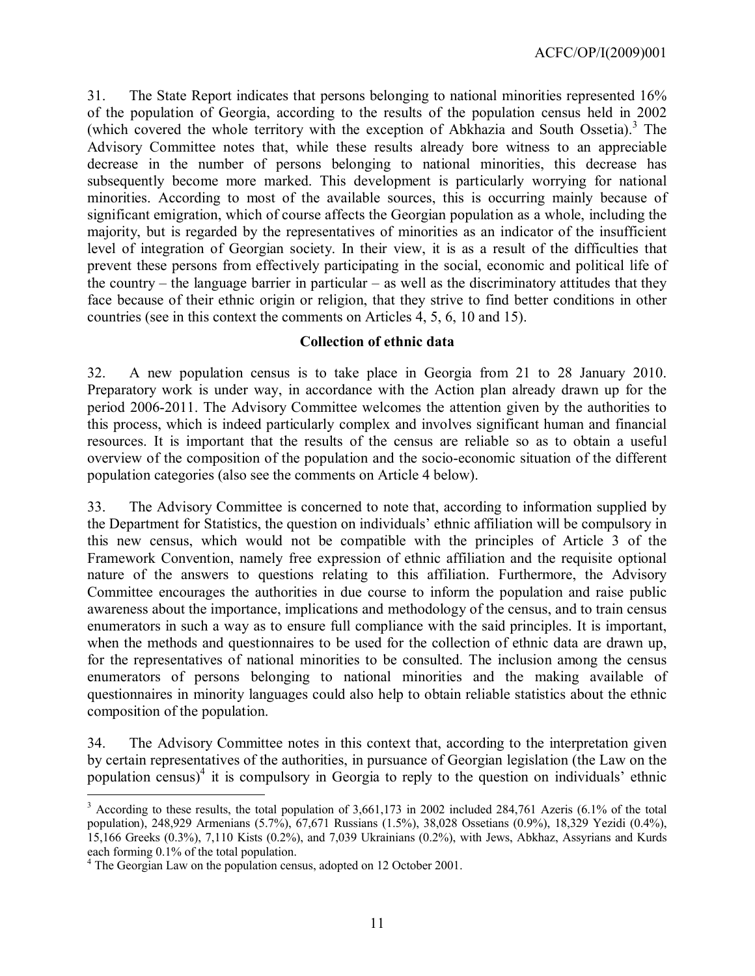31. The State Report indicates that persons belonging to national minorities represented 16% of the population of Georgia, according to the results of the population census held in 2002 (which covered the whole territory with the exception of Abkhazia and South Ossetia). [3](#page-10-0) The Advisory Committee notes that, while these results already bore witness to an appreciable decrease in the number of persons belonging to national minorities, this decrease has subsequently become more marked. This development is particularly worrying for national minorities. According to most of the available sources, this is occurring mainly because of significant emigration, which of course affects the Georgian population as a whole, including the majority, but is regarded by the representatives of minorities as an indicator of the insufficient level of integration of Georgian society. In their view, it is as a result of the difficulties that prevent these persons from effectively participating in the social, economic and political life of the country – the language barrier in particular – as well as the discriminatory attitudes that they face because of their ethnic origin or religion, that they strive to find better conditions in other countries (see in this context the comments on Articles 4, 5, 6, 10 and 15).

#### **Collection of ethnic data**

32. A new population census is to take place in Georgia from 21 to 28 January 2010. Preparatory work is under way, in accordance with the Action plan already drawn up for the period 2006-2011. The Advisory Committee welcomes the attention given by the authorities to this process, which is indeed particularly complex and involves significant human and financial resources. It is important that the results of the census are reliable so as to obtain a useful overview of the composition of the population and the socio-economic situation of the different population categories (also see the comments on Article 4 below).

33. The Advisory Committee is concerned to note that, according to information supplied by the Department for Statistics, the question on individuals' ethnic affiliation will be compulsory in this new census, which would not be compatible with the principles of Article 3 of the Framework Convention, namely free expression of ethnic affiliation and the requisite optional nature of the answers to questions relating to this affiliation. Furthermore, the Advisory Committee encourages the authorities in due course to inform the population and raise public awareness about the importance, implications and methodology of the census, and to train census enumerators in such a way as to ensure full compliance with the said principles. It is important, when the methods and questionnaires to be used for the collection of ethnic data are drawn up, for the representatives of national minorities to be consulted. The inclusion among the census enumerators of persons belonging to national minorities and the making available of questionnaires in minority languages could also help to obtain reliable statistics about the ethnic composition of the population.

34. The Advisory Committee notes in this context that, according to the interpretation given by certain representatives of the authorities, in pursuance of Georgian legislation (the Law on the population census) [4](#page-10-1) it is compulsory in Georgia to reply to the question on individuals' ethnic  $\overline{a}$ 

<span id="page-10-0"></span> $3$  According to these results, the total population of 3,661,173 in 2002 included 284,761 Azeris (6.1% of the total population), 248,929 Armenians (5.7%), 67,671 Russians (1.5%), 38,028 Ossetians (0.9%), 18,329 Yezidi (0.4%), 15,166 Greeks (0.3%), 7,110 Kists (0.2%), and 7,039 Ukrainians (0.2%), with Jews, Abkhaz, Assyrians and Kurds each forming 0.1% of the total population.

<span id="page-10-1"></span><sup>&</sup>lt;sup>4</sup> The Georgian Law on the population census, adopted on 12 October 2001.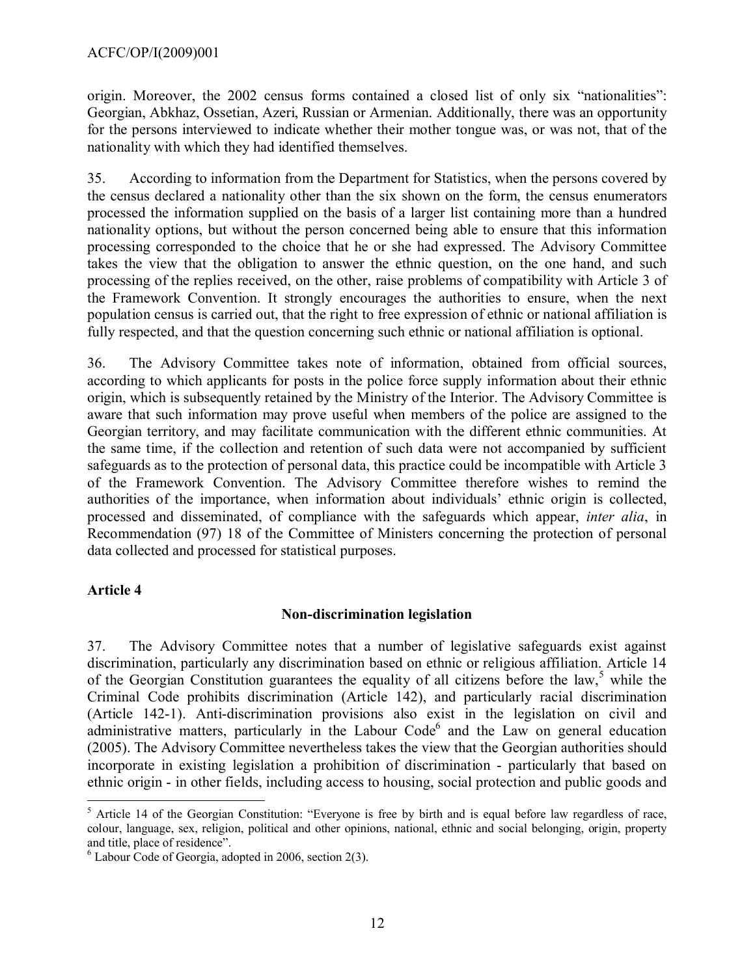#### ACFC/OP/I(2009)001

origin. Moreover, the 2002 census forms contained a closed list of only six "nationalities": Georgian, Abkhaz, Ossetian, Azeri, Russian or Armenian. Additionally, there was an opportunity for the persons interviewed to indicate whether their mother tongue was, or was not, that of the nationality with which they had identified themselves.

35. According to information from the Department for Statistics, when the persons covered by the census declared a nationality other than the six shown on the form, the census enumerators processed the information supplied on the basis of a larger list containing more than a hundred nationality options, but without the person concerned being able to ensure that this information processing corresponded to the choice that he or she had expressed. The Advisory Committee takes the view that the obligation to answer the ethnic question, on the one hand, and such processing of the replies received, on the other, raise problems of compatibility with Article 3 of the Framework Convention. It strongly encourages the authorities to ensure, when the next population census is carried out, that the right to free expression of ethnic or national affiliation is fully respected, and that the question concerning such ethnic or national affiliation is optional.

36. The Advisory Committee takes note of information, obtained from official sources, according to which applicants for posts in the police force supply information about their ethnic origin, which is subsequently retained by the Ministry of the Interior. The Advisory Committee is aware that such information may prove useful when members of the police are assigned to the Georgian territory, and may facilitate communication with the different ethnic communities. At the same time, if the collection and retention of such data were not accompanied by sufficient safeguards as to the protection of personal data, this practice could be incompatible with Article 3 of the Framework Convention. The Advisory Committee therefore wishes to remind the authorities of the importance, when information about individuals' ethnic origin is collected, processed and disseminated, of compliance with the safeguards which appear, *inter alia*, in Recommendation (97) 18 of the Committee of Ministers concerning the protection of personal data collected and processed for statistical purposes.

## **Article 4**

#### **Non-discrimination legislation**

37. The Advisory Committee notes that a number of legislative safeguards exist against discrimination, particularly any discrimination based on ethnic or religious affiliation. Article 14 of the Georgian Constitution guarantees the equality of all citizens before the law,<sup>[5](#page-11-0)</sup> while the Criminal Code prohibits discrimination (Article 142), and particularly racial discrimination (Article 142-1). Anti-discrimination provisions also exist in the legislation on civil and administrative matters, particularly in the Labour Code $<sup>6</sup>$  $<sup>6</sup>$  $<sup>6</sup>$  and the Law on general education</sup> (2005). The Advisory Committee nevertheless takes the view that the Georgian authorities should incorporate in existing legislation a prohibition of discrimination - particularly that based on ethnic origin - in other fields, including access to housing, social protection and public goods and

<span id="page-11-0"></span> $\overline{a}$  $<sup>5</sup>$  Article 14 of the Georgian Constitution: "Everyone is free by birth and is equal before law regardless of race,</sup> colour, language, sex, religion, political and other opinions, national, ethnic and social belonging, origin, property and title, place of residence".

<span id="page-11-1"></span> $6$  Labour Code of Georgia, adopted in 2006, section 2(3).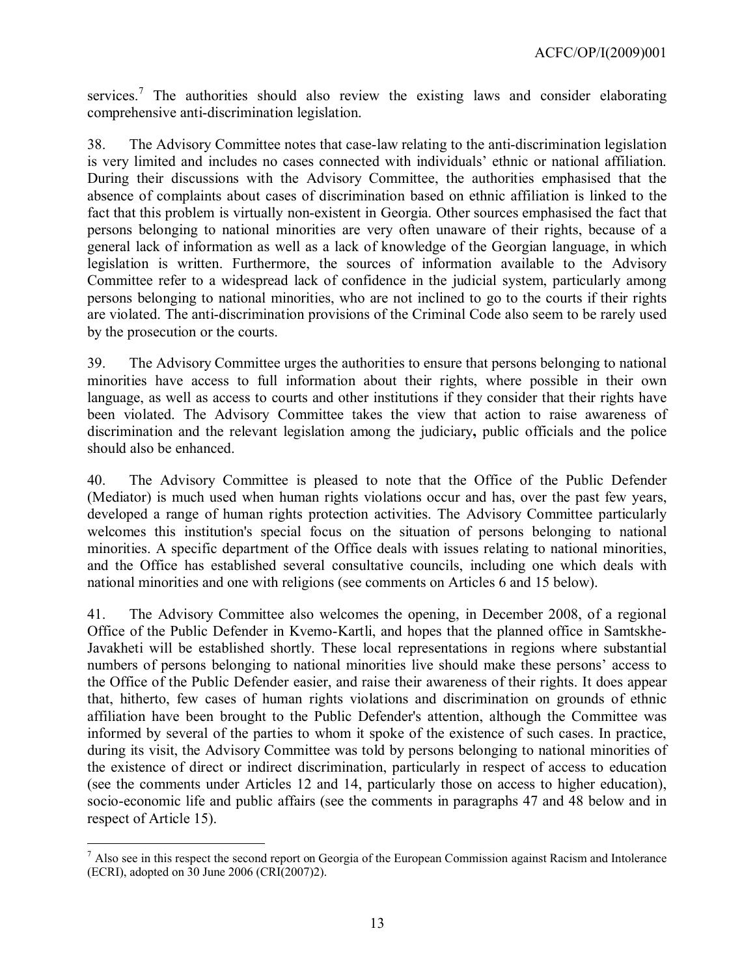services.<sup>[7](#page-12-0)</sup> The authorities should also review the existing laws and consider elaborating comprehensive anti-discrimination legislation.

38. The Advisory Committee notes that case-law relating to the anti-discrimination legislation is very limited and includes no cases connected with individuals' ethnic or national affiliation. During their discussions with the Advisory Committee, the authorities emphasised that the absence of complaints about cases of discrimination based on ethnic affiliation is linked to the fact that this problem is virtually non-existent in Georgia. Other sources emphasised the fact that persons belonging to national minorities are very often unaware of their rights, because of a general lack of information as well as a lack of knowledge of the Georgian language, in which legislation is written. Furthermore, the sources of information available to the Advisory Committee refer to a widespread lack of confidence in the judicial system, particularly among persons belonging to national minorities, who are not inclined to go to the courts if their rights are violated. The anti-discrimination provisions of the Criminal Code also seem to be rarely used by the prosecution or the courts.

39. The Advisory Committee urges the authorities to ensure that persons belonging to national minorities have access to full information about their rights, where possible in their own language, as well as access to courts and other institutions if they consider that their rights have been violated. The Advisory Committee takes the view that action to raise awareness of discrimination and the relevant legislation among the judiciary**,** public officials and the police should also be enhanced.

40. The Advisory Committee is pleased to note that the Office of the Public Defender (Mediator) is much used when human rights violations occur and has, over the past few years, developed a range of human rights protection activities. The Advisory Committee particularly welcomes this institution's special focus on the situation of persons belonging to national minorities. A specific department of the Office deals with issues relating to national minorities, and the Office has established several consultative councils, including one which deals with national minorities and one with religions (see comments on Articles 6 and 15 below).

41. The Advisory Committee also welcomes the opening, in December 2008, of a regional Office of the Public Defender in Kvemo-Kartli, and hopes that the planned office in Samtskhe-Javakheti will be established shortly. These local representations in regions where substantial numbers of persons belonging to national minorities live should make these persons' access to the Office of the Public Defender easier, and raise their awareness of their rights. It does appear that, hitherto, few cases of human rights violations and discrimination on grounds of ethnic affiliation have been brought to the Public Defender's attention, although the Committee was informed by several of the parties to whom it spoke of the existence of such cases. In practice, during its visit, the Advisory Committee was told by persons belonging to national minorities of the existence of direct or indirect discrimination, particularly in respect of access to education (see the comments under Articles 12 and 14, particularly those on access to higher education), socio-economic life and public affairs (see the comments in paragraphs 47 and 48 below and in respect of Article 15).

<span id="page-12-0"></span> $\overline{a}$  $<sup>7</sup>$  Also see in this respect the second report on Georgia of the European Commission against Racism and Intolerance</sup> (ECRI), adopted on 30 June 2006 (CRI(2007)2).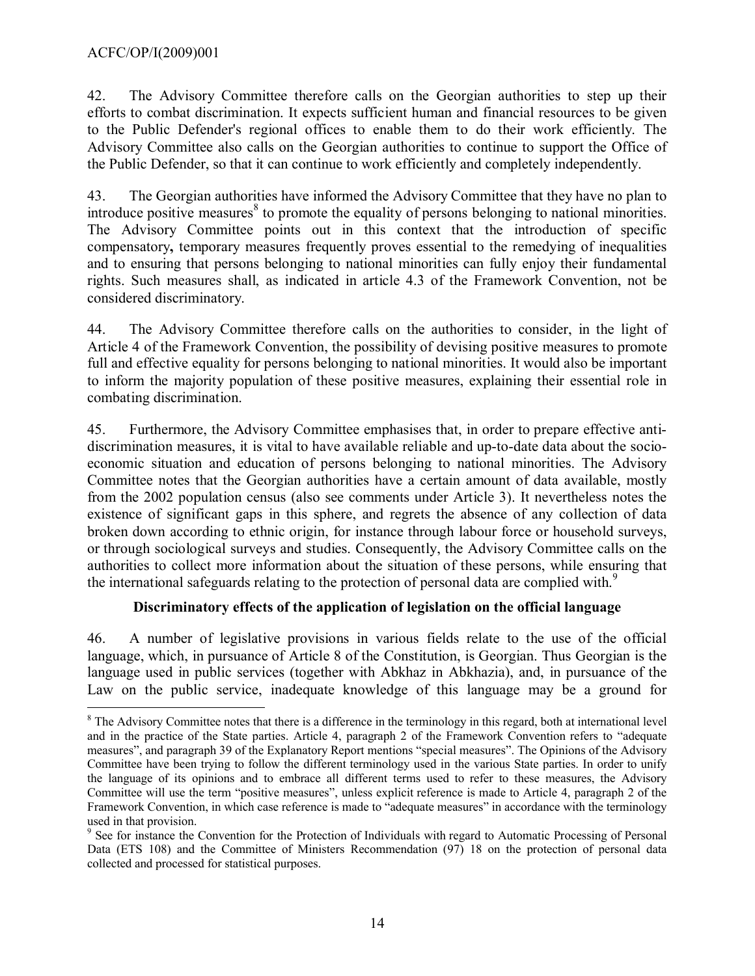#### ACFC/OP/I(2009)001

 $\overline{a}$ 

42. The Advisory Committee therefore calls on the Georgian authorities to step up their efforts to combat discrimination. It expects sufficient human and financial resources to be given to the Public Defender's regional offices to enable them to do their work efficiently. The Advisory Committee also calls on the Georgian authorities to continue to support the Office of the Public Defender, so that it can continue to work efficiently and completely independently.

43. The Georgian authorities have informed the Advisory Committee that they have no plan to introduce positive measures<sup>[8](#page-13-0)</sup> to promote the equality of persons belonging to national minorities. The Advisory Committee points out in this context that the introduction of specific compensatory**,** temporary measures frequently proves essential to the remedying of inequalities and to ensuring that persons belonging to national minorities can fully enjoy their fundamental rights. Such measures shall, as indicated in article 4.3 of the Framework Convention, not be considered discriminatory.

44. The Advisory Committee therefore calls on the authorities to consider, in the light of Article 4 of the Framework Convention, the possibility of devising positive measures to promote full and effective equality for persons belonging to national minorities. It would also be important to inform the majority population of these positive measures, explaining their essential role in combating discrimination.

45. Furthermore, the Advisory Committee emphasises that, in order to prepare effective antidiscrimination measures, it is vital to have available reliable and up-to-date data about the socioeconomic situation and education of persons belonging to national minorities. The Advisory Committee notes that the Georgian authorities have a certain amount of data available, mostly from the 2002 population census (also see comments under Article 3). It nevertheless notes the existence of significant gaps in this sphere, and regrets the absence of any collection of data broken down according to ethnic origin, for instance through labour force or household surveys, or through sociological surveys and studies. Consequently, the Advisory Committee calls on the authorities to collect more information about the situation of these persons, while ensuring that the international safeguards relating to the protection of personal data are complied with.<sup>[9](#page-13-1)</sup>

## **Discriminatory effects of the application of legislation on the official language**

46. A number of legislative provisions in various fields relate to the use of the official language, which, in pursuance of Article 8 of the Constitution, is Georgian. Thus Georgian is the language used in public services (together with Abkhaz in Abkhazia), and, in pursuance of the Law on the public service, inadequate knowledge of this language may be a ground for

<span id="page-13-0"></span> $8$  The Advisory Committee notes that there is a difference in the terminology in this regard, both at international level and in the practice of the State parties. Article 4, paragraph 2 of the Framework Convention refers to "adequate measures", and paragraph 39 of the Explanatory Report mentions "special measures". The Opinions of the Advisory Committee have been trying to follow the different terminology used in the various State parties. In order to unify the language of its opinions and to embrace all different terms used to refer to these measures, the Advisory Committee will use the term "positive measures", unless explicit reference is made to Article 4, paragraph 2 of the Framework Convention, in which case reference is made to "adequate measures" in accordance with the terminology used in that provision.

<span id="page-13-1"></span><sup>&</sup>lt;sup>9</sup> See for instance the Convention for the Protection of Individuals with regard to Automatic Processing of Personal Data (ETS 108) and the Committee of Ministers Recommendation (97) 18 on the protection of personal data collected and processed for statistical purposes.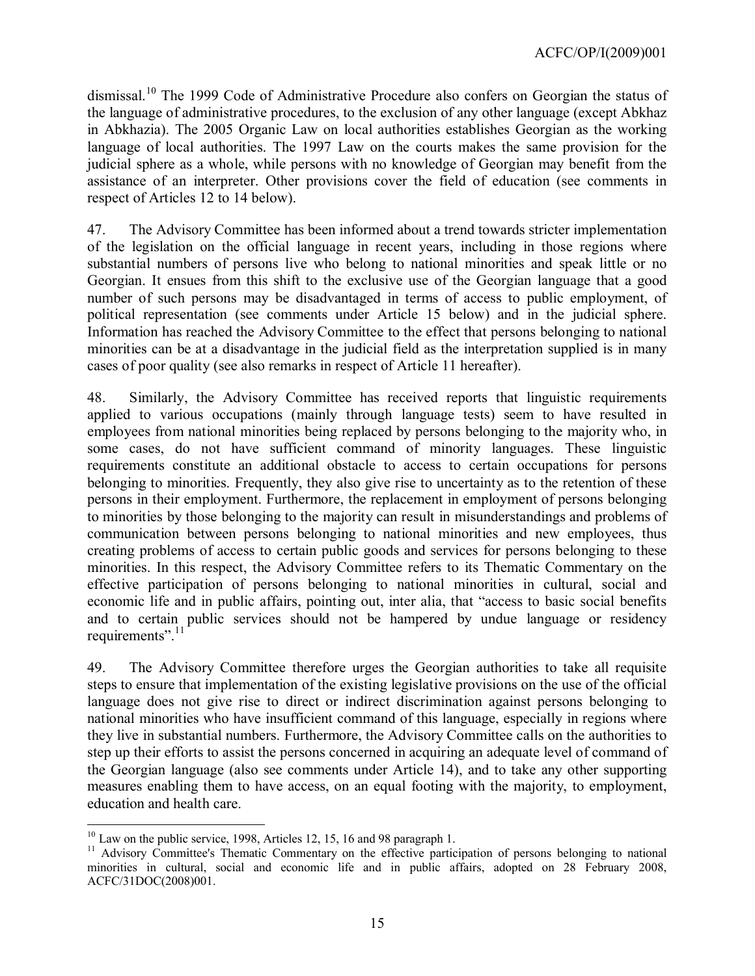dismissal.<sup>[10](#page-14-0)</sup> The 1999 Code of Administrative Procedure also confers on Georgian the status of the language of administrative procedures, to the exclusion of any other language (except Abkhaz in Abkhazia). The 2005 Organic Law on local authorities establishes Georgian as the working language of local authorities. The 1997 Law on the courts makes the same provision for the judicial sphere as a whole, while persons with no knowledge of Georgian may benefit from the assistance of an interpreter. Other provisions cover the field of education (see comments in respect of Articles 12 to 14 below).

47. The Advisory Committee has been informed about a trend towards stricter implementation of the legislation on the official language in recent years, including in those regions where substantial numbers of persons live who belong to national minorities and speak little or no Georgian. It ensues from this shift to the exclusive use of the Georgian language that a good number of such persons may be disadvantaged in terms of access to public employment, of political representation (see comments under Article 15 below) and in the judicial sphere. Information has reached the Advisory Committee to the effect that persons belonging to national minorities can be at a disadvantage in the judicial field as the interpretation supplied is in many cases of poor quality (see also remarks in respect of Article 11 hereafter).

48. Similarly, the Advisory Committee has received reports that linguistic requirements applied to various occupations (mainly through language tests) seem to have resulted in employees from national minorities being replaced by persons belonging to the majority who, in some cases, do not have sufficient command of minority languages. These linguistic requirements constitute an additional obstacle to access to certain occupations for persons belonging to minorities. Frequently, they also give rise to uncertainty as to the retention of these persons in their employment. Furthermore, the replacement in employment of persons belonging to minorities by those belonging to the majority can result in misunderstandings and problems of communication between persons belonging to national minorities and new employees, thus creating problems of access to certain public goods and services for persons belonging to these minorities. In this respect, the Advisory Committee refers to its Thematic Commentary on the effective participation of persons belonging to national minorities in cultural, social and economic life and in public affairs, pointing out, inter alia, that "access to basic social benefits and to certain public services should not be hampered by undue language or residency requirements".<sup>[11](#page-14-1)</sup>

49. The Advisory Committee therefore urges the Georgian authorities to take all requisite steps to ensure that implementation of the existing legislative provisions on the use of the official language does not give rise to direct or indirect discrimination against persons belonging to national minorities who have insufficient command of this language, especially in regions where they live in substantial numbers. Furthermore, the Advisory Committee calls on the authorities to step up their efforts to assist the persons concerned in acquiring an adequate level of command of the Georgian language (also see comments under Article 14), and to take any other supporting measures enabling them to have access, on an equal footing with the majority, to employment, education and health care.

 $\overline{a}$ 

<span id="page-14-0"></span> $10$  Law on the public service, 1998, Articles 12, 15, 16 and 98 paragraph 1.

<span id="page-14-1"></span><sup>&</sup>lt;sup>11</sup> Advisory Committee's Thematic Commentary on the effective participation of persons belonging to national minorities in cultural, social and economic life and in public affairs, adopted on 28 February 2008, ACFC/31DOC(2008)001.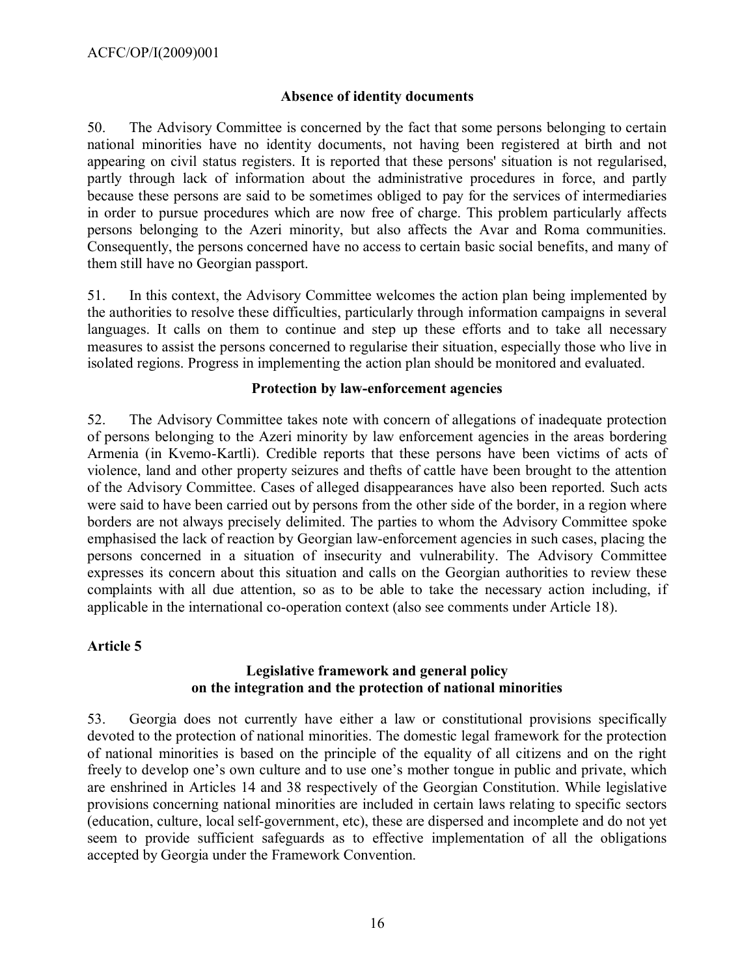#### **Absence of identity documents**

50. The Advisory Committee is concerned by the fact that some persons belonging to certain national minorities have no identity documents, not having been registered at birth and not appearing on civil status registers. It is reported that these persons' situation is not regularised, partly through lack of information about the administrative procedures in force, and partly because these persons are said to be sometimes obliged to pay for the services of intermediaries in order to pursue procedures which are now free of charge. This problem particularly affects persons belonging to the Azeri minority, but also affects the Avar and Roma communities. Consequently, the persons concerned have no access to certain basic social benefits, and many of them still have no Georgian passport.

51. In this context, the Advisory Committee welcomes the action plan being implemented by the authorities to resolve these difficulties, particularly through information campaigns in several languages. It calls on them to continue and step up these efforts and to take all necessary measures to assist the persons concerned to regularise their situation, especially those who live in isolated regions. Progress in implementing the action plan should be monitored and evaluated.

#### **Protection by law-enforcement agencies**

52. The Advisory Committee takes note with concern of allegations of inadequate protection of persons belonging to the Azeri minority by law enforcement agencies in the areas bordering Armenia (in Kvemo-Kartli). Credible reports that these persons have been victims of acts of violence, land and other property seizures and thefts of cattle have been brought to the attention of the Advisory Committee. Cases of alleged disappearances have also been reported. Such acts were said to have been carried out by persons from the other side of the border, in a region where borders are not always precisely delimited. The parties to whom the Advisory Committee spoke emphasised the lack of reaction by Georgian law-enforcement agencies in such cases, placing the persons concerned in a situation of insecurity and vulnerability. The Advisory Committee expresses its concern about this situation and calls on the Georgian authorities to review these complaints with all due attention, so as to be able to take the necessary action including, if applicable in the international co-operation context (also see comments under Article 18).

## **Article 5**

#### **Legislative framework and general policy on the integration and the protection of national minorities**

53. Georgia does not currently have either a law or constitutional provisions specifically devoted to the protection of national minorities. The domestic legal framework for the protection of national minorities is based on the principle of the equality of all citizens and on the right freely to develop one's own culture and to use one's mother tongue in public and private, which are enshrined in Articles 14 and 38 respectively of the Georgian Constitution. While legislative provisions concerning national minorities are included in certain laws relating to specific sectors (education, culture, local self-government, etc), these are dispersed and incomplete and do not yet seem to provide sufficient safeguards as to effective implementation of all the obligations accepted by Georgia under the Framework Convention.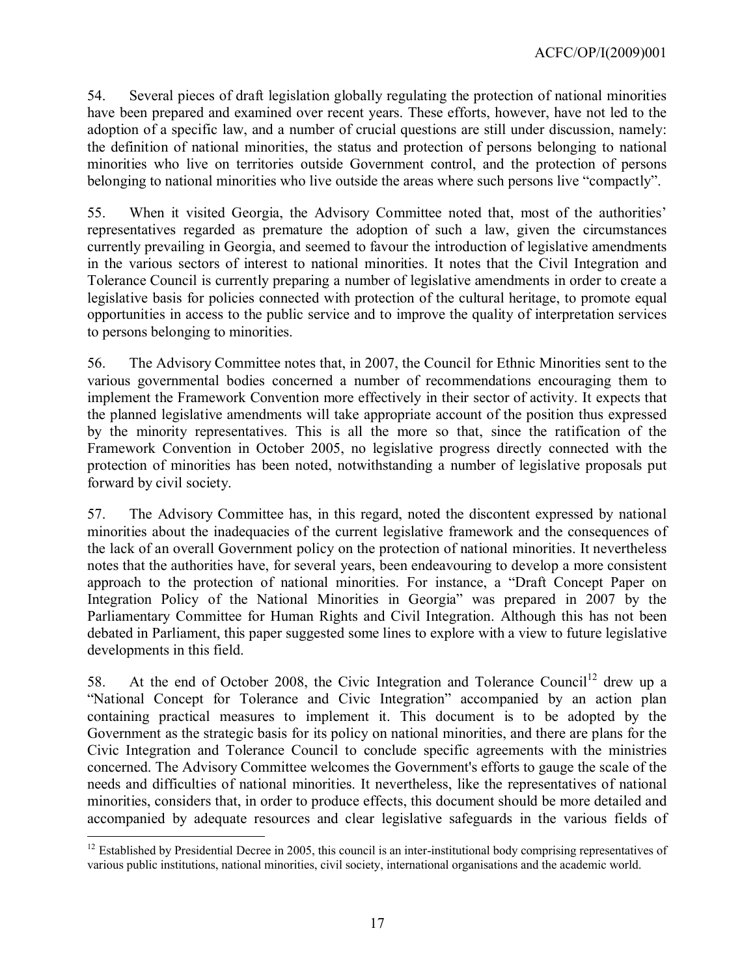54. Several pieces of draft legislation globally regulating the protection of national minorities have been prepared and examined over recent years. These efforts, however, have not led to the adoption of a specific law, and a number of crucial questions are still under discussion, namely: the definition of national minorities, the status and protection of persons belonging to national minorities who live on territories outside Government control, and the protection of persons belonging to national minorities who live outside the areas where such persons live "compactly".

55. When it visited Georgia, the Advisory Committee noted that, most of the authorities' representatives regarded as premature the adoption of such a law, given the circumstances currently prevailing in Georgia, and seemed to favour the introduction of legislative amendments in the various sectors of interest to national minorities. It notes that the Civil Integration and Tolerance Council is currently preparing a number of legislative amendments in order to create a legislative basis for policies connected with protection of the cultural heritage, to promote equal opportunities in access to the public service and to improve the quality of interpretation services to persons belonging to minorities.

56. The Advisory Committee notes that, in 2007, the Council for Ethnic Minorities sent to the various governmental bodies concerned a number of recommendations encouraging them to implement the Framework Convention more effectively in their sector of activity. It expects that the planned legislative amendments will take appropriate account of the position thus expressed by the minority representatives. This is all the more so that, since the ratification of the Framework Convention in October 2005, no legislative progress directly connected with the protection of minorities has been noted, notwithstanding a number of legislative proposals put forward by civil society.

57. The Advisory Committee has, in this regard, noted the discontent expressed by national minorities about the inadequacies of the current legislative framework and the consequences of the lack of an overall Government policy on the protection of national minorities. It nevertheless notes that the authorities have, for several years, been endeavouring to develop a more consistent approach to the protection of national minorities. For instance, a "Draft Concept Paper on Integration Policy of the National Minorities in Georgia" was prepared in 2007 by the Parliamentary Committee for Human Rights and Civil Integration. Although this has not been debated in Parliament, this paper suggested some lines to explore with a view to future legislative developments in this field.

58. At the end of October 2008, the Civic Integration and Tolerance Council<sup>[12](#page-16-0)</sup> drew up a "National Concept for Tolerance and Civic Integration" accompanied by an action plan containing practical measures to implement it. This document is to be adopted by the Government as the strategic basis for its policy on national minorities, and there are plans for the Civic Integration and Tolerance Council to conclude specific agreements with the ministries concerned. The Advisory Committee welcomes the Government's efforts to gauge the scale of the needs and difficulties of national minorities. It nevertheless, like the representatives of national minorities, considers that, in order to produce effects, this document should be more detailed and accompanied by adequate resources and clear legislative safeguards in the various fields of

 $\overline{a}$ 

<span id="page-16-0"></span> $12$  Established by Presidential Decree in 2005, this council is an inter-institutional body comprising representatives of various public institutions, national minorities, civil society, international organisations and the academic world.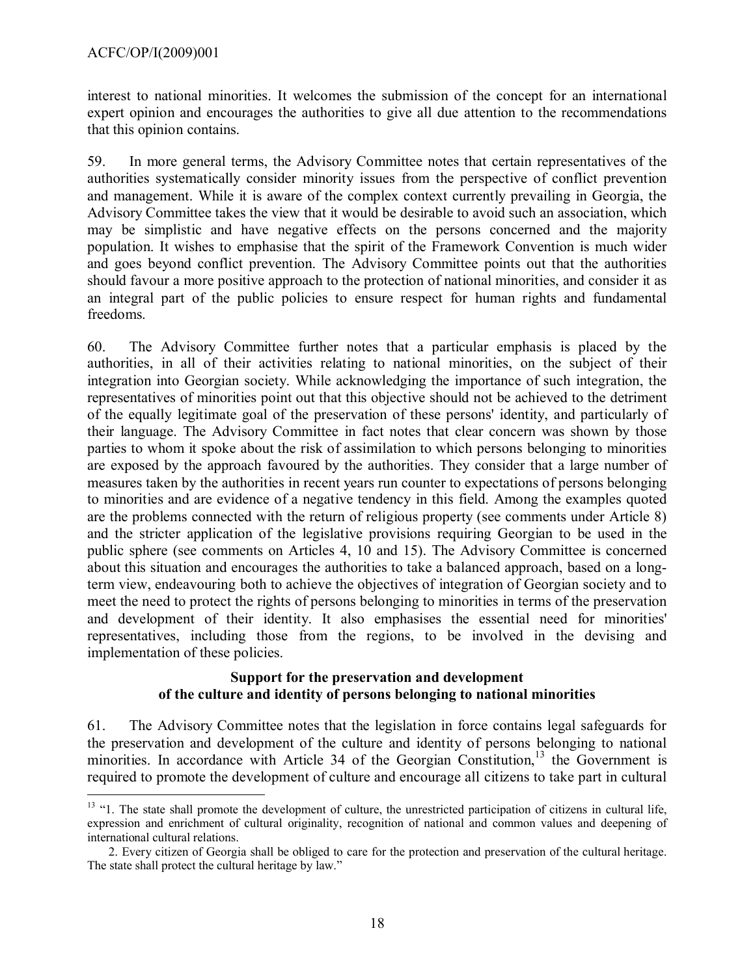$\overline{a}$ 

interest to national minorities. It welcomes the submission of the concept for an international expert opinion and encourages the authorities to give all due attention to the recommendations that this opinion contains.

59. In more general terms, the Advisory Committee notes that certain representatives of the authorities systematically consider minority issues from the perspective of conflict prevention and management. While it is aware of the complex context currently prevailing in Georgia, the Advisory Committee takes the view that it would be desirable to avoid such an association, which may be simplistic and have negative effects on the persons concerned and the majority population. It wishes to emphasise that the spirit of the Framework Convention is much wider and goes beyond conflict prevention. The Advisory Committee points out that the authorities should favour a more positive approach to the protection of national minorities, and consider it as an integral part of the public policies to ensure respect for human rights and fundamental freedoms.

60. The Advisory Committee further notes that a particular emphasis is placed by the authorities, in all of their activities relating to national minorities, on the subject of their integration into Georgian society. While acknowledging the importance of such integration, the representatives of minorities point out that this objective should not be achieved to the detriment of the equally legitimate goal of the preservation of these persons' identity, and particularly of their language. The Advisory Committee in fact notes that clear concern was shown by those parties to whom it spoke about the risk of assimilation to which persons belonging to minorities are exposed by the approach favoured by the authorities. They consider that a large number of measures taken by the authorities in recent years run counter to expectations of persons belonging to minorities and are evidence of a negative tendency in this field. Among the examples quoted are the problems connected with the return of religious property (see comments under Article 8) and the stricter application of the legislative provisions requiring Georgian to be used in the public sphere (see comments on Articles 4, 10 and 15). The Advisory Committee is concerned about this situation and encourages the authorities to take a balanced approach, based on a longterm view, endeavouring both to achieve the objectives of integration of Georgian society and to meet the need to protect the rights of persons belonging to minorities in terms of the preservation and development of their identity. It also emphasises the essential need for minorities' representatives, including those from the regions, to be involved in the devising and implementation of these policies.

#### **Support for the preservation and development of the culture and identity of persons belonging to national minorities**

61. The Advisory Committee notes that the legislation in force contains legal safeguards for the preservation and development of the culture and identity of persons belonging to national minorities. In accordance with Article 34 of the Georgian Constitution,<sup>[13](#page-17-0)</sup> the Government is required to promote the development of culture and encourage all citizens to take part in cultural

<span id="page-17-0"></span><sup>&</sup>lt;sup>13</sup> "1. The state shall promote the development of culture, the unrestricted participation of citizens in cultural life, expression and enrichment of cultural originality, recognition of national and common values and deepening of international cultural relations.

 <sup>2.</sup> Every citizen of Georgia shall be obliged to care for the protection and preservation of the cultural heritage. The state shall protect the cultural heritage by law."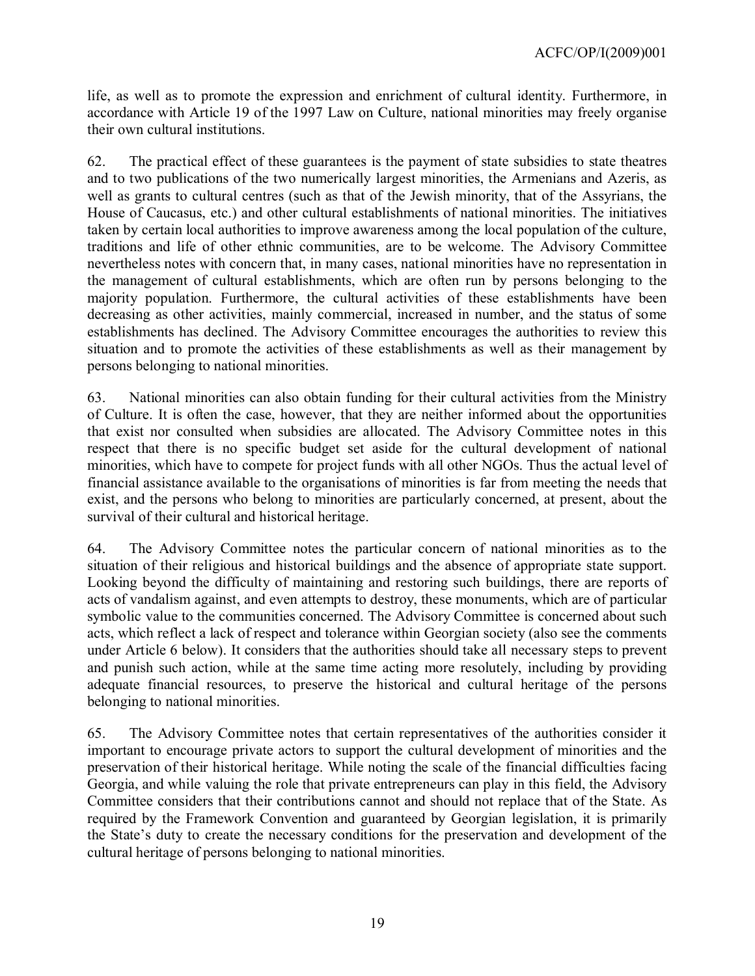life, as well as to promote the expression and enrichment of cultural identity. Furthermore, in accordance with Article 19 of the 1997 Law on Culture, national minorities may freely organise their own cultural institutions.

62. The practical effect of these guarantees is the payment of state subsidies to state theatres and to two publications of the two numerically largest minorities, the Armenians and Azeris, as well as grants to cultural centres (such as that of the Jewish minority, that of the Assyrians, the House of Caucasus, etc.) and other cultural establishments of national minorities. The initiatives taken by certain local authorities to improve awareness among the local population of the culture, traditions and life of other ethnic communities, are to be welcome. The Advisory Committee nevertheless notes with concern that, in many cases, national minorities have no representation in the management of cultural establishments, which are often run by persons belonging to the majority population. Furthermore, the cultural activities of these establishments have been decreasing as other activities, mainly commercial, increased in number, and the status of some establishments has declined. The Advisory Committee encourages the authorities to review this situation and to promote the activities of these establishments as well as their management by persons belonging to national minorities.

63. National minorities can also obtain funding for their cultural activities from the Ministry of Culture. It is often the case, however, that they are neither informed about the opportunities that exist nor consulted when subsidies are allocated. The Advisory Committee notes in this respect that there is no specific budget set aside for the cultural development of national minorities, which have to compete for project funds with all other NGOs. Thus the actual level of financial assistance available to the organisations of minorities is far from meeting the needs that exist, and the persons who belong to minorities are particularly concerned, at present, about the survival of their cultural and historical heritage.

64. The Advisory Committee notes the particular concern of national minorities as to the situation of their religious and historical buildings and the absence of appropriate state support. Looking beyond the difficulty of maintaining and restoring such buildings, there are reports of acts of vandalism against, and even attempts to destroy, these monuments, which are of particular symbolic value to the communities concerned. The Advisory Committee is concerned about such acts, which reflect a lack of respect and tolerance within Georgian society (also see the comments under Article 6 below). It considers that the authorities should take all necessary steps to prevent and punish such action, while at the same time acting more resolutely, including by providing adequate financial resources, to preserve the historical and cultural heritage of the persons belonging to national minorities.

65. The Advisory Committee notes that certain representatives of the authorities consider it important to encourage private actors to support the cultural development of minorities and the preservation of their historical heritage. While noting the scale of the financial difficulties facing Georgia, and while valuing the role that private entrepreneurs can play in this field, the Advisory Committee considers that their contributions cannot and should not replace that of the State. As required by the Framework Convention and guaranteed by Georgian legislation, it is primarily the State's duty to create the necessary conditions for the preservation and development of the cultural heritage of persons belonging to national minorities.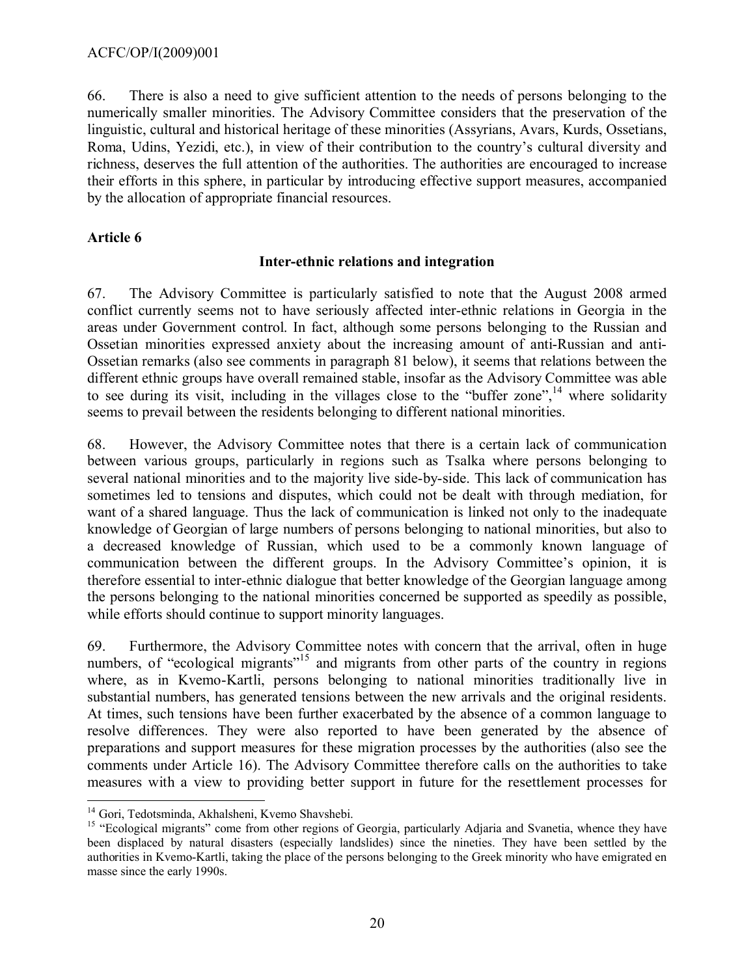66. There is also a need to give sufficient attention to the needs of persons belonging to the numerically smaller minorities. The Advisory Committee considers that the preservation of the linguistic, cultural and historical heritage of these minorities (Assyrians, Avars, Kurds, Ossetians, Roma, Udins, Yezidi, etc.), in view of their contribution to the country's cultural diversity and richness, deserves the full attention of the authorities. The authorities are encouraged to increase their efforts in this sphere, in particular by introducing effective support measures, accompanied by the allocation of appropriate financial resources.

## **Article 6**

## **Inter-ethnic relations and integration**

67. The Advisory Committee is particularly satisfied to note that the August 2008 armed conflict currently seems not to have seriously affected inter-ethnic relations in Georgia in the areas under Government control. In fact, although some persons belonging to the Russian and Ossetian minorities expressed anxiety about the increasing amount of anti-Russian and anti-Ossetian remarks (also see comments in paragraph 81 below), it seems that relations between the different ethnic groups have overall remained stable, insofar as the Advisory Committee was able to see during its visit, including in the villages close to the "buffer zone",<sup>[14](#page-19-0)</sup> where solidarity seems to prevail between the residents belonging to different national minorities.

68. However, the Advisory Committee notes that there is a certain lack of communication between various groups, particularly in regions such as Tsalka where persons belonging to several national minorities and to the majority live side-by-side. This lack of communication has sometimes led to tensions and disputes, which could not be dealt with through mediation, for want of a shared language. Thus the lack of communication is linked not only to the inadequate knowledge of Georgian of large numbers of persons belonging to national minorities, but also to a decreased knowledge of Russian, which used to be a commonly known language of communication between the different groups. In the Advisory Committee's opinion, it is therefore essential to inter-ethnic dialogue that better knowledge of the Georgian language among the persons belonging to the national minorities concerned be supported as speedily as possible, while efforts should continue to support minority languages.

69. Furthermore, the Advisory Committee notes with concern that the arrival, often in huge numbers, of "ecological migrants"<sup>[15](#page-19-1)</sup> and migrants from other parts of the country in regions where, as in Kvemo-Kartli, persons belonging to national minorities traditionally live in substantial numbers, has generated tensions between the new arrivals and the original residents. At times, such tensions have been further exacerbated by the absence of a common language to resolve differences. They were also reported to have been generated by the absence of preparations and support measures for these migration processes by the authorities (also see the comments under Article 16). The Advisory Committee therefore calls on the authorities to take measures with a view to providing better support in future for the resettlement processes for

<span id="page-19-0"></span> $\overline{a}$ <sup>14</sup> Gori, Tedotsminda, Akhalsheni, Kvemo Shavshebi.

<span id="page-19-1"></span><sup>&</sup>lt;sup>15</sup> "Ecological migrants" come from other regions of Georgia, particularly Adjaria and Svanetia, whence they have been displaced by natural disasters (especially landslides) since the nineties. They have been settled by the authorities in Kvemo-Kartli, taking the place of the persons belonging to the Greek minority who have emigrated en masse since the early 1990s.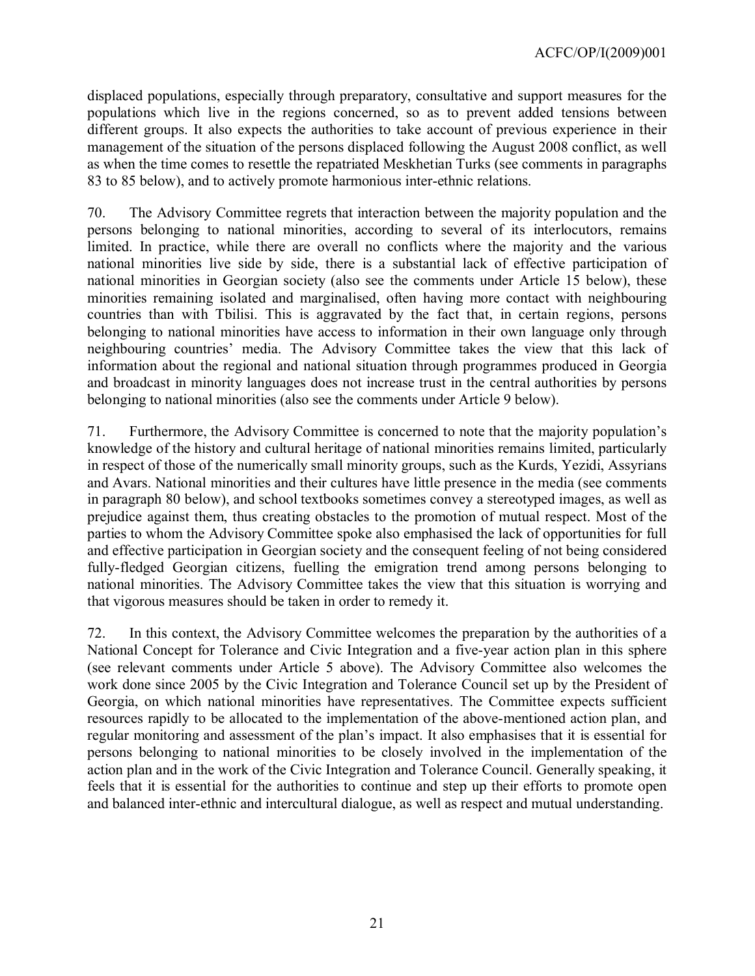displaced populations, especially through preparatory, consultative and support measures for the populations which live in the regions concerned, so as to prevent added tensions between different groups. It also expects the authorities to take account of previous experience in their management of the situation of the persons displaced following the August 2008 conflict, as well as when the time comes to resettle the repatriated Meskhetian Turks (see comments in paragraphs 83 to 85 below), and to actively promote harmonious inter-ethnic relations.

70. The Advisory Committee regrets that interaction between the majority population and the persons belonging to national minorities, according to several of its interlocutors, remains limited. In practice, while there are overall no conflicts where the majority and the various national minorities live side by side, there is a substantial lack of effective participation of national minorities in Georgian society (also see the comments under Article 15 below), these minorities remaining isolated and marginalised, often having more contact with neighbouring countries than with Tbilisi. This is aggravated by the fact that, in certain regions, persons belonging to national minorities have access to information in their own language only through neighbouring countries' media. The Advisory Committee takes the view that this lack of information about the regional and national situation through programmes produced in Georgia and broadcast in minority languages does not increase trust in the central authorities by persons belonging to national minorities (also see the comments under Article 9 below).

71. Furthermore, the Advisory Committee is concerned to note that the majority population's knowledge of the history and cultural heritage of national minorities remains limited, particularly in respect of those of the numerically small minority groups, such as the Kurds, Yezidi, Assyrians and Avars. National minorities and their cultures have little presence in the media (see comments in paragraph 80 below), and school textbooks sometimes convey a stereotyped images, as well as prejudice against them, thus creating obstacles to the promotion of mutual respect. Most of the parties to whom the Advisory Committee spoke also emphasised the lack of opportunities for full and effective participation in Georgian society and the consequent feeling of not being considered fully-fledged Georgian citizens, fuelling the emigration trend among persons belonging to national minorities. The Advisory Committee takes the view that this situation is worrying and that vigorous measures should be taken in order to remedy it.

72. In this context, the Advisory Committee welcomes the preparation by the authorities of a National Concept for Tolerance and Civic Integration and a five-year action plan in this sphere (see relevant comments under Article 5 above). The Advisory Committee also welcomes the work done since 2005 by the Civic Integration and Tolerance Council set up by the President of Georgia, on which national minorities have representatives. The Committee expects sufficient resources rapidly to be allocated to the implementation of the above-mentioned action plan, and regular monitoring and assessment of the plan's impact. It also emphasises that it is essential for persons belonging to national minorities to be closely involved in the implementation of the action plan and in the work of the Civic Integration and Tolerance Council. Generally speaking, it feels that it is essential for the authorities to continue and step up their efforts to promote open and balanced inter-ethnic and intercultural dialogue, as well as respect and mutual understanding.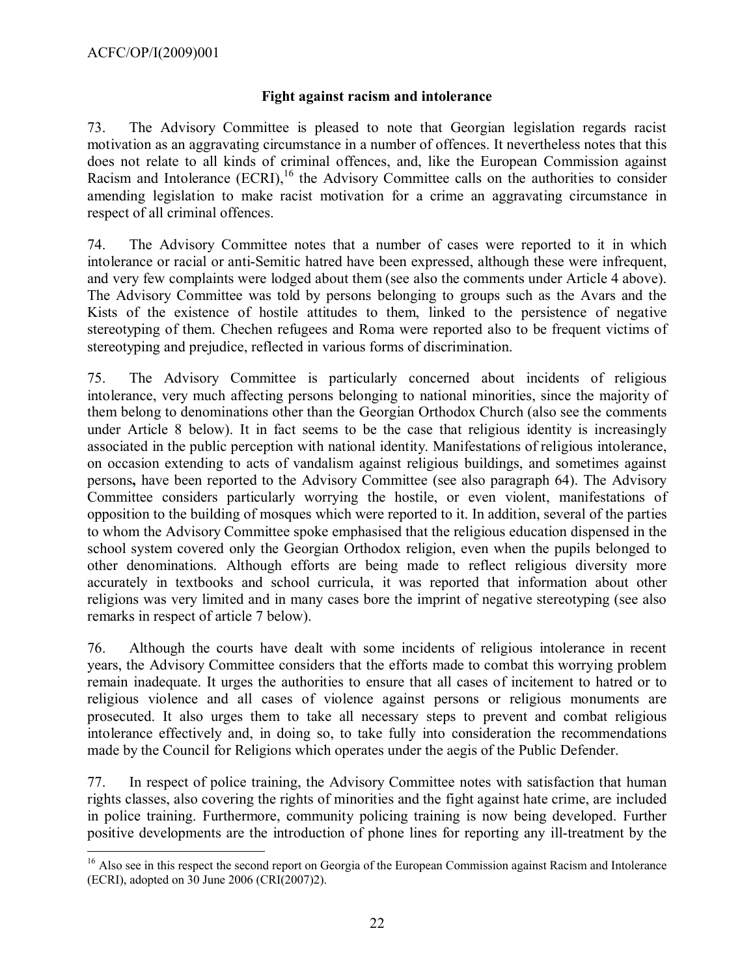$\overline{a}$ 

#### **Fight against racism and intolerance**

73. The Advisory Committee is pleased to note that Georgian legislation regards racist motivation as an aggravating circumstance in a number of offences. It nevertheless notes that this does not relate to all kinds of criminal offences, and, like the European Commission against Racism and Intolerance (ECRI),<sup>[16](#page-21-0)</sup> the Advisory Committee calls on the authorities to consider amending legislation to make racist motivation for a crime an aggravating circumstance in respect of all criminal offences.

74. The Advisory Committee notes that a number of cases were reported to it in which intolerance or racial or anti-Semitic hatred have been expressed, although these were infrequent, and very few complaints were lodged about them (see also the comments under Article 4 above). The Advisory Committee was told by persons belonging to groups such as the Avars and the Kists of the existence of hostile attitudes to them, linked to the persistence of negative stereotyping of them. Chechen refugees and Roma were reported also to be frequent victims of stereotyping and prejudice, reflected in various forms of discrimination.

75. The Advisory Committee is particularly concerned about incidents of religious intolerance, very much affecting persons belonging to national minorities, since the majority of them belong to denominations other than the Georgian Orthodox Church (also see the comments under Article 8 below). It in fact seems to be the case that religious identity is increasingly associated in the public perception with national identity. Manifestations of religious intolerance, on occasion extending to acts of vandalism against religious buildings, and sometimes against persons**,** have been reported to the Advisory Committee (see also paragraph 64). The Advisory Committee considers particularly worrying the hostile, or even violent, manifestations of opposition to the building of mosques which were reported to it. In addition, several of the parties to whom the Advisory Committee spoke emphasised that the religious education dispensed in the school system covered only the Georgian Orthodox religion, even when the pupils belonged to other denominations. Although efforts are being made to reflect religious diversity more accurately in textbooks and school curricula, it was reported that information about other religions was very limited and in many cases bore the imprint of negative stereotyping (see also remarks in respect of article 7 below).

76. Although the courts have dealt with some incidents of religious intolerance in recent years, the Advisory Committee considers that the efforts made to combat this worrying problem remain inadequate. It urges the authorities to ensure that all cases of incitement to hatred or to religious violence and all cases of violence against persons or religious monuments are prosecuted. It also urges them to take all necessary steps to prevent and combat religious intolerance effectively and, in doing so, to take fully into consideration the recommendations made by the Council for Religions which operates under the aegis of the Public Defender.

77. In respect of police training, the Advisory Committee notes with satisfaction that human rights classes, also covering the rights of minorities and the fight against hate crime, are included in police training. Furthermore, community policing training is now being developed. Further positive developments are the introduction of phone lines for reporting any ill-treatment by the

<span id="page-21-0"></span><sup>&</sup>lt;sup>16</sup> Also see in this respect the second report on Georgia of the European Commission against Racism and Intolerance (ECRI), adopted on 30 June 2006 (CRI(2007)2).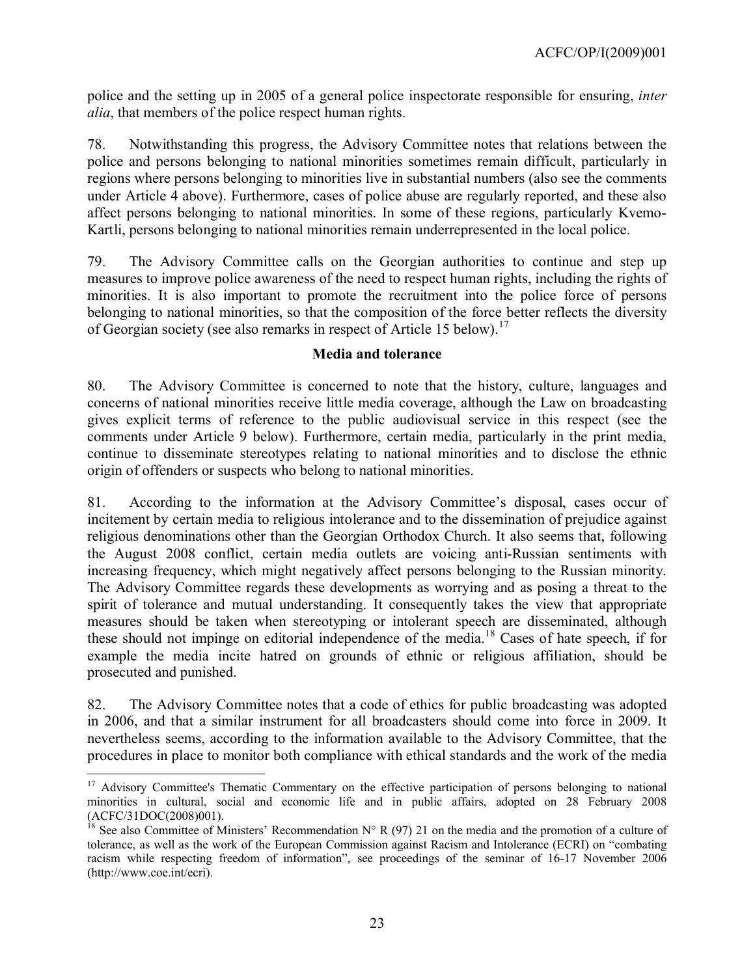police and the setting up in 2005 of a general police inspectorate responsible for ensuring, *inter alia*, that members of the police respect human rights.

78. Notwithstanding this progress, the Advisory Committee notes that relations between the police and persons belonging to national minorities sometimes remain difficult, particularly in regions where persons belonging to minorities live in substantial numbers (also see the comments under Article 4 above). Furthermore, cases of police abuse are regularly reported, and these also affect persons belonging to national minorities. In some of these regions, particularly Kvemo-Kartli, persons belonging to national minorities remain underrepresented in the local police.

79. The Advisory Committee calls on the Georgian authorities to continue and step up measures to improve police awareness of the need to respect human rights, including the rights of minorities. It is also important to promote the recruitment into the police force of persons belonging to national minorities, so that the composition of the force better reflects the diversity of Georgian society (see also remarks in respect of Article 15 below).<sup>[17](#page-22-0)</sup>

#### **Media and tolerance**

80. The Advisory Committee is concerned to note that the history, culture, languages and concerns of national minorities receive little media coverage, although the Law on broadcasting gives explicit terms of reference to the public audiovisual service in this respect (see the comments under Article 9 below). Furthermore, certain media, particularly in the print media, continue to disseminate stereotypes relating to national minorities and to disclose the ethnic origin of offenders or suspects who belong to national minorities.

81. According to the information at the Advisory Committee's disposal, cases occur of incitement by certain media to religious intolerance and to the dissemination of prejudice against religious denominations other than the Georgian Orthodox Church. It also seems that, following the August 2008 conflict, certain media outlets are voicing anti-Russian sentiments with increasing frequency, which might negatively affect persons belonging to the Russian minority. The Advisory Committee regards these developments as worrying and as posing a threat to the spirit of tolerance and mutual understanding. It consequently takes the view that appropriate measures should be taken when stereotyping or intolerant speech are disseminated, although these should not impinge on editorial independence of the media. [18](#page-22-1) Cases of hate speech, if for example the media incite hatred on grounds of ethnic or religious affiliation, should be prosecuted and punished.

82. The Advisory Committee notes that a code of ethics for public broadcasting was adopted in 2006, and that a similar instrument for all broadcasters should come into force in 2009. It nevertheless seems, according to the information available to the Advisory Committee, that the procedures in place to monitor both compliance with ethical standards and the work of the media

 $\overline{a}$ 

<span id="page-22-0"></span><sup>&</sup>lt;sup>17</sup> Advisory Committee's Thematic Commentary on the effective participation of persons belonging to national minorities in cultural, social and economic life and in public affairs, adopted on 28 February 2008 (ACFC/31DOC(2008)001).

<span id="page-22-1"></span><sup>&</sup>lt;sup>18</sup> See also Committee of Ministers' Recommendation N° R (97) 21 on the media and the promotion of a culture of tolerance, as well as the work of the European Commission against Racism and Intolerance (ECRI) on "combating racism while respecting freedom of information", see proceedings of the seminar of 16-17 November 2006 (http://www.coe.int/ecri).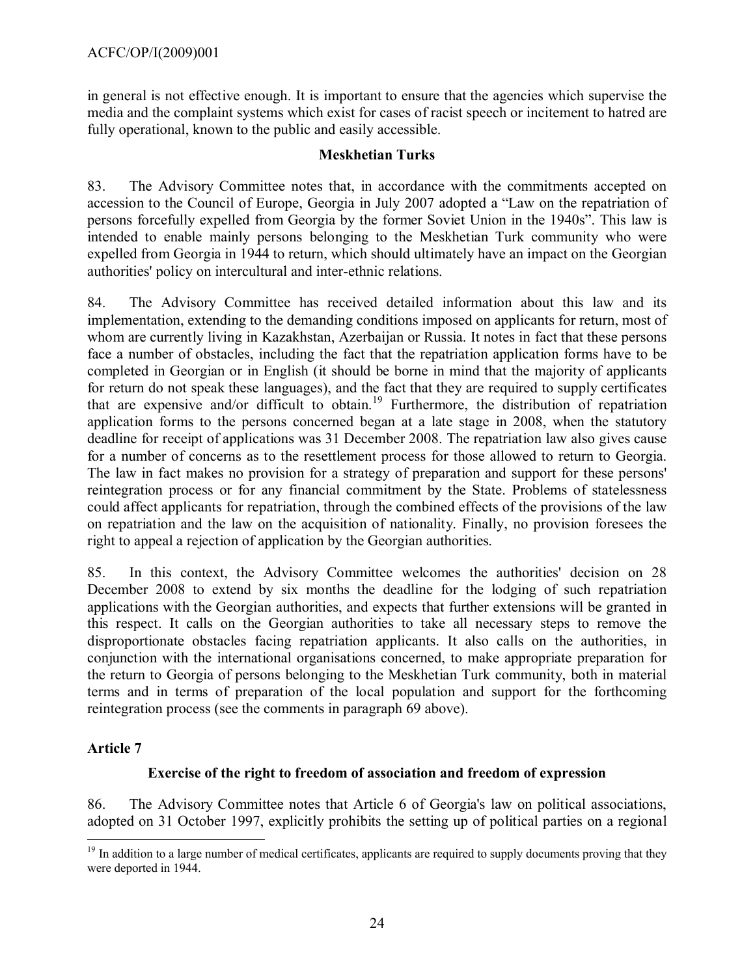in general is not effective enough. It is important to ensure that the agencies which supervise the media and the complaint systems which exist for cases of racist speech or incitement to hatred are fully operational, known to the public and easily accessible.

#### **Meskhetian Turks**

83. The Advisory Committee notes that, in accordance with the commitments accepted on accession to the Council of Europe, Georgia in July 2007 adopted a "Law on the repatriation of persons forcefully expelled from Georgia by the former Soviet Union in the 1940s". This law is intended to enable mainly persons belonging to the Meskhetian Turk community who were expelled from Georgia in 1944 to return, which should ultimately have an impact on the Georgian authorities' policy on intercultural and inter-ethnic relations.

84. The Advisory Committee has received detailed information about this law and its implementation, extending to the demanding conditions imposed on applicants for return, most of whom are currently living in Kazakhstan, Azerbaijan or Russia. It notes in fact that these persons face a number of obstacles, including the fact that the repatriation application forms have to be completed in Georgian or in English (it should be borne in mind that the majority of applicants for return do not speak these languages), and the fact that they are required to supply certificates that are expensive and/or difficult to obtain. [19](#page-23-0) Furthermore, the distribution of repatriation application forms to the persons concerned began at a late stage in 2008, when the statutory deadline for receipt of applications was 31 December 2008. The repatriation law also gives cause for a number of concerns as to the resettlement process for those allowed to return to Georgia. The law in fact makes no provision for a strategy of preparation and support for these persons' reintegration process or for any financial commitment by the State. Problems of statelessness could affect applicants for repatriation, through the combined effects of the provisions of the law on repatriation and the law on the acquisition of nationality. Finally, no provision foresees the right to appeal a rejection of application by the Georgian authorities.

85. In this context, the Advisory Committee welcomes the authorities' decision on 28 December 2008 to extend by six months the deadline for the lodging of such repatriation applications with the Georgian authorities, and expects that further extensions will be granted in this respect. It calls on the Georgian authorities to take all necessary steps to remove the disproportionate obstacles facing repatriation applicants. It also calls on the authorities, in conjunction with the international organisations concerned, to make appropriate preparation for the return to Georgia of persons belonging to the Meskhetian Turk community, both in material terms and in terms of preparation of the local population and support for the forthcoming reintegration process (see the comments in paragraph 69 above).

## **Article 7**

 $\overline{a}$ 

## **Exercise of the right to freedom of association and freedom of expression**

86. The Advisory Committee notes that Article 6 of Georgia's law on political associations, adopted on 31 October 1997, explicitly prohibits the setting up of political parties on a regional

<span id="page-23-0"></span><sup>&</sup>lt;sup>19</sup> In addition to a large number of medical certificates, applicants are required to supply documents proving that they were deported in 1944.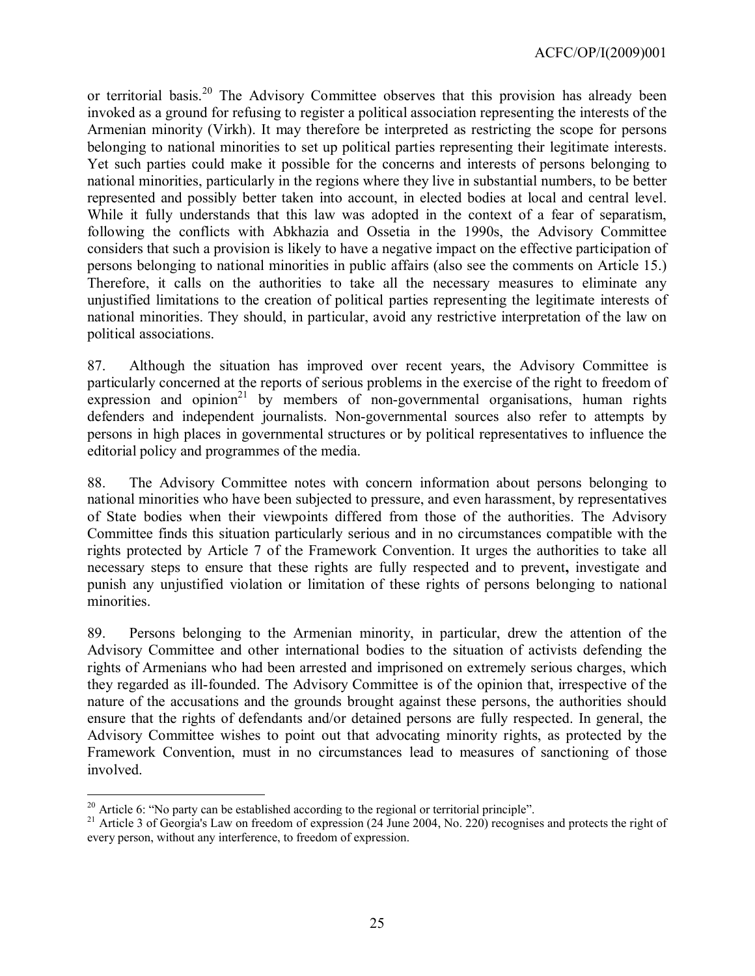ACFC/OP/I(2009)001

or territorial basis.<sup>[20](#page-24-0)</sup> The Advisory Committee observes that this provision has already been invoked as a ground for refusing to register a political association representing the interests of the Armenian minority (Virkh). It may therefore be interpreted as restricting the scope for persons belonging to national minorities to set up political parties representing their legitimate interests. Yet such parties could make it possible for the concerns and interests of persons belonging to national minorities, particularly in the regions where they live in substantial numbers, to be better represented and possibly better taken into account, in elected bodies at local and central level. While it fully understands that this law was adopted in the context of a fear of separatism, following the conflicts with Abkhazia and Ossetia in the 1990s, the Advisory Committee considers that such a provision is likely to have a negative impact on the effective participation of persons belonging to national minorities in public affairs (also see the comments on Article 15.) Therefore, it calls on the authorities to take all the necessary measures to eliminate any unjustified limitations to the creation of political parties representing the legitimate interests of national minorities. They should, in particular, avoid any restrictive interpretation of the law on political associations.

87. Although the situation has improved over recent years, the Advisory Committee is particularly concerned at the reports of serious problems in the exercise of the right to freedom of expression and opinion<sup>[21](#page-24-1)</sup> by members of non-governmental organisations, human rights defenders and independent journalists. Non-governmental sources also refer to attempts by persons in high places in governmental structures or by political representatives to influence the editorial policy and programmes of the media.

88. The Advisory Committee notes with concern information about persons belonging to national minorities who have been subjected to pressure, and even harassment, by representatives of State bodies when their viewpoints differed from those of the authorities. The Advisory Committee finds this situation particularly serious and in no circumstances compatible with the rights protected by Article 7 of the Framework Convention. It urges the authorities to take all necessary steps to ensure that these rights are fully respected and to prevent**,** investigate and punish any unjustified violation or limitation of these rights of persons belonging to national minorities.

89. Persons belonging to the Armenian minority, in particular, drew the attention of the Advisory Committee and other international bodies to the situation of activists defending the rights of Armenians who had been arrested and imprisoned on extremely serious charges, which they regarded as ill-founded. The Advisory Committee is of the opinion that, irrespective of the nature of the accusations and the grounds brought against these persons, the authorities should ensure that the rights of defendants and/or detained persons are fully respected. In general, the Advisory Committee wishes to point out that advocating minority rights, as protected by the Framework Convention, must in no circumstances lead to measures of sanctioning of those involved.

 $\overline{a}$ 

<span id="page-24-0"></span> $20$  Article 6: "No party can be established according to the regional or territorial principle".

<span id="page-24-1"></span><sup>&</sup>lt;sup>21</sup> Article 3 of Georgia's Law on freedom of expression (24 June 2004, No. 220) recognises and protects the right of every person, without any interference, to freedom of expression.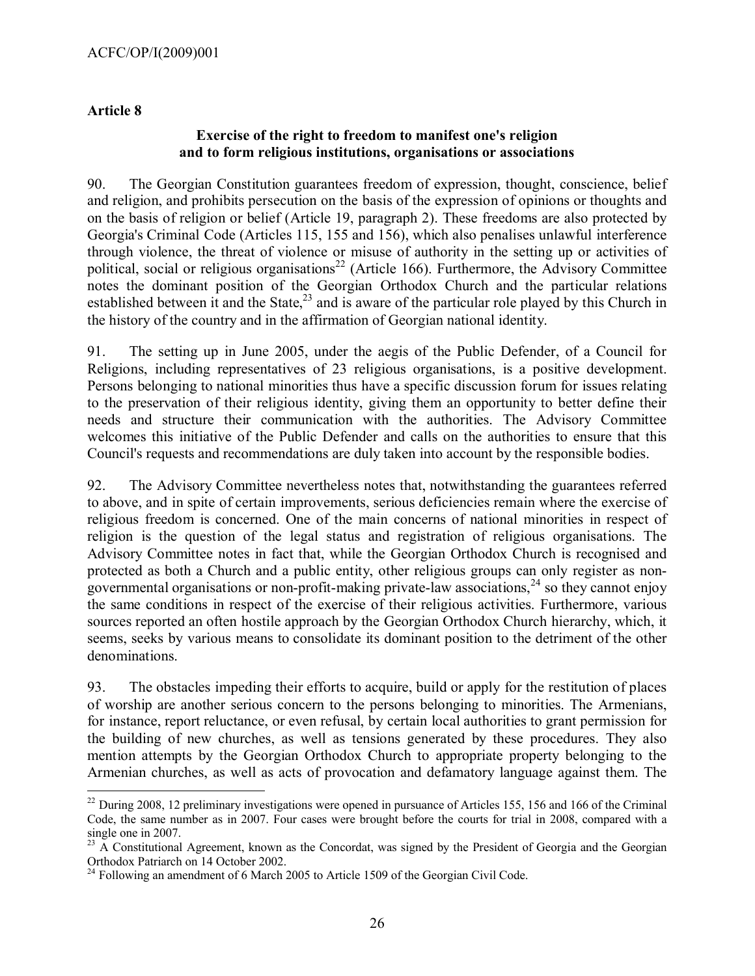#### **Article 8**

 $\overline{a}$ 

#### **Exercise of the right to freedom to manifest one's religion and to form religious institutions, organisations or associations**

90. The Georgian Constitution guarantees freedom of expression, thought, conscience, belief and religion, and prohibits persecution on the basis of the expression of opinions or thoughts and on the basis of religion or belief (Article 19, paragraph 2). These freedoms are also protected by Georgia's Criminal Code (Articles 115, 155 and 156), which also penalises unlawful interference through violence, the threat of violence or misuse of authority in the setting up or activities of political, social or religious organisations<sup>[22](#page-25-0)</sup> (Article 166). Furthermore, the Advisory Committee notes the dominant position of the Georgian Orthodox Church and the particular relations established between it and the State, $^{23}$  $^{23}$  $^{23}$  and is aware of the particular role played by this Church in the history of the country and in the affirmation of Georgian national identity.

91. The setting up in June 2005, under the aegis of the Public Defender, of a Council for Religions, including representatives of 23 religious organisations, is a positive development. Persons belonging to national minorities thus have a specific discussion forum for issues relating to the preservation of their religious identity, giving them an opportunity to better define their needs and structure their communication with the authorities. The Advisory Committee welcomes this initiative of the Public Defender and calls on the authorities to ensure that this Council's requests and recommendations are duly taken into account by the responsible bodies.

92. The Advisory Committee nevertheless notes that, notwithstanding the guarantees referred to above, and in spite of certain improvements, serious deficiencies remain where the exercise of religious freedom is concerned. One of the main concerns of national minorities in respect of religion is the question of the legal status and registration of religious organisations. The Advisory Committee notes in fact that, while the Georgian Orthodox Church is recognised and protected as both a Church and a public entity, other religious groups can only register as non-governmental organisations or non-profit-making private-law associations,<sup>[24](#page-25-2)</sup> so they cannot enjoy the same conditions in respect of the exercise of their religious activities. Furthermore, various sources reported an often hostile approach by the Georgian Orthodox Church hierarchy, which, it seems, seeks by various means to consolidate its dominant position to the detriment of the other denominations.

93. The obstacles impeding their efforts to acquire, build or apply for the restitution of places of worship are another serious concern to the persons belonging to minorities. The Armenians, for instance, report reluctance, or even refusal, by certain local authorities to grant permission for the building of new churches, as well as tensions generated by these procedures. They also mention attempts by the Georgian Orthodox Church to appropriate property belonging to the Armenian churches, as well as acts of provocation and defamatory language against them. The

<span id="page-25-0"></span> $^{22}$  During 2008, 12 preliminary investigations were opened in pursuance of Articles 155, 156 and 166 of the Criminal Code, the same number as in 2007. Four cases were brought before the courts for trial in 2008, compared with a single one in 2007.

<span id="page-25-1"></span><sup>&</sup>lt;sup>23</sup> A Constitutional Agreement, known as the Concordat, was signed by the President of Georgia and the Georgian Orthodox Patriarch on 14 October 2002.

<span id="page-25-2"></span> $^{24}$  Following an amendment of 6 March 2005 to Article 1509 of the Georgian Civil Code.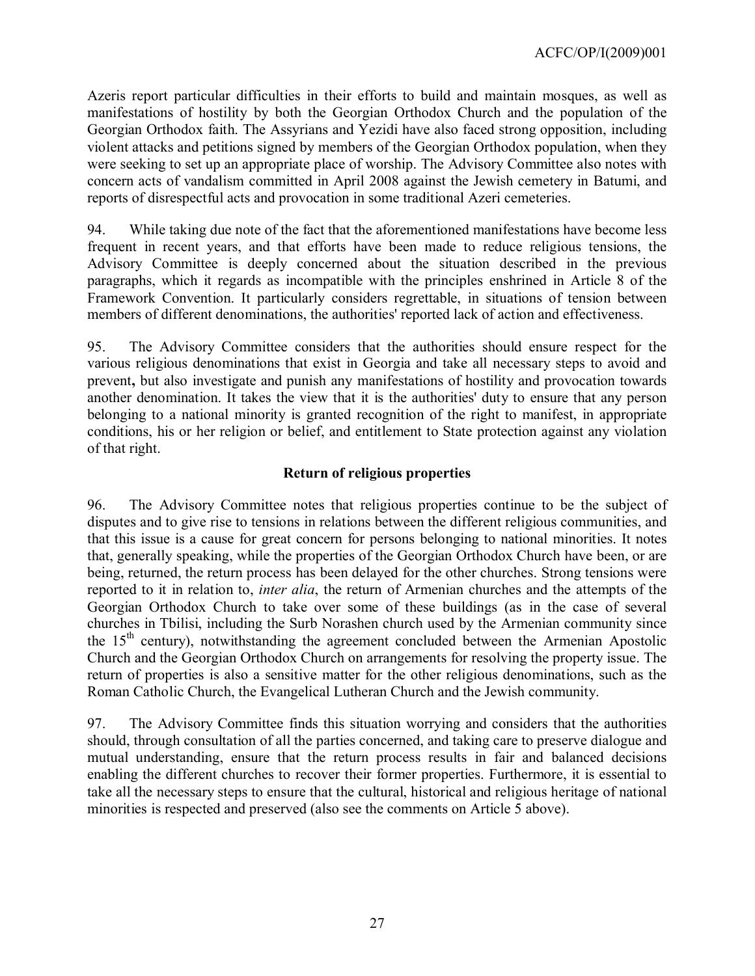Azeris report particular difficulties in their efforts to build and maintain mosques, as well as manifestations of hostility by both the Georgian Orthodox Church and the population of the Georgian Orthodox faith. The Assyrians and Yezidi have also faced strong opposition, including violent attacks and petitions signed by members of the Georgian Orthodox population, when they were seeking to set up an appropriate place of worship. The Advisory Committee also notes with concern acts of vandalism committed in April 2008 against the Jewish cemetery in Batumi, and reports of disrespectful acts and provocation in some traditional Azeri cemeteries.

94. While taking due note of the fact that the aforementioned manifestations have become less frequent in recent years, and that efforts have been made to reduce religious tensions, the Advisory Committee is deeply concerned about the situation described in the previous paragraphs, which it regards as incompatible with the principles enshrined in Article 8 of the Framework Convention. It particularly considers regrettable, in situations of tension between members of different denominations, the authorities' reported lack of action and effectiveness.

95. The Advisory Committee considers that the authorities should ensure respect for the various religious denominations that exist in Georgia and take all necessary steps to avoid and prevent**,** but also investigate and punish any manifestations of hostility and provocation towards another denomination. It takes the view that it is the authorities' duty to ensure that any person belonging to a national minority is granted recognition of the right to manifest, in appropriate conditions, his or her religion or belief, and entitlement to State protection against any violation of that right.

## **Return of religious properties**

96. The Advisory Committee notes that religious properties continue to be the subject of disputes and to give rise to tensions in relations between the different religious communities, and that this issue is a cause for great concern for persons belonging to national minorities. It notes that, generally speaking, while the properties of the Georgian Orthodox Church have been, or are being, returned, the return process has been delayed for the other churches. Strong tensions were reported to it in relation to, *inter alia*, the return of Armenian churches and the attempts of the Georgian Orthodox Church to take over some of these buildings (as in the case of several churches in Tbilisi, including the Surb Norashen church used by the Armenian community since the  $15<sup>th</sup>$  century), notwithstanding the agreement concluded between the Armenian Apostolic Church and the Georgian Orthodox Church on arrangements for resolving the property issue. The return of properties is also a sensitive matter for the other religious denominations, such as the Roman Catholic Church, the Evangelical Lutheran Church and the Jewish community.

97. The Advisory Committee finds this situation worrying and considers that the authorities should, through consultation of all the parties concerned, and taking care to preserve dialogue and mutual understanding, ensure that the return process results in fair and balanced decisions enabling the different churches to recover their former properties. Furthermore, it is essential to take all the necessary steps to ensure that the cultural, historical and religious heritage of national minorities is respected and preserved (also see the comments on Article 5 above).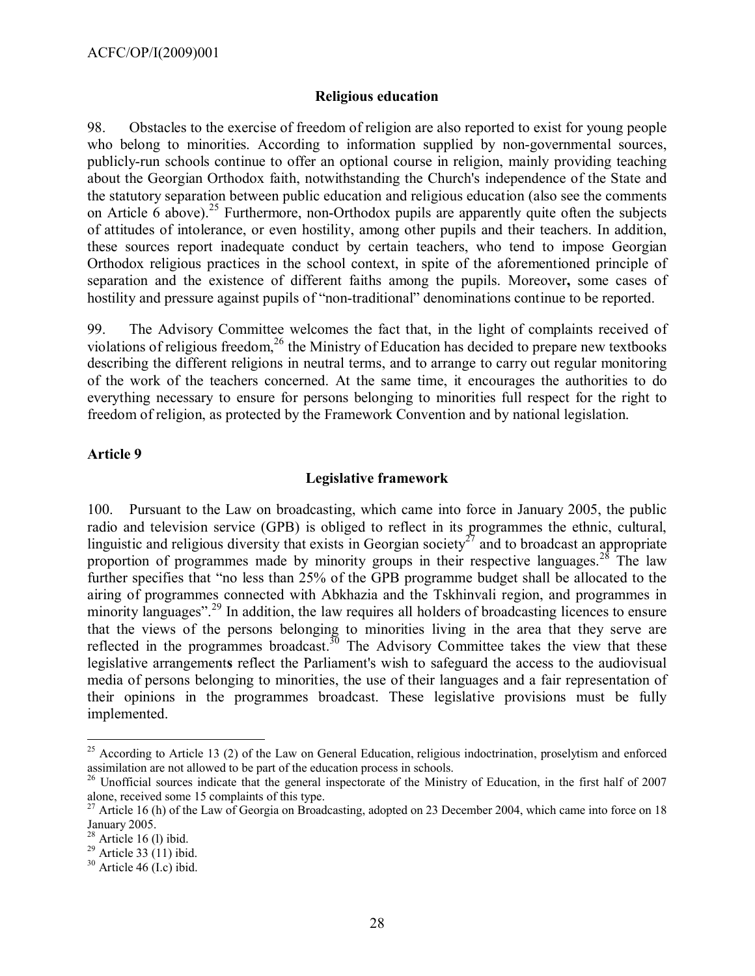#### **Religious education**

98. Obstacles to the exercise of freedom of religion are also reported to exist for young people who belong to minorities. According to information supplied by non-governmental sources, publicly-run schools continue to offer an optional course in religion, mainly providing teaching about the Georgian Orthodox faith, notwithstanding the Church's independence of the State and the statutory separation between public education and religious education (also see the comments on Article 6 above).<sup>[25](#page-27-0)</sup> Furthermore, non-Orthodox pupils are apparently quite often the subjects of attitudes of intolerance, or even hostility, among other pupils and their teachers. In addition, these sources report inadequate conduct by certain teachers, who tend to impose Georgian Orthodox religious practices in the school context, in spite of the aforementioned principle of separation and the existence of different faiths among the pupils. Moreover**,** some cases of hostility and pressure against pupils of "non-traditional" denominations continue to be reported.

99. The Advisory Committee welcomes the fact that, in the light of complaints received of violations of religious freedom, [26](#page-27-1) the Ministry of Education has decided to prepare new textbooks describing the different religions in neutral terms, and to arrange to carry out regular monitoring of the work of the teachers concerned. At the same time, it encourages the authorities to do everything necessary to ensure for persons belonging to minorities full respect for the right to freedom of religion, as protected by the Framework Convention and by national legislation.

#### **Article 9**

#### **Legislative framework**

100. Pursuant to the Law on broadcasting, which came into force in January 2005, the public radio and television service (GPB) is obliged to reflect in its programmes the ethnic, cultural, linguistic and religious diversity that exists in Georgian society<sup>[27](#page-27-2)</sup> and to broadcast an appropriate proportion of programmes made by minority groups in their respective languages.<sup>[28](#page-27-3)</sup> The law further specifies that "no less than 25% of the GPB programme budget shall be allocated to the airing of programmes connected with Abkhazia and the Tskhinvali region, and programmes in minority languages".<sup>[29](#page-27-4)</sup> In addition, the law requires all holders of broadcasting licences to ensure that the views of the persons belonging to minorities living in the area that they serve are reflected in the programmes broadcast.<sup>[30](#page-27-5)</sup> The Advisory Committee takes the view that these legislative arrangement**s** reflect the Parliament's wish to safeguard the access to the audiovisual media of persons belonging to minorities, the use of their languages and a fair representation of their opinions in the programmes broadcast. These legislative provisions must be fully implemented.

 $\overline{a}$ 

<span id="page-27-0"></span> $^{25}$  According to Article 13 (2) of the Law on General Education, religious indoctrination, proselytism and enforced assimilation are not allowed to be part of the education process in schools.

<span id="page-27-1"></span><sup>&</sup>lt;sup>26</sup> Unofficial sources indicate that the general inspectorate of the Ministry of Education, in the first half of 2007 alone, received some 15 complaints of this type.

<span id="page-27-2"></span><sup>&</sup>lt;sup>27</sup> Article 16 (h) of the Law of Georgia on Broadcasting, adopted on 23 December 2004, which came into force on 18 January 2005.

<span id="page-27-3"></span> $28$  Article 16 (1) ibid.

<span id="page-27-4"></span> $^{29}$  Article 33 (11) ibid.

<span id="page-27-5"></span> $30$  Article 46 (I.e) ibid.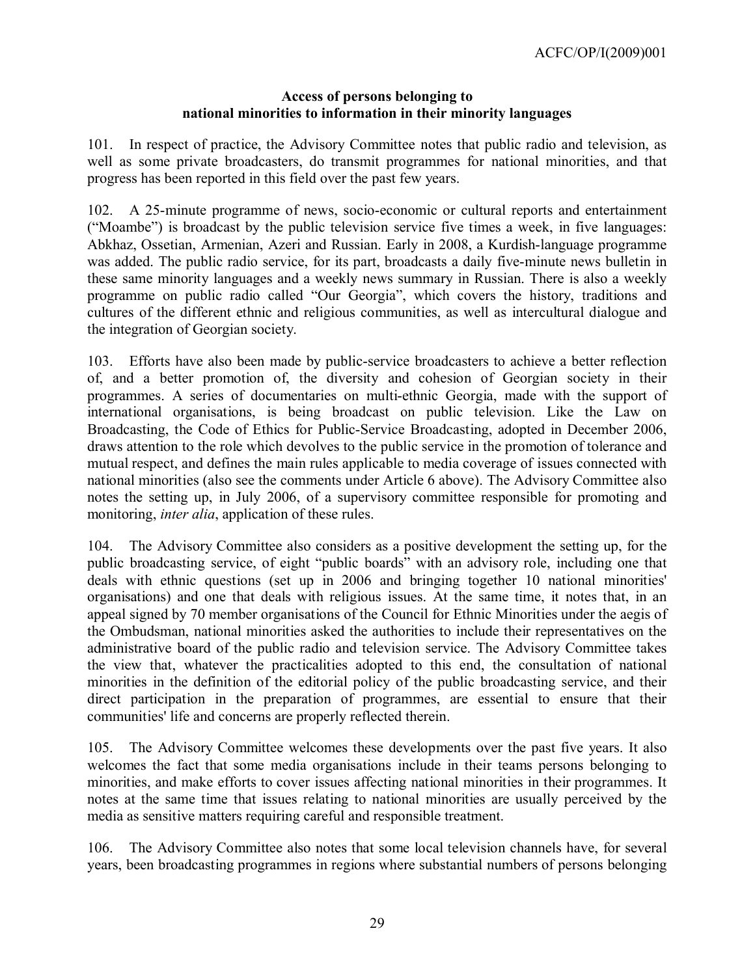#### **Access of persons belonging to national minorities to information in their minority languages**

101. In respect of practice, the Advisory Committee notes that public radio and television, as well as some private broadcasters, do transmit programmes for national minorities, and that progress has been reported in this field over the past few years.

102. A 25-minute programme of news, socio-economic or cultural reports and entertainment ("Moambe") is broadcast by the public television service five times a week, in five languages: Abkhaz, Ossetian, Armenian, Azeri and Russian. Early in 2008, a Kurdish-language programme was added. The public radio service, for its part, broadcasts a daily five-minute news bulletin in these same minority languages and a weekly news summary in Russian. There is also a weekly programme on public radio called "Our Georgia", which covers the history, traditions and cultures of the different ethnic and religious communities, as well as intercultural dialogue and the integration of Georgian society.

103. Efforts have also been made by public-service broadcasters to achieve a better reflection of, and a better promotion of, the diversity and cohesion of Georgian society in their programmes. A series of documentaries on multi-ethnic Georgia, made with the support of international organisations, is being broadcast on public television. Like the Law on Broadcasting, the Code of Ethics for Public-Service Broadcasting, adopted in December 2006, draws attention to the role which devolves to the public service in the promotion of tolerance and mutual respect, and defines the main rules applicable to media coverage of issues connected with national minorities (also see the comments under Article 6 above). The Advisory Committee also notes the setting up, in July 2006, of a supervisory committee responsible for promoting and monitoring, *inter alia*, application of these rules.

104. The Advisory Committee also considers as a positive development the setting up, for the public broadcasting service, of eight "public boards" with an advisory role, including one that deals with ethnic questions (set up in 2006 and bringing together 10 national minorities' organisations) and one that deals with religious issues. At the same time, it notes that, in an appeal signed by 70 member organisations of the Council for Ethnic Minorities under the aegis of the Ombudsman, national minorities asked the authorities to include their representatives on the administrative board of the public radio and television service. The Advisory Committee takes the view that, whatever the practicalities adopted to this end, the consultation of national minorities in the definition of the editorial policy of the public broadcasting service, and their direct participation in the preparation of programmes, are essential to ensure that their communities' life and concerns are properly reflected therein.

105. The Advisory Committee welcomes these developments over the past five years. It also welcomes the fact that some media organisations include in their teams persons belonging to minorities, and make efforts to cover issues affecting national minorities in their programmes. It notes at the same time that issues relating to national minorities are usually perceived by the media as sensitive matters requiring careful and responsible treatment.

106. The Advisory Committee also notes that some local television channels have, for several years, been broadcasting programmes in regions where substantial numbers of persons belonging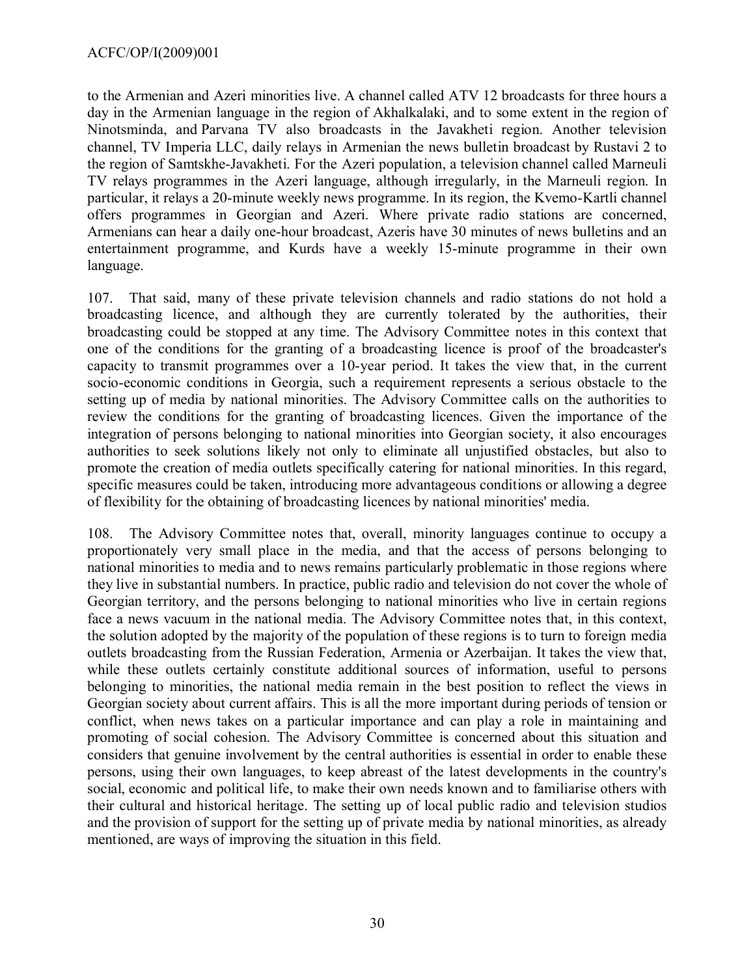to the Armenian and Azeri minorities live. A channel called ATV 12 broadcasts for three hours a day in the Armenian language in the region of Akhalkalaki, and to some extent in the region of Ninotsminda, and Parvana TV also broadcasts in the Javakheti region. Another television channel, TV Imperia LLC, daily relays in Armenian the news bulletin broadcast by Rustavi 2 to the region of Samtskhe-Javakheti. For the Azeri population, a television channel called Marneuli TV relays programmes in the Azeri language, although irregularly, in the Marneuli region. In particular, it relays a 20-minute weekly news programme. In its region, the Kvemo-Kartli channel offers programmes in Georgian and Azeri. Where private radio stations are concerned, Armenians can hear a daily one-hour broadcast, Azeris have 30 minutes of news bulletins and an entertainment programme, and Kurds have a weekly 15-minute programme in their own language.

107. That said, many of these private television channels and radio stations do not hold a broadcasting licence, and although they are currently tolerated by the authorities, their broadcasting could be stopped at any time. The Advisory Committee notes in this context that one of the conditions for the granting of a broadcasting licence is proof of the broadcaster's capacity to transmit programmes over a 10-year period. It takes the view that, in the current socio-economic conditions in Georgia, such a requirement represents a serious obstacle to the setting up of media by national minorities. The Advisory Committee calls on the authorities to review the conditions for the granting of broadcasting licences. Given the importance of the integration of persons belonging to national minorities into Georgian society, it also encourages authorities to seek solutions likely not only to eliminate all unjustified obstacles, but also to promote the creation of media outlets specifically catering for national minorities. In this regard, specific measures could be taken, introducing more advantageous conditions or allowing a degree of flexibility for the obtaining of broadcasting licences by national minorities' media.

108. The Advisory Committee notes that, overall, minority languages continue to occupy a proportionately very small place in the media, and that the access of persons belonging to national minorities to media and to news remains particularly problematic in those regions where they live in substantial numbers. In practice, public radio and television do not cover the whole of Georgian territory, and the persons belonging to national minorities who live in certain regions face a news vacuum in the national media. The Advisory Committee notes that, in this context, the solution adopted by the majority of the population of these regions is to turn to foreign media outlets broadcasting from the Russian Federation, Armenia or Azerbaijan. It takes the view that, while these outlets certainly constitute additional sources of information, useful to persons belonging to minorities, the national media remain in the best position to reflect the views in Georgian society about current affairs. This is all the more important during periods of tension or conflict, when news takes on a particular importance and can play a role in maintaining and promoting of social cohesion. The Advisory Committee is concerned about this situation and considers that genuine involvement by the central authorities is essential in order to enable these persons, using their own languages, to keep abreast of the latest developments in the country's social, economic and political life, to make their own needs known and to familiarise others with their cultural and historical heritage. The setting up of local public radio and television studios and the provision of support for the setting up of private media by national minorities, as already mentioned, are ways of improving the situation in this field.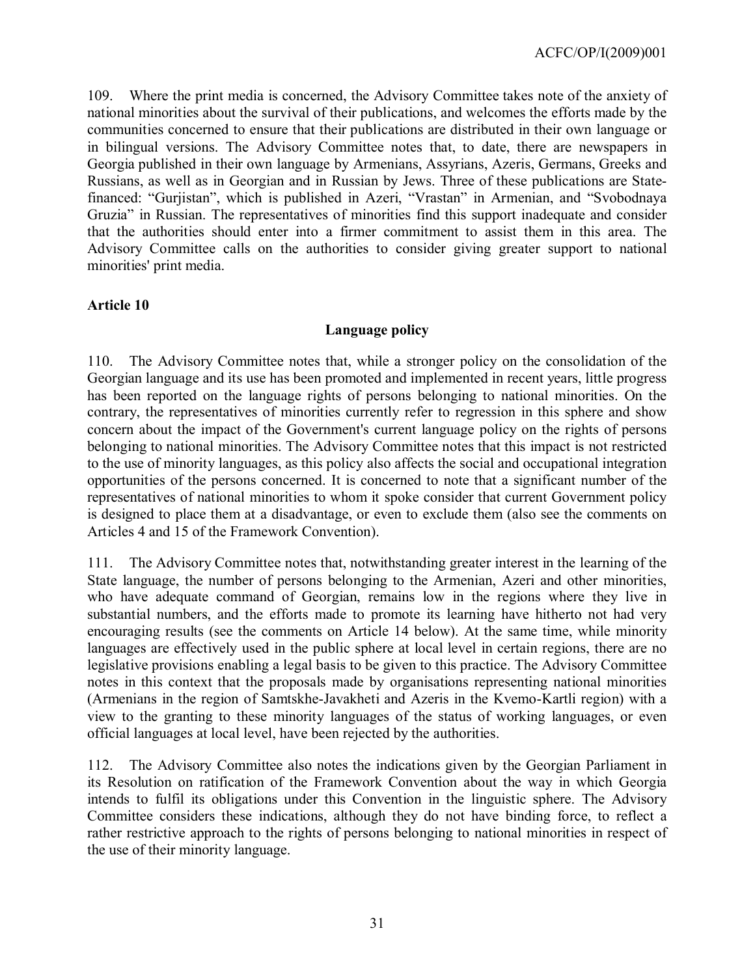109. Where the print media is concerned, the Advisory Committee takes note of the anxiety of national minorities about the survival of their publications, and welcomes the efforts made by the communities concerned to ensure that their publications are distributed in their own language or in bilingual versions. The Advisory Committee notes that, to date, there are newspapers in Georgia published in their own language by Armenians, Assyrians, Azeris, Germans, Greeks and Russians, as well as in Georgian and in Russian by Jews. Three of these publications are Statefinanced: "Gurjistan", which is published in Azeri, "Vrastan" in Armenian, and "Svobodnaya Gruzia" in Russian. The representatives of minorities find this support inadequate and consider that the authorities should enter into a firmer commitment to assist them in this area. The Advisory Committee calls on the authorities to consider giving greater support to national minorities' print media.

#### **Article 10**

## **Language policy**

110. The Advisory Committee notes that, while a stronger policy on the consolidation of the Georgian language and its use has been promoted and implemented in recent years, little progress has been reported on the language rights of persons belonging to national minorities. On the contrary, the representatives of minorities currently refer to regression in this sphere and show concern about the impact of the Government's current language policy on the rights of persons belonging to national minorities. The Advisory Committee notes that this impact is not restricted to the use of minority languages, as this policy also affects the social and occupational integration opportunities of the persons concerned. It is concerned to note that a significant number of the representatives of national minorities to whom it spoke consider that current Government policy is designed to place them at a disadvantage, or even to exclude them (also see the comments on Articles 4 and 15 of the Framework Convention).

111. The Advisory Committee notes that, notwithstanding greater interest in the learning of the State language, the number of persons belonging to the Armenian, Azeri and other minorities, who have adequate command of Georgian, remains low in the regions where they live in substantial numbers, and the efforts made to promote its learning have hitherto not had very encouraging results (see the comments on Article 14 below). At the same time, while minority languages are effectively used in the public sphere at local level in certain regions, there are no legislative provisions enabling a legal basis to be given to this practice. The Advisory Committee notes in this context that the proposals made by organisations representing national minorities (Armenians in the region of Samtskhe-Javakheti and Azeris in the Kvemo-Kartli region) with a view to the granting to these minority languages of the status of working languages, or even official languages at local level, have been rejected by the authorities.

112. The Advisory Committee also notes the indications given by the Georgian Parliament in its Resolution on ratification of the Framework Convention about the way in which Georgia intends to fulfil its obligations under this Convention in the linguistic sphere. The Advisory Committee considers these indications, although they do not have binding force, to reflect a rather restrictive approach to the rights of persons belonging to national minorities in respect of the use of their minority language.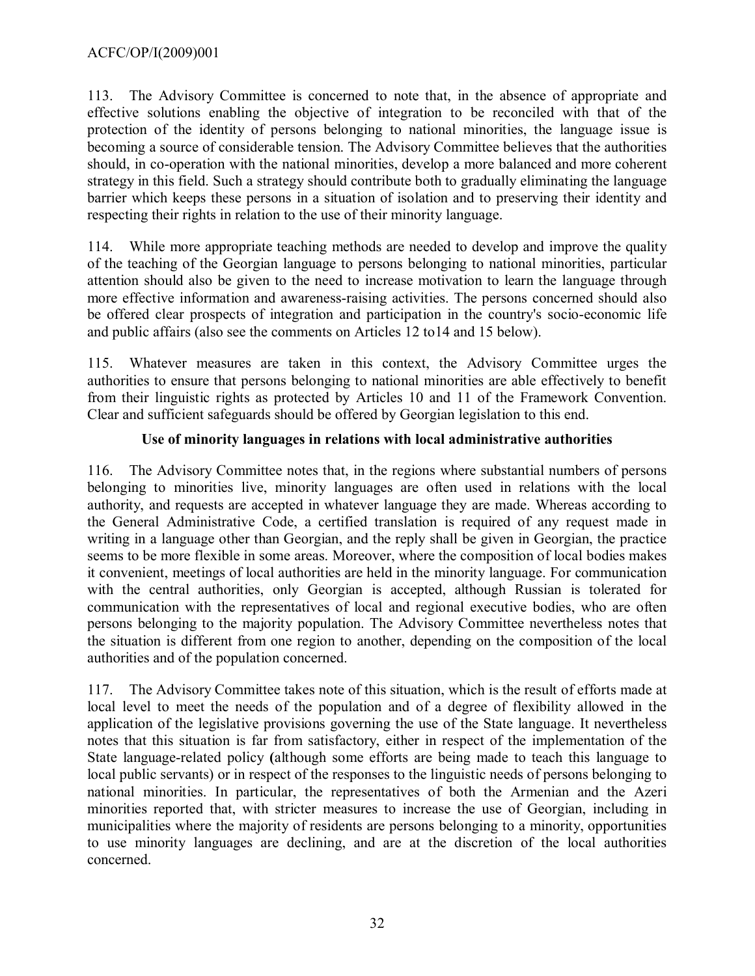113. The Advisory Committee is concerned to note that, in the absence of appropriate and effective solutions enabling the objective of integration to be reconciled with that of the protection of the identity of persons belonging to national minorities, the language issue is becoming a source of considerable tension. The Advisory Committee believes that the authorities should, in co-operation with the national minorities, develop a more balanced and more coherent strategy in this field. Such a strategy should contribute both to gradually eliminating the language barrier which keeps these persons in a situation of isolation and to preserving their identity and respecting their rights in relation to the use of their minority language.

114. While more appropriate teaching methods are needed to develop and improve the quality of the teaching of the Georgian language to persons belonging to national minorities, particular attention should also be given to the need to increase motivation to learn the language through more effective information and awareness-raising activities. The persons concerned should also be offered clear prospects of integration and participation in the country's socio-economic life and public affairs (also see the comments on Articles 12 to14 and 15 below).

115. Whatever measures are taken in this context, the Advisory Committee urges the authorities to ensure that persons belonging to national minorities are able effectively to benefit from their linguistic rights as protected by Articles 10 and 11 of the Framework Convention. Clear and sufficient safeguards should be offered by Georgian legislation to this end.

## **Use of minority languages in relations with local administrative authorities**

116. The Advisory Committee notes that, in the regions where substantial numbers of persons belonging to minorities live, minority languages are often used in relations with the local authority, and requests are accepted in whatever language they are made. Whereas according to the General Administrative Code, a certified translation is required of any request made in writing in a language other than Georgian, and the reply shall be given in Georgian, the practice seems to be more flexible in some areas. Moreover, where the composition of local bodies makes it convenient, meetings of local authorities are held in the minority language. For communication with the central authorities, only Georgian is accepted, although Russian is tolerated for communication with the representatives of local and regional executive bodies, who are often persons belonging to the majority population. The Advisory Committee nevertheless notes that the situation is different from one region to another, depending on the composition of the local authorities and of the population concerned.

117. The Advisory Committee takes note of this situation, which is the result of efforts made at local level to meet the needs of the population and of a degree of flexibility allowed in the application of the legislative provisions governing the use of the State language. It nevertheless notes that this situation is far from satisfactory, either in respect of the implementation of the State language-related policy **(**although some efforts are being made to teach this language to local public servants) or in respect of the responses to the linguistic needs of persons belonging to national minorities. In particular, the representatives of both the Armenian and the Azeri minorities reported that, with stricter measures to increase the use of Georgian, including in municipalities where the majority of residents are persons belonging to a minority, opportunities to use minority languages are declining, and are at the discretion of the local authorities concerned.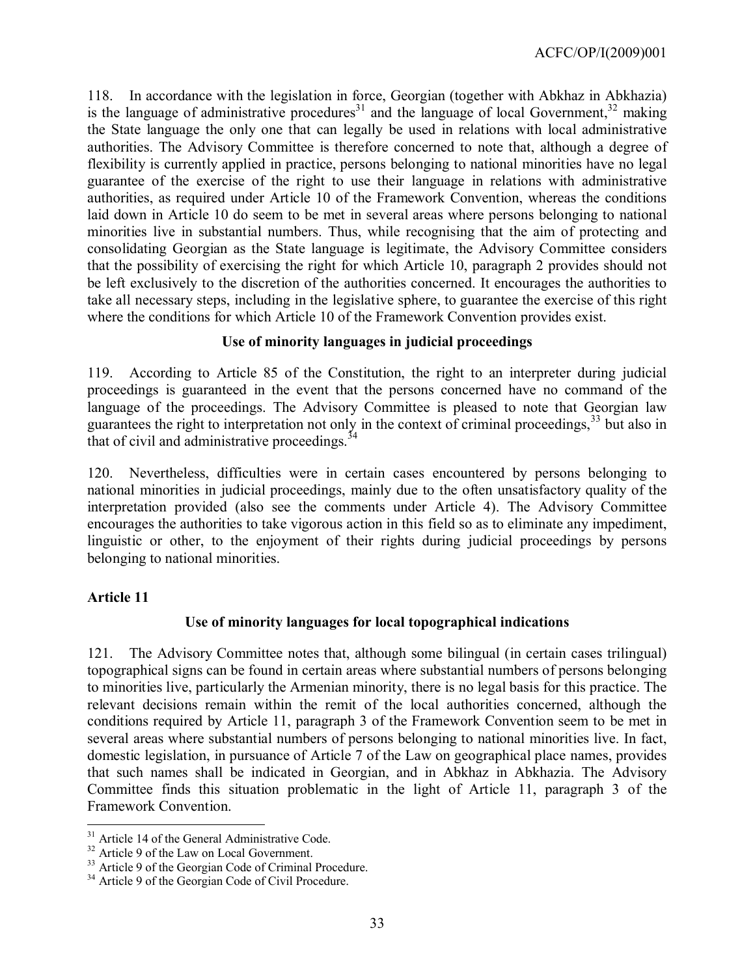118. In accordance with the legislation in force, Georgian (together with Abkhaz in Abkhazia) is the language of administrative procedures<sup>[31](#page-32-0)</sup> and the language of local Government,<sup>[32](#page-32-1)</sup> making the State language the only one that can legally be used in relations with local administrative authorities. The Advisory Committee is therefore concerned to note that, although a degree of flexibility is currently applied in practice, persons belonging to national minorities have no legal guarantee of the exercise of the right to use their language in relations with administrative authorities, as required under Article 10 of the Framework Convention, whereas the conditions laid down in Article 10 do seem to be met in several areas where persons belonging to national minorities live in substantial numbers. Thus, while recognising that the aim of protecting and consolidating Georgian as the State language is legitimate, the Advisory Committee considers that the possibility of exercising the right for which Article 10, paragraph 2 provides should not be left exclusively to the discretion of the authorities concerned. It encourages the authorities to take all necessary steps, including in the legislative sphere, to guarantee the exercise of this right where the conditions for which Article 10 of the Framework Convention provides exist.

## **Use of minority languages in judicial proceedings**

119. According to Article 85 of the Constitution, the right to an interpreter during judicial proceedings is guaranteed in the event that the persons concerned have no command of the language of the proceedings. The Advisory Committee is pleased to note that Georgian law guarantees the right to interpretation not only in the context of criminal proceedings, [33](#page-32-2) but also in that of civil and administrative proceedings.<sup>[34](#page-32-3)</sup>

120. Nevertheless, difficulties were in certain cases encountered by persons belonging to national minorities in judicial proceedings, mainly due to the often unsatisfactory quality of the interpretation provided (also see the comments under Article 4). The Advisory Committee encourages the authorities to take vigorous action in this field so as to eliminate any impediment, linguistic or other, to the enjoyment of their rights during judicial proceedings by persons belonging to national minorities.

## **Article 11**

 $\overline{a}$ 

## **Use of minority languages for local topographical indications**

121. The Advisory Committee notes that, although some bilingual (in certain cases trilingual) topographical signs can be found in certain areas where substantial numbers of persons belonging to minorities live, particularly the Armenian minority, there is no legal basis for this practice. The relevant decisions remain within the remit of the local authorities concerned, although the conditions required by Article 11, paragraph 3 of the Framework Convention seem to be met in several areas where substantial numbers of persons belonging to national minorities live. In fact, domestic legislation, in pursuance of Article 7 of the Law on geographical place names, provides that such names shall be indicated in Georgian, and in Abkhaz in Abkhazia. The Advisory Committee finds this situation problematic in the light of Article 11, paragraph 3 of the Framework Convention.

<span id="page-32-0"></span><sup>&</sup>lt;sup>31</sup> Article 14 of the General Administrative Code.

<span id="page-32-2"></span><span id="page-32-1"></span><sup>&</sup>lt;sup>32</sup> Article 9 of the Law on Local Government.

<sup>33</sup> Article 9 of the Georgian Code of Criminal Procedure.

<span id="page-32-3"></span><sup>&</sup>lt;sup>34</sup> Article 9 of the Georgian Code of Civil Procedure.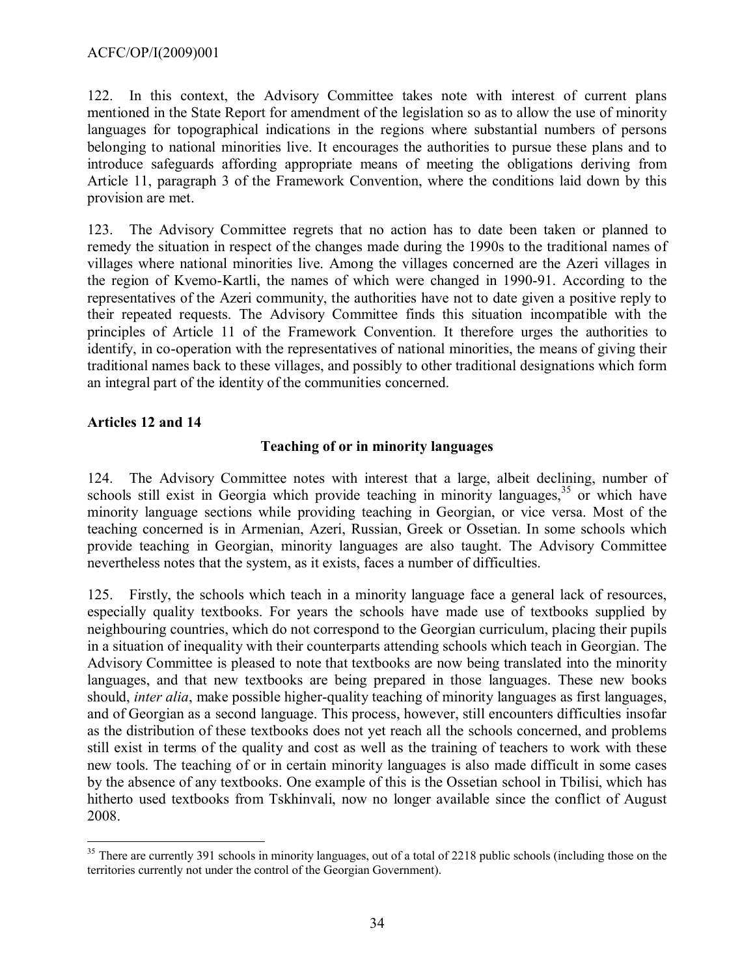122. In this context, the Advisory Committee takes note with interest of current plans mentioned in the State Report for amendment of the legislation so as to allow the use of minority languages for topographical indications in the regions where substantial numbers of persons belonging to national minorities live. It encourages the authorities to pursue these plans and to introduce safeguards affording appropriate means of meeting the obligations deriving from Article 11, paragraph 3 of the Framework Convention, where the conditions laid down by this provision are met.

123. The Advisory Committee regrets that no action has to date been taken or planned to remedy the situation in respect of the changes made during the 1990s to the traditional names of villages where national minorities live. Among the villages concerned are the Azeri villages in the region of Kvemo-Kartli, the names of which were changed in 1990-91. According to the representatives of the Azeri community, the authorities have not to date given a positive reply to their repeated requests. The Advisory Committee finds this situation incompatible with the principles of Article 11 of the Framework Convention. It therefore urges the authorities to identify, in co-operation with the representatives of national minorities, the means of giving their traditional names back to these villages, and possibly to other traditional designations which form an integral part of the identity of the communities concerned.

## **Articles 12 and 14**

## **Teaching of or in minority languages**

124. The Advisory Committee notes with interest that a large, albeit declining, number of schools still exist in Georgia which provide teaching in minority languages,<sup>[35](#page-33-0)</sup> or which have minority language sections while providing teaching in Georgian, or vice versa. Most of the teaching concerned is in Armenian, Azeri, Russian, Greek or Ossetian. In some schools which provide teaching in Georgian, minority languages are also taught. The Advisory Committee nevertheless notes that the system, as it exists, faces a number of difficulties.

125. Firstly, the schools which teach in a minority language face a general lack of resources, especially quality textbooks. For years the schools have made use of textbooks supplied by neighbouring countries, which do not correspond to the Georgian curriculum, placing their pupils in a situation of inequality with their counterparts attending schools which teach in Georgian. The Advisory Committee is pleased to note that textbooks are now being translated into the minority languages, and that new textbooks are being prepared in those languages. These new books should, *inter alia*, make possible higher-quality teaching of minority languages as first languages, and of Georgian as a second language. This process, however, still encounters difficulties insofar as the distribution of these textbooks does not yet reach all the schools concerned, and problems still exist in terms of the quality and cost as well as the training of teachers to work with these new tools. The teaching of or in certain minority languages is also made difficult in some cases by the absence of any textbooks. One example of this is the Ossetian school in Tbilisi, which has hitherto used textbooks from Tskhinvali, now no longer available since the conflict of August 2008.

<span id="page-33-0"></span> $\overline{a}$ <sup>35</sup> There are currently 391 schools in minority languages, out of a total of 2218 public schools (including those on the territories currently not under the control of the Georgian Government).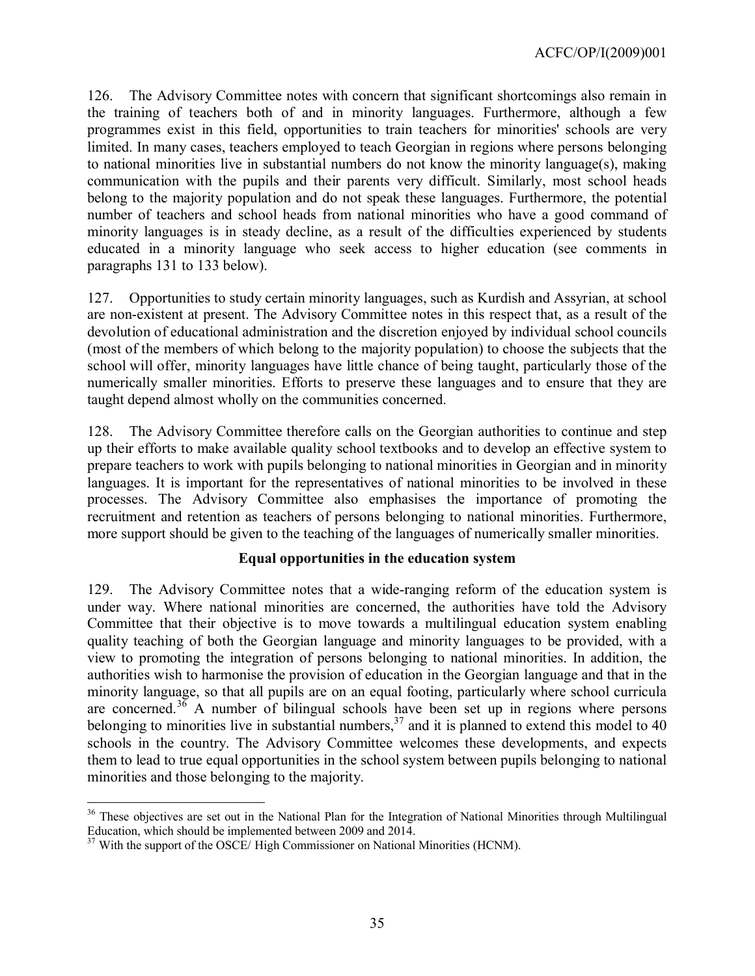126. The Advisory Committee notes with concern that significant shortcomings also remain in the training of teachers both of and in minority languages. Furthermore, although a few programmes exist in this field, opportunities to train teachers for minorities' schools are very limited. In many cases, teachers employed to teach Georgian in regions where persons belonging to national minorities live in substantial numbers do not know the minority language(s), making communication with the pupils and their parents very difficult. Similarly, most school heads belong to the majority population and do not speak these languages. Furthermore, the potential number of teachers and school heads from national minorities who have a good command of minority languages is in steady decline, as a result of the difficulties experienced by students educated in a minority language who seek access to higher education (see comments in paragraphs 131 to 133 below).

127. Opportunities to study certain minority languages, such as Kurdish and Assyrian, at school are non-existent at present. The Advisory Committee notes in this respect that, as a result of the devolution of educational administration and the discretion enjoyed by individual school councils (most of the members of which belong to the majority population) to choose the subjects that the school will offer, minority languages have little chance of being taught, particularly those of the numerically smaller minorities. Efforts to preserve these languages and to ensure that they are taught depend almost wholly on the communities concerned.

128. The Advisory Committee therefore calls on the Georgian authorities to continue and step up their efforts to make available quality school textbooks and to develop an effective system to prepare teachers to work with pupils belonging to national minorities in Georgian and in minority languages. It is important for the representatives of national minorities to be involved in these processes. The Advisory Committee also emphasises the importance of promoting the recruitment and retention as teachers of persons belonging to national minorities. Furthermore, more support should be given to the teaching of the languages of numerically smaller minorities.

#### **Equal opportunities in the education system**

129. The Advisory Committee notes that a wide-ranging reform of the education system is under way. Where national minorities are concerned, the authorities have told the Advisory Committee that their objective is to move towards a multilingual education system enabling quality teaching of both the Georgian language and minority languages to be provided, with a view to promoting the integration of persons belonging to national minorities. In addition, the authorities wish to harmonise the provision of education in the Georgian language and that in the minority language, so that all pupils are on an equal footing, particularly where school curricula are concerned.<sup>[36](#page-34-0)</sup> A number of bilingual schools have been set up in regions where persons belonging to minorities live in substantial numbers,  $37$  and it is planned to extend this model to 40 schools in the country. The Advisory Committee welcomes these developments, and expects them to lead to true equal opportunities in the school system between pupils belonging to national minorities and those belonging to the majority.

<span id="page-34-0"></span> $\overline{a}$ <sup>36</sup> These objectives are set out in the National Plan for the Integration of National Minorities through Multilingual Education, which should be implemented between 2009 and 2014.

<span id="page-34-1"></span><sup>&</sup>lt;sup>37</sup> With the support of the OSCE/ High Commissioner on National Minorities (HCNM).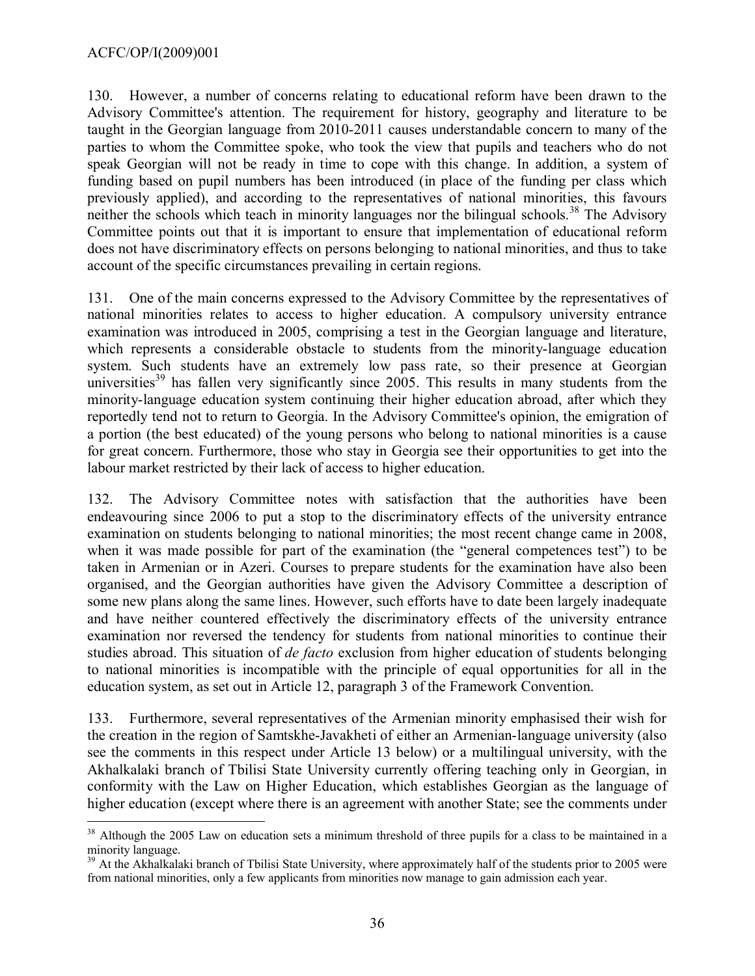#### ACFC/OP/I(2009)001

 $\overline{a}$ 

130. However, a number of concerns relating to educational reform have been drawn to the Advisory Committee's attention. The requirement for history, geography and literature to be taught in the Georgian language from 2010-2011 causes understandable concern to many of the parties to whom the Committee spoke, who took the view that pupils and teachers who do not speak Georgian will not be ready in time to cope with this change. In addition, a system of funding based on pupil numbers has been introduced (in place of the funding per class which previously applied), and according to the representatives of national minorities, this favours neither the schools which teach in minority languages nor the bilingual schools.<sup>[38](#page-35-0)</sup> The Advisory Committee points out that it is important to ensure that implementation of educational reform does not have discriminatory effects on persons belonging to national minorities, and thus to take account of the specific circumstances prevailing in certain regions.

131. One of the main concerns expressed to the Advisory Committee by the representatives of national minorities relates to access to higher education. A compulsory university entrance examination was introduced in 2005, comprising a test in the Georgian language and literature, which represents a considerable obstacle to students from the minority-language education system. Such students have an extremely low pass rate, so their presence at Georgian universities<sup>[39](#page-35-1)</sup> has fallen very significantly since 2005. This results in many students from the minority-language education system continuing their higher education abroad, after which they reportedly tend not to return to Georgia. In the Advisory Committee's opinion, the emigration of a portion (the best educated) of the young persons who belong to national minorities is a cause for great concern. Furthermore, those who stay in Georgia see their opportunities to get into the labour market restricted by their lack of access to higher education.

132. The Advisory Committee notes with satisfaction that the authorities have been endeavouring since 2006 to put a stop to the discriminatory effects of the university entrance examination on students belonging to national minorities; the most recent change came in 2008, when it was made possible for part of the examination (the "general competences test") to be taken in Armenian or in Azeri. Courses to prepare students for the examination have also been organised, and the Georgian authorities have given the Advisory Committee a description of some new plans along the same lines. However, such efforts have to date been largely inadequate and have neither countered effectively the discriminatory effects of the university entrance examination nor reversed the tendency for students from national minorities to continue their studies abroad. This situation of *de facto* exclusion from higher education of students belonging to national minorities is incompatible with the principle of equal opportunities for all in the education system, as set out in Article 12, paragraph 3 of the Framework Convention.

133. Furthermore, several representatives of the Armenian minority emphasised their wish for the creation in the region of Samtskhe-Javakheti of either an Armenian-language university (also see the comments in this respect under Article 13 below) or a multilingual university, with the Akhalkalaki branch of Tbilisi State University currently offering teaching only in Georgian, in conformity with the Law on Higher Education, which establishes Georgian as the language of higher education (except where there is an agreement with another State; see the comments under

<span id="page-35-0"></span><sup>&</sup>lt;sup>38</sup> Although the 2005 Law on education sets a minimum threshold of three pupils for a class to be maintained in a minority language.

<span id="page-35-1"></span><sup>&</sup>lt;sup>39</sup> At the Akhalkalaki branch of Tbilisi State University, where approximately half of the students prior to 2005 were from national minorities, only a few applicants from minorities now manage to gain admission each year.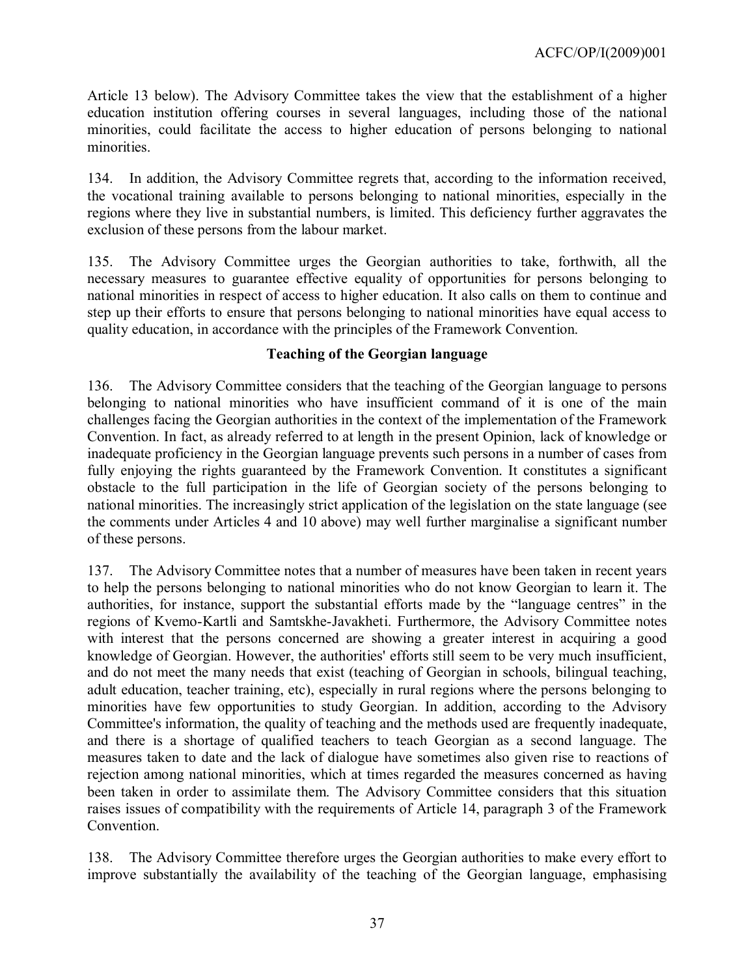Article 13 below). The Advisory Committee takes the view that the establishment of a higher education institution offering courses in several languages, including those of the national minorities, could facilitate the access to higher education of persons belonging to national minorities.

134. In addition, the Advisory Committee regrets that, according to the information received, the vocational training available to persons belonging to national minorities, especially in the regions where they live in substantial numbers, is limited. This deficiency further aggravates the exclusion of these persons from the labour market.

135. The Advisory Committee urges the Georgian authorities to take, forthwith, all the necessary measures to guarantee effective equality of opportunities for persons belonging to national minorities in respect of access to higher education. It also calls on them to continue and step up their efforts to ensure that persons belonging to national minorities have equal access to quality education, in accordance with the principles of the Framework Convention.

## **Teaching of the Georgian language**

136. The Advisory Committee considers that the teaching of the Georgian language to persons belonging to national minorities who have insufficient command of it is one of the main challenges facing the Georgian authorities in the context of the implementation of the Framework Convention. In fact, as already referred to at length in the present Opinion, lack of knowledge or inadequate proficiency in the Georgian language prevents such persons in a number of cases from fully enjoying the rights guaranteed by the Framework Convention. It constitutes a significant obstacle to the full participation in the life of Georgian society of the persons belonging to national minorities. The increasingly strict application of the legislation on the state language (see the comments under Articles 4 and 10 above) may well further marginalise a significant number of these persons.

137. The Advisory Committee notes that a number of measures have been taken in recent years to help the persons belonging to national minorities who do not know Georgian to learn it. The authorities, for instance, support the substantial efforts made by the "language centres" in the regions of Kvemo-Kartli and Samtskhe-Javakheti. Furthermore, the Advisory Committee notes with interest that the persons concerned are showing a greater interest in acquiring a good knowledge of Georgian. However, the authorities' efforts still seem to be very much insufficient, and do not meet the many needs that exist (teaching of Georgian in schools, bilingual teaching, adult education, teacher training, etc), especially in rural regions where the persons belonging to minorities have few opportunities to study Georgian. In addition, according to the Advisory Committee's information, the quality of teaching and the methods used are frequently inadequate, and there is a shortage of qualified teachers to teach Georgian as a second language. The measures taken to date and the lack of dialogue have sometimes also given rise to reactions of rejection among national minorities, which at times regarded the measures concerned as having been taken in order to assimilate them. The Advisory Committee considers that this situation raises issues of compatibility with the requirements of Article 14, paragraph 3 of the Framework Convention.

138. The Advisory Committee therefore urges the Georgian authorities to make every effort to improve substantially the availability of the teaching of the Georgian language, emphasising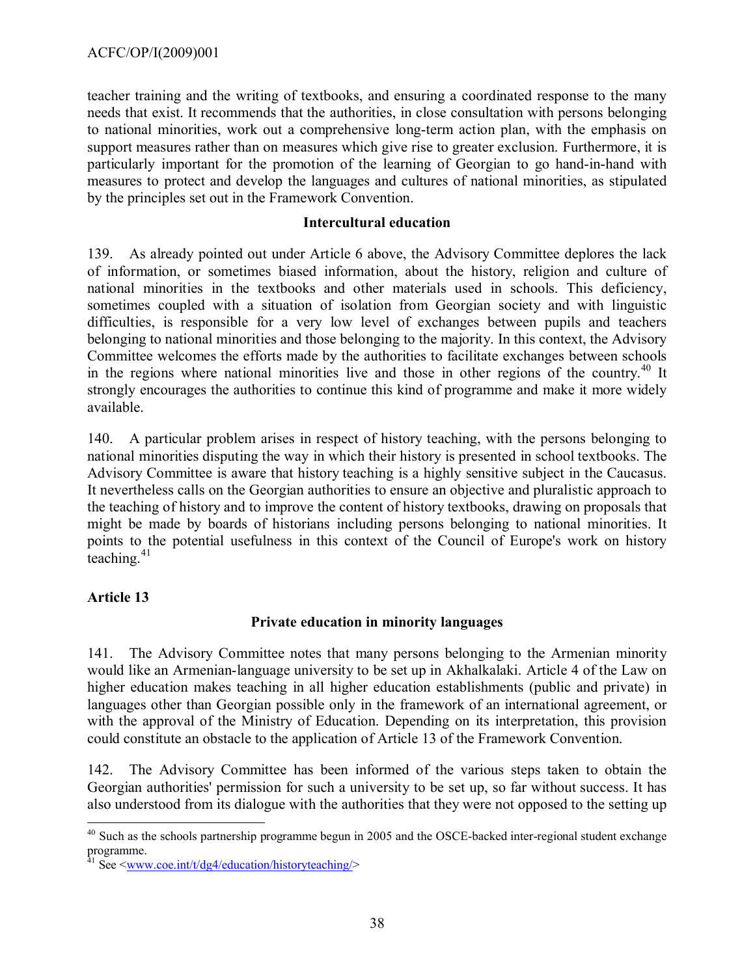teacher training and the writing of textbooks, and ensuring a coordinated response to the many needs that exist. It recommends that the authorities, in close consultation with persons belonging to national minorities, work out a comprehensive long-term action plan, with the emphasis on support measures rather than on measures which give rise to greater exclusion. Furthermore, it is particularly important for the promotion of the learning of Georgian to go hand-in-hand with measures to protect and develop the languages and cultures of national minorities, as stipulated by the principles set out in the Framework Convention.

#### **Intercultural education**

139. As already pointed out under Article 6 above, the Advisory Committee deplores the lack of information, or sometimes biased information, about the history, religion and culture of national minorities in the textbooks and other materials used in schools. This deficiency, sometimes coupled with a situation of isolation from Georgian society and with linguistic difficulties, is responsible for a very low level of exchanges between pupils and teachers belonging to national minorities and those belonging to the majority. In this context, the Advisory Committee welcomes the efforts made by the authorities to facilitate exchanges between schools in the regions where national minorities live and those in other regions of the country.<sup>[40](#page-37-0)</sup> It strongly encourages the authorities to continue this kind of programme and make it more widely available.

140. A particular problem arises in respect of history teaching, with the persons belonging to national minorities disputing the way in which their history is presented in school textbooks. The Advisory Committee is aware that history teaching is a highly sensitive subject in the Caucasus. It nevertheless calls on the Georgian authorities to ensure an objective and pluralistic approach to the teaching of history and to improve the content of history textbooks, drawing on proposals that might be made by boards of historians including persons belonging to national minorities. It points to the potential usefulness in this context of the Council of Europe's work on history teaching.<sup>[41](#page-37-1)</sup>

## **Article 13**

## **Private education in minority languages**

141. The Advisory Committee notes that many persons belonging to the Armenian minority would like an Armenian-language university to be set up in Akhalkalaki. Article 4 of the Law on higher education makes teaching in all higher education establishments (public and private) in languages other than Georgian possible only in the framework of an international agreement, or with the approval of the Ministry of Education. Depending on its interpretation, this provision could constitute an obstacle to the application of Article 13 of the Framework Convention.

142. The Advisory Committee has been informed of the various steps taken to obtain the Georgian authorities' permission for such a university to be set up, so far without success. It has also understood from its dialogue with the authorities that they were not opposed to the setting up

<span id="page-37-0"></span> $\overline{a}$ <sup>40</sup> Such as the schools partnership programme begun in 2005 and the OSCE-backed inter-regional student exchange programme.

<span id="page-37-1"></span><sup>&</sup>lt;sup>41</sup> See [<www.coe.int/t/dg4/education/historyteaching/>](http://www.coe.int/t/dg4/education/historyteaching/)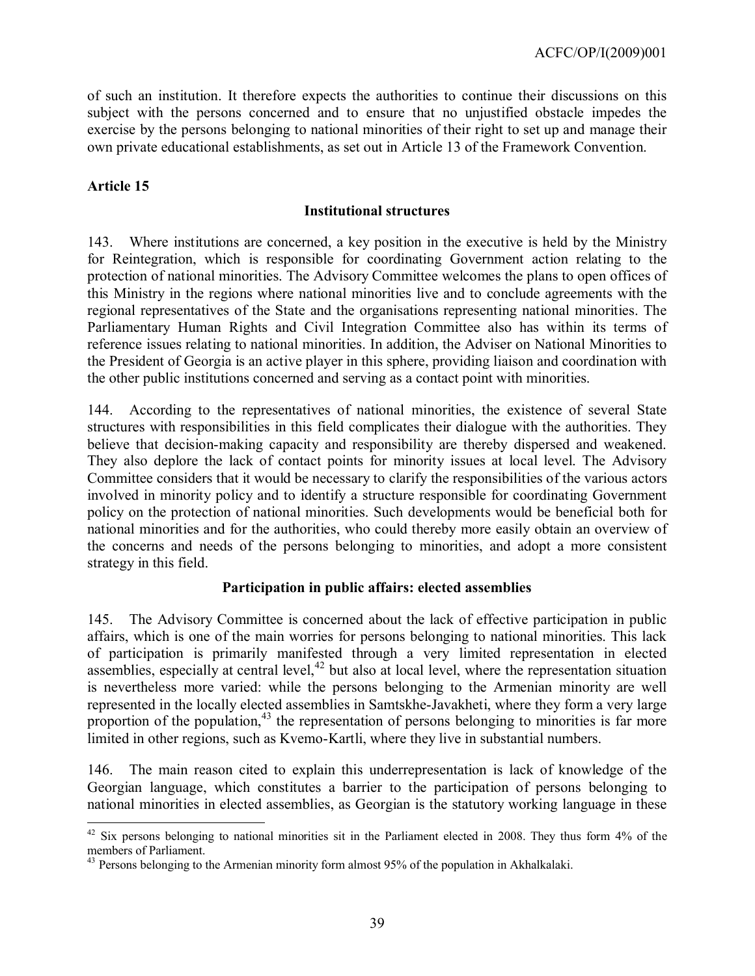of such an institution. It therefore expects the authorities to continue their discussions on this subject with the persons concerned and to ensure that no unjustified obstacle impedes the exercise by the persons belonging to national minorities of their right to set up and manage their own private educational establishments, as set out in Article 13 of the Framework Convention.

#### **Article 15**

#### **Institutional structures**

143. Where institutions are concerned, a key position in the executive is held by the Ministry for Reintegration, which is responsible for coordinating Government action relating to the protection of national minorities. The Advisory Committee welcomes the plans to open offices of this Ministry in the regions where national minorities live and to conclude agreements with the regional representatives of the State and the organisations representing national minorities. The Parliamentary Human Rights and Civil Integration Committee also has within its terms of reference issues relating to national minorities. In addition, the Adviser on National Minorities to the President of Georgia is an active player in this sphere, providing liaison and coordination with the other public institutions concerned and serving as a contact point with minorities.

144. According to the representatives of national minorities, the existence of several State structures with responsibilities in this field complicates their dialogue with the authorities. They believe that decision-making capacity and responsibility are thereby dispersed and weakened. They also deplore the lack of contact points for minority issues at local level. The Advisory Committee considers that it would be necessary to clarify the responsibilities of the various actors involved in minority policy and to identify a structure responsible for coordinating Government policy on the protection of national minorities. Such developments would be beneficial both for national minorities and for the authorities, who could thereby more easily obtain an overview of the concerns and needs of the persons belonging to minorities, and adopt a more consistent strategy in this field.

#### **Participation in public affairs: elected assemblies**

145. The Advisory Committee is concerned about the lack of effective participation in public affairs, which is one of the main worries for persons belonging to national minorities. This lack of participation is primarily manifested through a very limited representation in elected assemblies, especially at central level,<sup>[42](#page-38-0)</sup> but also at local level, where the representation situation is nevertheless more varied: while the persons belonging to the Armenian minority are well represented in the locally elected assemblies in Samtskhe-Javakheti, where they form a very large proportion of the population,<sup>[43](#page-38-1)</sup> the representation of persons belonging to minorities is far more limited in other regions, such as Kvemo-Kartli, where they live in substantial numbers.

146. The main reason cited to explain this underrepresentation is lack of knowledge of the Georgian language, which constitutes a barrier to the participation of persons belonging to national minorities in elected assemblies, as Georgian is the statutory working language in these

<span id="page-38-0"></span> $\overline{a}$  $42$  Six persons belonging to national minorities sit in the Parliament elected in 2008. They thus form  $4\%$  of the members of Parliament.

<span id="page-38-1"></span><sup>&</sup>lt;sup>43</sup> Persons belonging to the Armenian minority form almost 95% of the population in Akhalkalaki.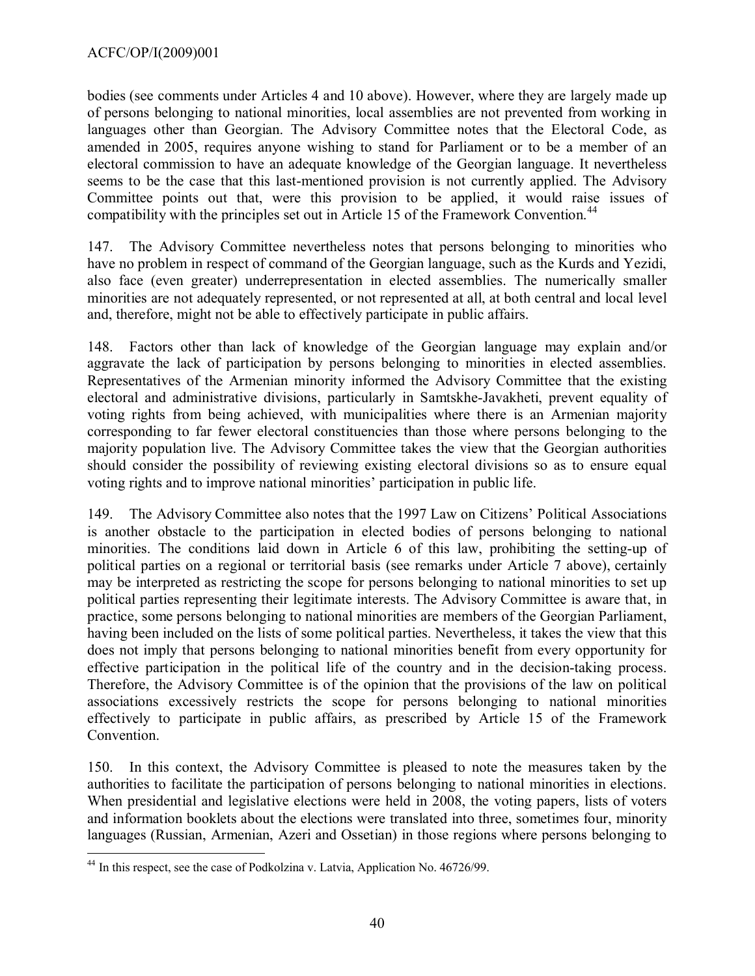bodies (see comments under Articles 4 and 10 above). However, where they are largely made up of persons belonging to national minorities, local assemblies are not prevented from working in languages other than Georgian. The Advisory Committee notes that the Electoral Code, as amended in 2005, requires anyone wishing to stand for Parliament or to be a member of an electoral commission to have an adequate knowledge of the Georgian language. It nevertheless seems to be the case that this last-mentioned provision is not currently applied. The Advisory Committee points out that, were this provision to be applied, it would raise issues of compatibility with the principles set out in Article 15 of the Framework Convention.<sup>[44](#page-39-0)</sup>

147. The Advisory Committee nevertheless notes that persons belonging to minorities who have no problem in respect of command of the Georgian language, such as the Kurds and Yezidi, also face (even greater) underrepresentation in elected assemblies. The numerically smaller minorities are not adequately represented, or not represented at all, at both central and local level and, therefore, might not be able to effectively participate in public affairs.

148. Factors other than lack of knowledge of the Georgian language may explain and/or aggravate the lack of participation by persons belonging to minorities in elected assemblies. Representatives of the Armenian minority informed the Advisory Committee that the existing electoral and administrative divisions, particularly in Samtskhe-Javakheti, prevent equality of voting rights from being achieved, with municipalities where there is an Armenian majority corresponding to far fewer electoral constituencies than those where persons belonging to the majority population live. The Advisory Committee takes the view that the Georgian authorities should consider the possibility of reviewing existing electoral divisions so as to ensure equal voting rights and to improve national minorities' participation in public life.

149. The Advisory Committee also notes that the 1997 Law on Citizens' Political Associations is another obstacle to the participation in elected bodies of persons belonging to national minorities. The conditions laid down in Article 6 of this law, prohibiting the setting-up of political parties on a regional or territorial basis (see remarks under Article 7 above), certainly may be interpreted as restricting the scope for persons belonging to national minorities to set up political parties representing their legitimate interests. The Advisory Committee is aware that, in practice, some persons belonging to national minorities are members of the Georgian Parliament, having been included on the lists of some political parties. Nevertheless, it takes the view that this does not imply that persons belonging to national minorities benefit from every opportunity for effective participation in the political life of the country and in the decision-taking process. Therefore, the Advisory Committee is of the opinion that the provisions of the law on political associations excessively restricts the scope for persons belonging to national minorities effectively to participate in public affairs, as prescribed by Article 15 of the Framework Convention.

150. In this context, the Advisory Committee is pleased to note the measures taken by the authorities to facilitate the participation of persons belonging to national minorities in elections. When presidential and legislative elections were held in 2008, the voting papers, lists of voters and information booklets about the elections were translated into three, sometimes four, minority languages (Russian, Armenian, Azeri and Ossetian) in those regions where persons belonging to

<span id="page-39-0"></span> $\overline{a}$ <sup>44</sup> In this respect, see the case of Podkolzina v. Latvia, Application No. 46726/99.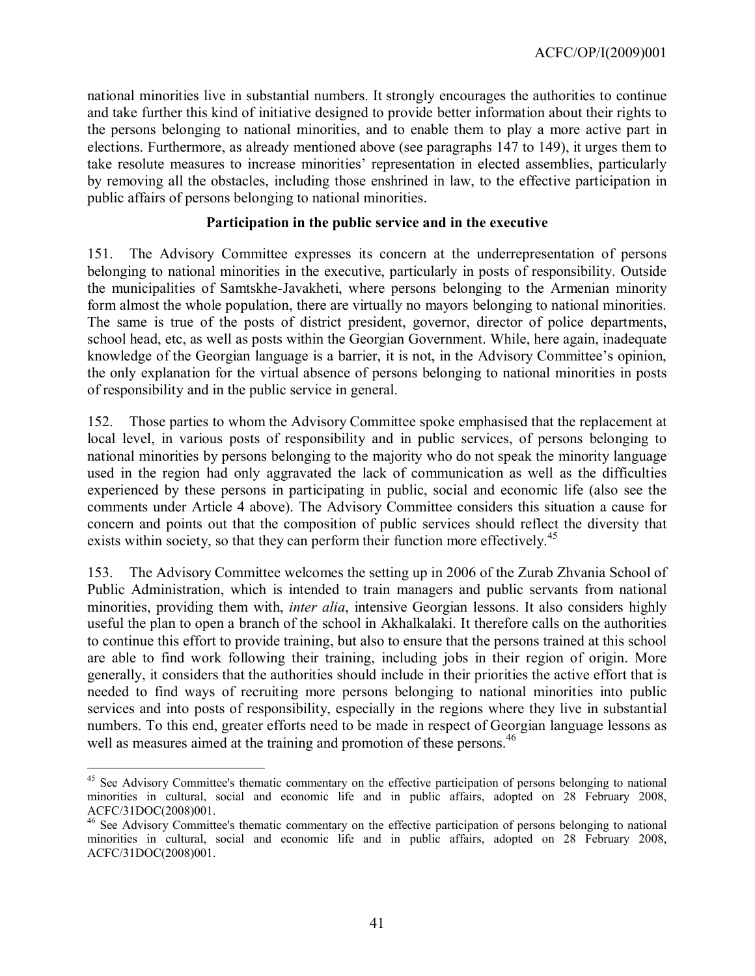national minorities live in substantial numbers. It strongly encourages the authorities to continue and take further this kind of initiative designed to provide better information about their rights to the persons belonging to national minorities, and to enable them to play a more active part in elections. Furthermore, as already mentioned above (see paragraphs 147 to 149), it urges them to take resolute measures to increase minorities' representation in elected assemblies, particularly by removing all the obstacles, including those enshrined in law, to the effective participation in public affairs of persons belonging to national minorities.

#### **Participation in the public service and in the executive**

151. The Advisory Committee expresses its concern at the underrepresentation of persons belonging to national minorities in the executive, particularly in posts of responsibility. Outside the municipalities of Samtskhe-Javakheti, where persons belonging to the Armenian minority form almost the whole population, there are virtually no mayors belonging to national minorities. The same is true of the posts of district president, governor, director of police departments, school head, etc, as well as posts within the Georgian Government. While, here again, inadequate knowledge of the Georgian language is a barrier, it is not, in the Advisory Committee's opinion, the only explanation for the virtual absence of persons belonging to national minorities in posts of responsibility and in the public service in general.

152. Those parties to whom the Advisory Committee spoke emphasised that the replacement at local level, in various posts of responsibility and in public services, of persons belonging to national minorities by persons belonging to the majority who do not speak the minority language used in the region had only aggravated the lack of communication as well as the difficulties experienced by these persons in participating in public, social and economic life (also see the comments under Article 4 above). The Advisory Committee considers this situation a cause for concern and points out that the composition of public services should reflect the diversity that exists within society, so that they can perform their function more effectively.<sup>[45](#page-40-0)</sup>

153. The Advisory Committee welcomes the setting up in 2006 of the Zurab Zhvania School of Public Administration, which is intended to train managers and public servants from national minorities, providing them with, *inter alia*, intensive Georgian lessons. It also considers highly useful the plan to open a branch of the school in Akhalkalaki. It therefore calls on the authorities to continue this effort to provide training, but also to ensure that the persons trained at this school are able to find work following their training, including jobs in their region of origin. More generally, it considers that the authorities should include in their priorities the active effort that is needed to find ways of recruiting more persons belonging to national minorities into public services and into posts of responsibility, especially in the regions where they live in substantial numbers. To this end, greater efforts need to be made in respect of Georgian language lessons as well as measures aimed at the training and promotion of these persons.<sup>[46](#page-40-1)</sup>

 $\overline{a}$ 

<span id="page-40-0"></span><sup>&</sup>lt;sup>45</sup> See Advisory Committee's thematic commentary on the effective participation of persons belonging to national minorities in cultural, social and economic life and in public affairs, adopted on 28 February 2008, ACFC/31DOC(2008)001.

<span id="page-40-1"></span><sup>46</sup> See Advisory Committee's thematic commentary on the effective participation of persons belonging to national minorities in cultural, social and economic life and in public affairs, adopted on 28 February 2008, ACFC/31DOC(2008)001.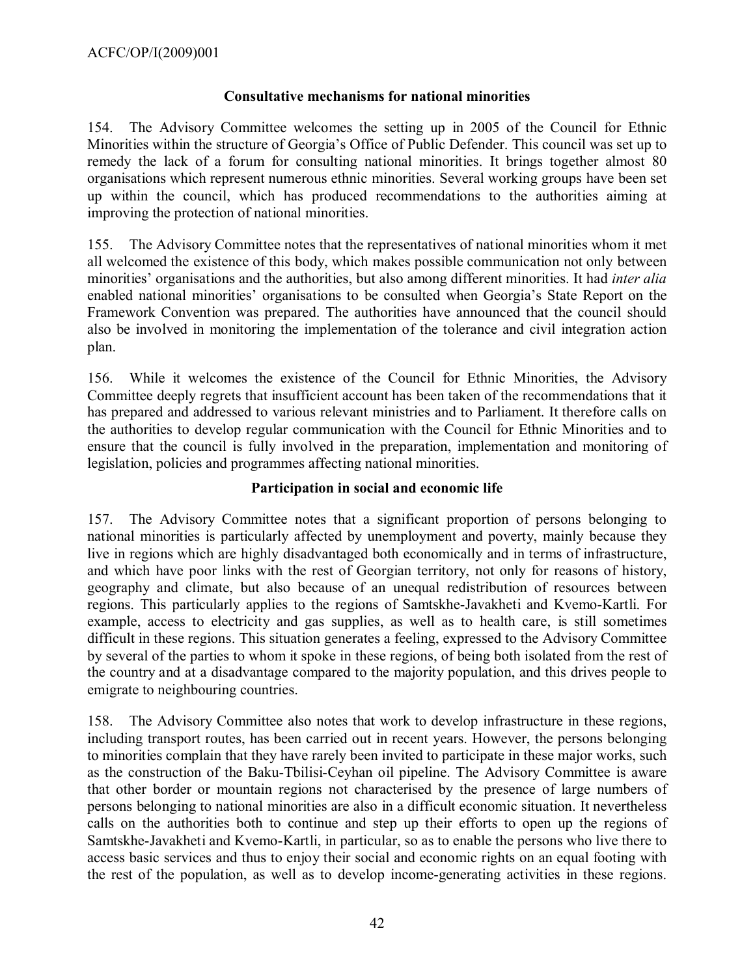#### **Consultative mechanisms for national minorities**

154. The Advisory Committee welcomes the setting up in 2005 of the Council for Ethnic Minorities within the structure of Georgia's Office of Public Defender. This council was set up to remedy the lack of a forum for consulting national minorities. It brings together almost 80 organisations which represent numerous ethnic minorities. Several working groups have been set up within the council, which has produced recommendations to the authorities aiming at improving the protection of national minorities.

155. The Advisory Committee notes that the representatives of national minorities whom it met all welcomed the existence of this body, which makes possible communication not only between minorities' organisations and the authorities, but also among different minorities. It had *inter alia* enabled national minorities' organisations to be consulted when Georgia's State Report on the Framework Convention was prepared. The authorities have announced that the council should also be involved in monitoring the implementation of the tolerance and civil integration action plan.

156. While it welcomes the existence of the Council for Ethnic Minorities, the Advisory Committee deeply regrets that insufficient account has been taken of the recommendations that it has prepared and addressed to various relevant ministries and to Parliament. It therefore calls on the authorities to develop regular communication with the Council for Ethnic Minorities and to ensure that the council is fully involved in the preparation, implementation and monitoring of legislation, policies and programmes affecting national minorities.

#### **Participation in social and economic life**

157. The Advisory Committee notes that a significant proportion of persons belonging to national minorities is particularly affected by unemployment and poverty, mainly because they live in regions which are highly disadvantaged both economically and in terms of infrastructure, and which have poor links with the rest of Georgian territory, not only for reasons of history, geography and climate, but also because of an unequal redistribution of resources between regions. This particularly applies to the regions of Samtskhe-Javakheti and Kvemo-Kartli. For example, access to electricity and gas supplies, as well as to health care, is still sometimes difficult in these regions. This situation generates a feeling, expressed to the Advisory Committee by several of the parties to whom it spoke in these regions, of being both isolated from the rest of the country and at a disadvantage compared to the majority population, and this drives people to emigrate to neighbouring countries.

158. The Advisory Committee also notes that work to develop infrastructure in these regions, including transport routes, has been carried out in recent years. However, the persons belonging to minorities complain that they have rarely been invited to participate in these major works, such as the construction of the Baku-Tbilisi-Ceyhan oil pipeline. The Advisory Committee is aware that other border or mountain regions not characterised by the presence of large numbers of persons belonging to national minorities are also in a difficult economic situation. It nevertheless calls on the authorities both to continue and step up their efforts to open up the regions of Samtskhe-Javakheti and Kvemo-Kartli, in particular, so as to enable the persons who live there to access basic services and thus to enjoy their social and economic rights on an equal footing with the rest of the population, as well as to develop income-generating activities in these regions.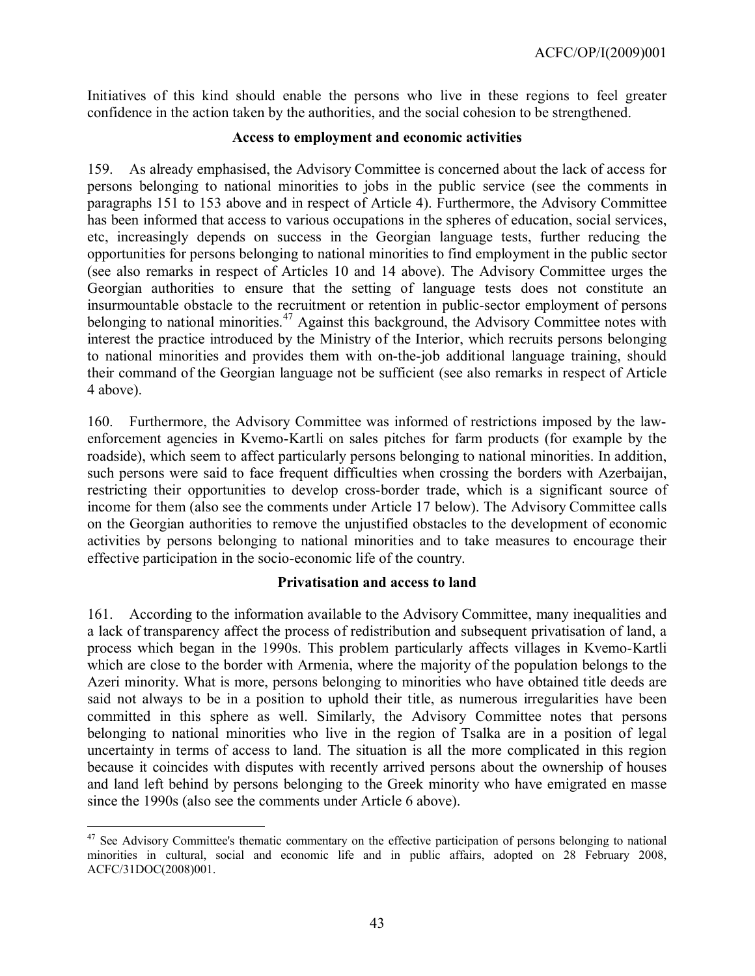Initiatives of this kind should enable the persons who live in these regions to feel greater confidence in the action taken by the authorities, and the social cohesion to be strengthened.

#### **Access to employment and economic activities**

159. As already emphasised, the Advisory Committee is concerned about the lack of access for persons belonging to national minorities to jobs in the public service (see the comments in paragraphs 151 to 153 above and in respect of Article 4). Furthermore, the Advisory Committee has been informed that access to various occupations in the spheres of education, social services, etc, increasingly depends on success in the Georgian language tests, further reducing the opportunities for persons belonging to national minorities to find employment in the public sector (see also remarks in respect of Articles 10 and 14 above). The Advisory Committee urges the Georgian authorities to ensure that the setting of language tests does not constitute an insurmountable obstacle to the recruitment or retention in public-sector employment of persons belonging to national minorities.<sup>[47](#page-42-0)</sup> Against this background, the Advisory Committee notes with interest the practice introduced by the Ministry of the Interior, which recruits persons belonging to national minorities and provides them with on-the-job additional language training, should their command of the Georgian language not be sufficient (see also remarks in respect of Article 4 above).

160. Furthermore, the Advisory Committee was informed of restrictions imposed by the lawenforcement agencies in Kvemo-Kartli on sales pitches for farm products (for example by the roadside), which seem to affect particularly persons belonging to national minorities. In addition, such persons were said to face frequent difficulties when crossing the borders with Azerbaijan, restricting their opportunities to develop cross-border trade, which is a significant source of income for them (also see the comments under Article 17 below). The Advisory Committee calls on the Georgian authorities to remove the unjustified obstacles to the development of economic activities by persons belonging to national minorities and to take measures to encourage their effective participation in the socio-economic life of the country.

## **Privatisation and access to land**

161. According to the information available to the Advisory Committee, many inequalities and a lack of transparency affect the process of redistribution and subsequent privatisation of land, a process which began in the 1990s. This problem particularly affects villages in Kvemo-Kartli which are close to the border with Armenia, where the majority of the population belongs to the Azeri minority. What is more, persons belonging to minorities who have obtained title deeds are said not always to be in a position to uphold their title, as numerous irregularities have been committed in this sphere as well. Similarly, the Advisory Committee notes that persons belonging to national minorities who live in the region of Tsalka are in a position of legal uncertainty in terms of access to land. The situation is all the more complicated in this region because it coincides with disputes with recently arrived persons about the ownership of houses and land left behind by persons belonging to the Greek minority who have emigrated en masse since the 1990s (also see the comments under Article 6 above).

<span id="page-42-0"></span> $\overline{a}$ <sup>47</sup> See Advisory Committee's thematic commentary on the effective participation of persons belonging to national minorities in cultural, social and economic life and in public affairs, adopted on 28 February 2008, ACFC/31DOC(2008)001.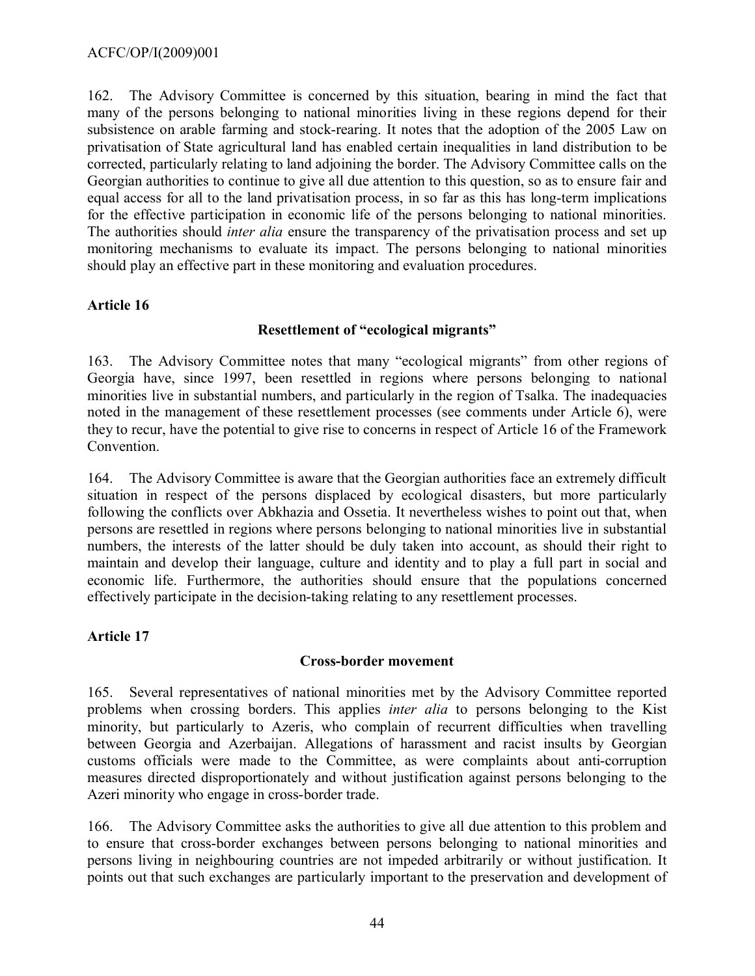162. The Advisory Committee is concerned by this situation, bearing in mind the fact that many of the persons belonging to national minorities living in these regions depend for their subsistence on arable farming and stock-rearing. It notes that the adoption of the 2005 Law on privatisation of State agricultural land has enabled certain inequalities in land distribution to be corrected, particularly relating to land adjoining the border. The Advisory Committee calls on the Georgian authorities to continue to give all due attention to this question, so as to ensure fair and equal access for all to the land privatisation process, in so far as this has long-term implications for the effective participation in economic life of the persons belonging to national minorities. The authorities should *inter alia* ensure the transparency of the privatisation process and set up monitoring mechanisms to evaluate its impact. The persons belonging to national minorities should play an effective part in these monitoring and evaluation procedures.

## **Article 16**

## **Resettlement of "ecological migrants"**

163. The Advisory Committee notes that many "ecological migrants" from other regions of Georgia have, since 1997, been resettled in regions where persons belonging to national minorities live in substantial numbers, and particularly in the region of Tsalka. The inadequacies noted in the management of these resettlement processes (see comments under Article 6), were they to recur, have the potential to give rise to concerns in respect of Article 16 of the Framework Convention.

164. The Advisory Committee is aware that the Georgian authorities face an extremely difficult situation in respect of the persons displaced by ecological disasters, but more particularly following the conflicts over Abkhazia and Ossetia. It nevertheless wishes to point out that, when persons are resettled in regions where persons belonging to national minorities live in substantial numbers, the interests of the latter should be duly taken into account, as should their right to maintain and develop their language, culture and identity and to play a full part in social and economic life. Furthermore, the authorities should ensure that the populations concerned effectively participate in the decision-taking relating to any resettlement processes.

## **Article 17**

## **Cross-border movement**

165. Several representatives of national minorities met by the Advisory Committee reported problems when crossing borders. This applies *inter alia* to persons belonging to the Kist minority, but particularly to Azeris, who complain of recurrent difficulties when travelling between Georgia and Azerbaijan. Allegations of harassment and racist insults by Georgian customs officials were made to the Committee, as were complaints about anti-corruption measures directed disproportionately and without justification against persons belonging to the Azeri minority who engage in cross-border trade.

166. The Advisory Committee asks the authorities to give all due attention to this problem and to ensure that cross-border exchanges between persons belonging to national minorities and persons living in neighbouring countries are not impeded arbitrarily or without justification. It points out that such exchanges are particularly important to the preservation and development of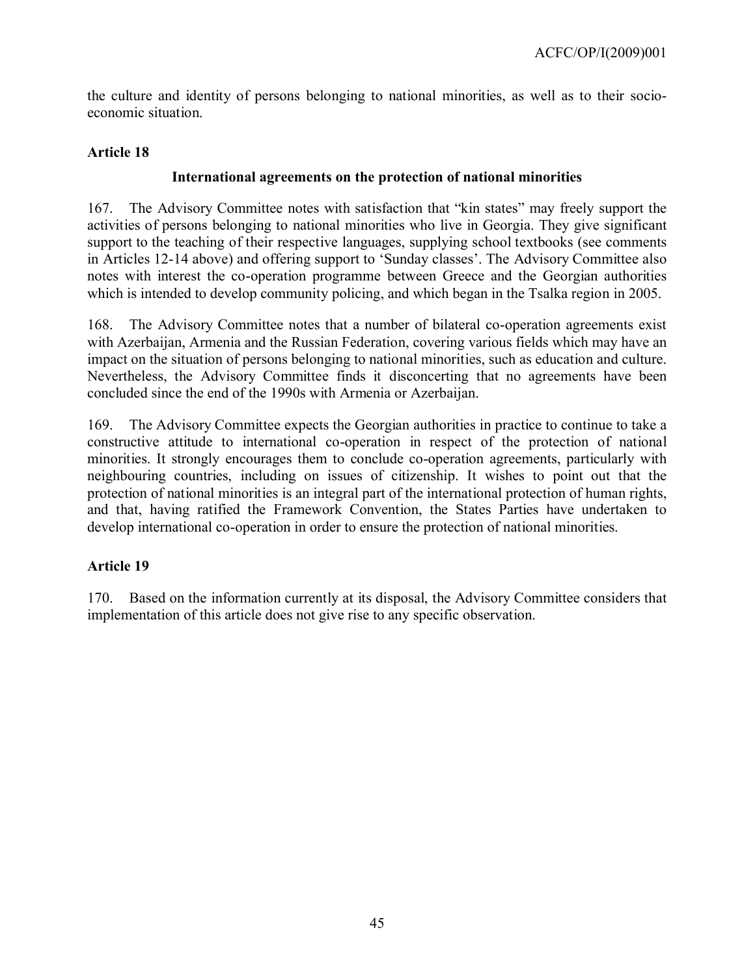the culture and identity of persons belonging to national minorities, as well as to their socioeconomic situation.

## **Article 18**

## **International agreements on the protection of national minorities**

167. The Advisory Committee notes with satisfaction that "kin states" may freely support the activities of persons belonging to national minorities who live in Georgia. They give significant support to the teaching of their respective languages, supplying school textbooks (see comments in Articles 12-14 above) and offering support to 'Sunday classes'. The Advisory Committee also notes with interest the co-operation programme between Greece and the Georgian authorities which is intended to develop community policing, and which began in the Tsalka region in 2005.

168. The Advisory Committee notes that a number of bilateral co-operation agreements exist with Azerbaijan, Armenia and the Russian Federation, covering various fields which may have an impact on the situation of persons belonging to national minorities, such as education and culture. Nevertheless, the Advisory Committee finds it disconcerting that no agreements have been concluded since the end of the 1990s with Armenia or Azerbaijan.

169. The Advisory Committee expects the Georgian authorities in practice to continue to take a constructive attitude to international co-operation in respect of the protection of national minorities. It strongly encourages them to conclude co-operation agreements, particularly with neighbouring countries, including on issues of citizenship. It wishes to point out that the protection of national minorities is an integral part of the international protection of human rights, and that, having ratified the Framework Convention, the States Parties have undertaken to develop international co-operation in order to ensure the protection of national minorities.

## **Article 19**

170. Based on the information currently at its disposal, the Advisory Committee considers that implementation of this article does not give rise to any specific observation.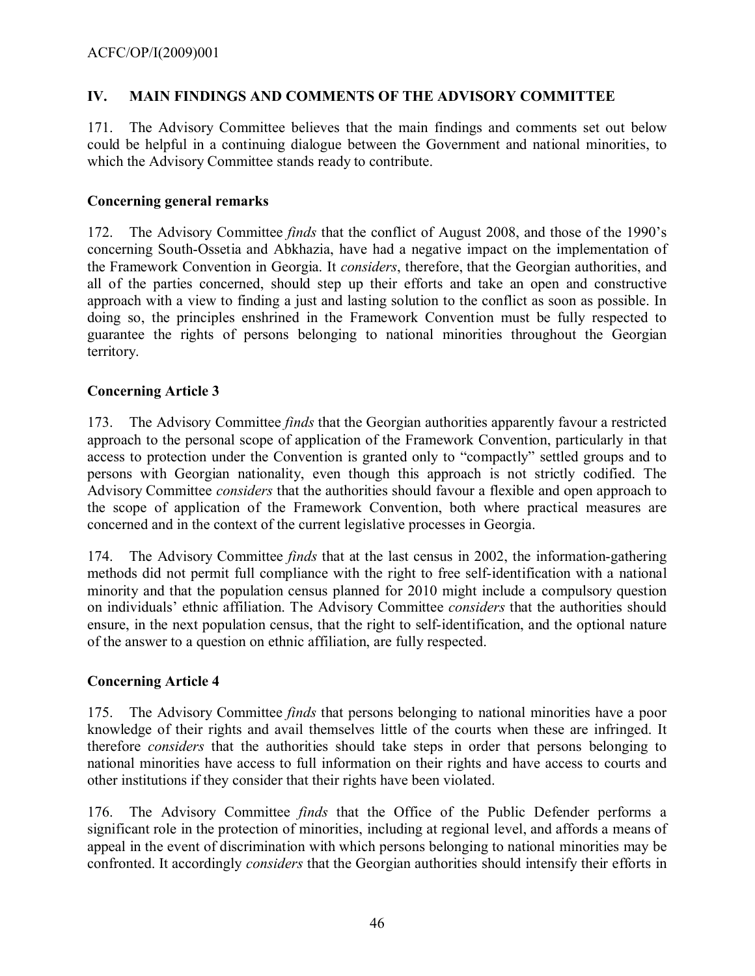## <span id="page-45-0"></span>**IV. MAIN FINDINGS AND COMMENTS OF THE ADVISORY COMMITTEE**

171. The Advisory Committee believes that the main findings and comments set out below could be helpful in a continuing dialogue between the Government and national minorities, to which the Advisory Committee stands ready to contribute.

## **Concerning general remarks**

172. The Advisory Committee *finds* that the conflict of August 2008, and those of the 1990's concerning South-Ossetia and Abkhazia, have had a negative impact on the implementation of the Framework Convention in Georgia. It *considers*, therefore, that the Georgian authorities, and all of the parties concerned, should step up their efforts and take an open and constructive approach with a view to finding a just and lasting solution to the conflict as soon as possible. In doing so, the principles enshrined in the Framework Convention must be fully respected to guarantee the rights of persons belonging to national minorities throughout the Georgian territory.

## **Concerning Article 3**

173. The Advisory Committee *finds* that the Georgian authorities apparently favour a restricted approach to the personal scope of application of the Framework Convention, particularly in that access to protection under the Convention is granted only to "compactly" settled groups and to persons with Georgian nationality, even though this approach is not strictly codified. The Advisory Committee *considers* that the authorities should favour a flexible and open approach to the scope of application of the Framework Convention, both where practical measures are concerned and in the context of the current legislative processes in Georgia.

174. The Advisory Committee *finds* that at the last census in 2002, the information-gathering methods did not permit full compliance with the right to free self-identification with a national minority and that the population census planned for 2010 might include a compulsory question on individuals' ethnic affiliation. The Advisory Committee *considers* that the authorities should ensure, in the next population census, that the right to self-identification, and the optional nature of the answer to a question on ethnic affiliation, are fully respected.

## **Concerning Article 4**

175. The Advisory Committee *finds* that persons belonging to national minorities have a poor knowledge of their rights and avail themselves little of the courts when these are infringed. It therefore *considers* that the authorities should take steps in order that persons belonging to national minorities have access to full information on their rights and have access to courts and other institutions if they consider that their rights have been violated.

176. The Advisory Committee *finds* that the Office of the Public Defender performs a significant role in the protection of minorities, including at regional level, and affords a means of appeal in the event of discrimination with which persons belonging to national minorities may be confronted. It accordingly *considers* that the Georgian authorities should intensify their efforts in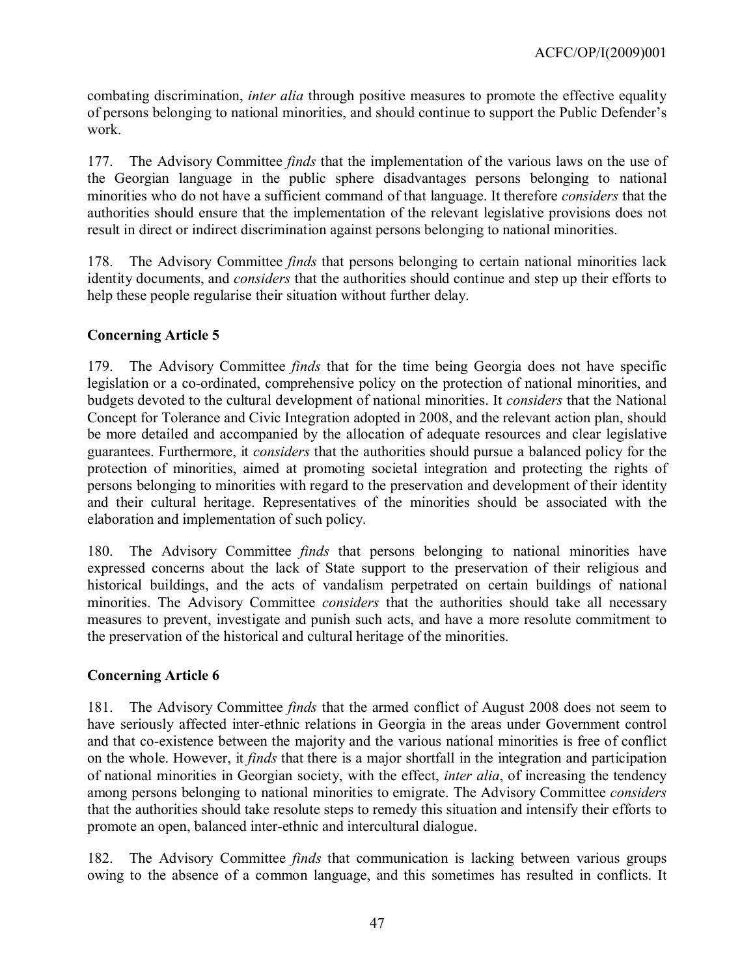combating discrimination, *inter alia* through positive measures to promote the effective equality of persons belonging to national minorities, and should continue to support the Public Defender's work.

177. The Advisory Committee *finds* that the implementation of the various laws on the use of the Georgian language in the public sphere disadvantages persons belonging to national minorities who do not have a sufficient command of that language. It therefore *considers* that the authorities should ensure that the implementation of the relevant legislative provisions does not result in direct or indirect discrimination against persons belonging to national minorities.

178. The Advisory Committee *finds* that persons belonging to certain national minorities lack identity documents, and *considers* that the authorities should continue and step up their efforts to help these people regularise their situation without further delay.

## **Concerning Article 5**

179. The Advisory Committee *finds* that for the time being Georgia does not have specific legislation or a co-ordinated, comprehensive policy on the protection of national minorities, and budgets devoted to the cultural development of national minorities. It *considers* that the National Concept for Tolerance and Civic Integration adopted in 2008, and the relevant action plan, should be more detailed and accompanied by the allocation of adequate resources and clear legislative guarantees. Furthermore, it *considers* that the authorities should pursue a balanced policy for the protection of minorities, aimed at promoting societal integration and protecting the rights of persons belonging to minorities with regard to the preservation and development of their identity and their cultural heritage. Representatives of the minorities should be associated with the elaboration and implementation of such policy.

180. The Advisory Committee *finds* that persons belonging to national minorities have expressed concerns about the lack of State support to the preservation of their religious and historical buildings, and the acts of vandalism perpetrated on certain buildings of national minorities. The Advisory Committee *considers* that the authorities should take all necessary measures to prevent, investigate and punish such acts, and have a more resolute commitment to the preservation of the historical and cultural heritage of the minorities.

## **Concerning Article 6**

181. The Advisory Committee *finds* that the armed conflict of August 2008 does not seem to have seriously affected inter-ethnic relations in Georgia in the areas under Government control and that co-existence between the majority and the various national minorities is free of conflict on the whole. However, it *finds* that there is a major shortfall in the integration and participation of national minorities in Georgian society, with the effect, *inter alia*, of increasing the tendency among persons belonging to national minorities to emigrate. The Advisory Committee *considers* that the authorities should take resolute steps to remedy this situation and intensify their efforts to promote an open, balanced inter-ethnic and intercultural dialogue.

182. The Advisory Committee *finds* that communication is lacking between various groups owing to the absence of a common language, and this sometimes has resulted in conflicts. It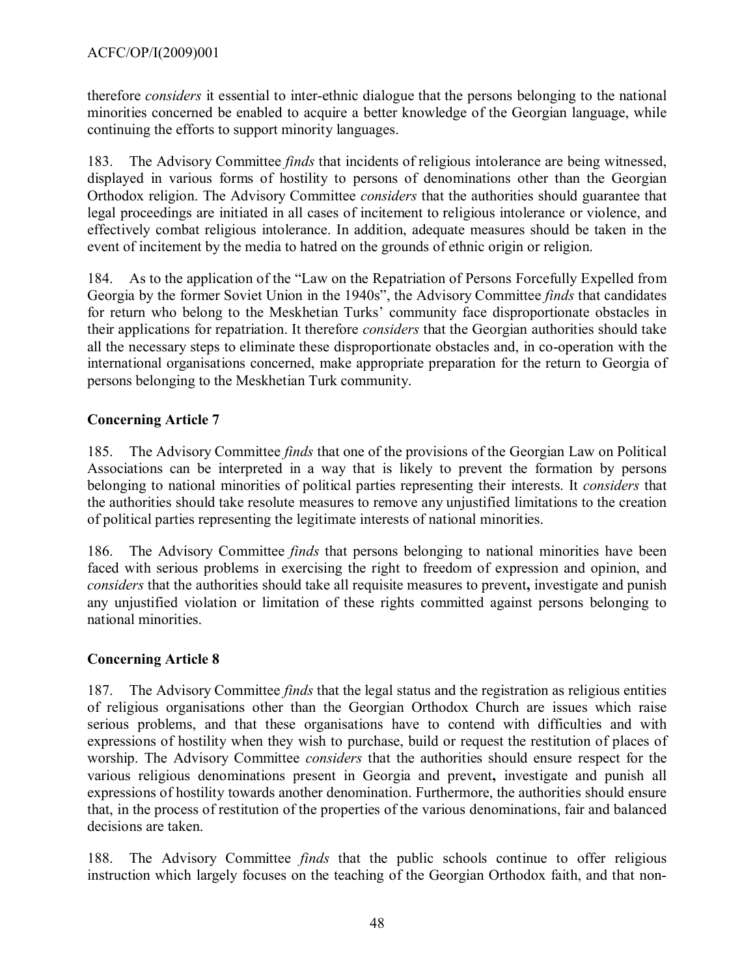therefore *considers* it essential to inter-ethnic dialogue that the persons belonging to the national minorities concerned be enabled to acquire a better knowledge of the Georgian language, while continuing the efforts to support minority languages.

183. The Advisory Committee *finds* that incidents of religious intolerance are being witnessed, displayed in various forms of hostility to persons of denominations other than the Georgian Orthodox religion. The Advisory Committee *considers* that the authorities should guarantee that legal proceedings are initiated in all cases of incitement to religious intolerance or violence, and effectively combat religious intolerance. In addition, adequate measures should be taken in the event of incitement by the media to hatred on the grounds of ethnic origin or religion.

184. As to the application of the "Law on the Repatriation of Persons Forcefully Expelled from Georgia by the former Soviet Union in the 1940s", the Advisory Committee *finds* that candidates for return who belong to the Meskhetian Turks' community face disproportionate obstacles in their applications for repatriation. It therefore *considers* that the Georgian authorities should take all the necessary steps to eliminate these disproportionate obstacles and, in co-operation with the international organisations concerned, make appropriate preparation for the return to Georgia of persons belonging to the Meskhetian Turk community.

## **Concerning Article 7**

185. The Advisory Committee *finds* that one of the provisions of the Georgian Law on Political Associations can be interpreted in a way that is likely to prevent the formation by persons belonging to national minorities of political parties representing their interests. It *considers* that the authorities should take resolute measures to remove any unjustified limitations to the creation of political parties representing the legitimate interests of national minorities.

186. The Advisory Committee *finds* that persons belonging to national minorities have been faced with serious problems in exercising the right to freedom of expression and opinion, and *considers* that the authorities should take all requisite measures to prevent**,** investigate and punish any unjustified violation or limitation of these rights committed against persons belonging to national minorities.

## **Concerning Article 8**

187. The Advisory Committee *finds* that the legal status and the registration as religious entities of religious organisations other than the Georgian Orthodox Church are issues which raise serious problems, and that these organisations have to contend with difficulties and with expressions of hostility when they wish to purchase, build or request the restitution of places of worship. The Advisory Committee *considers* that the authorities should ensure respect for the various religious denominations present in Georgia and prevent**,** investigate and punish all expressions of hostility towards another denomination. Furthermore, the authorities should ensure that, in the process of restitution of the properties of the various denominations, fair and balanced decisions are taken.

188. The Advisory Committee *finds* that the public schools continue to offer religious instruction which largely focuses on the teaching of the Georgian Orthodox faith, and that non-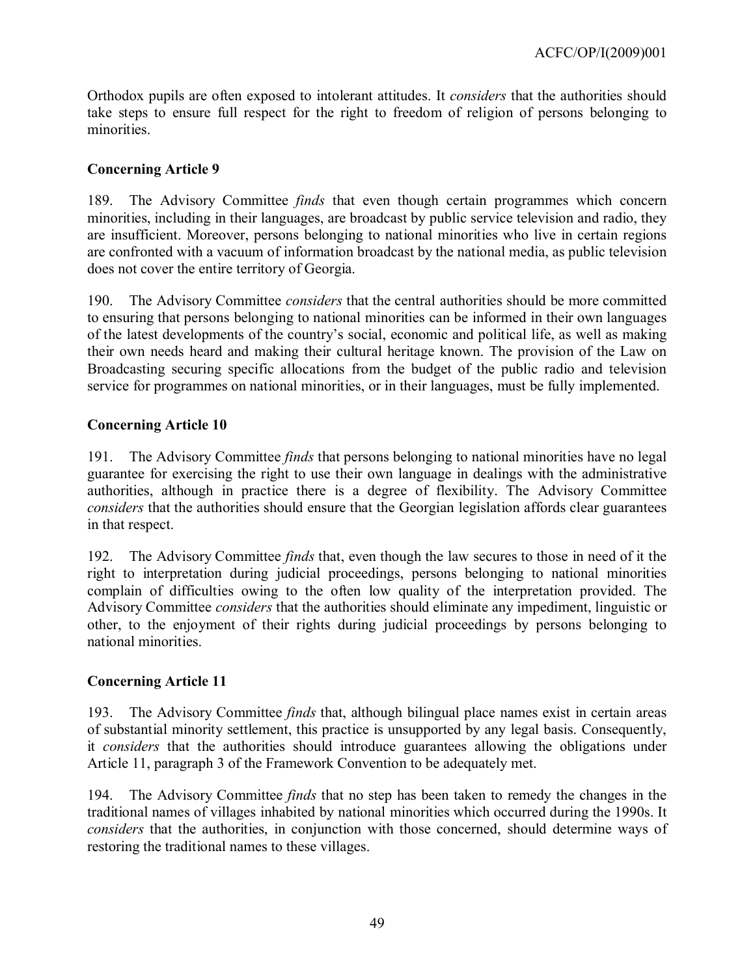Orthodox pupils are often exposed to intolerant attitudes. It *considers* that the authorities should take steps to ensure full respect for the right to freedom of religion of persons belonging to minorities.

## **Concerning Article 9**

189. The Advisory Committee *finds* that even though certain programmes which concern minorities, including in their languages, are broadcast by public service television and radio, they are insufficient. Moreover, persons belonging to national minorities who live in certain regions are confronted with a vacuum of information broadcast by the national media, as public television does not cover the entire territory of Georgia.

190. The Advisory Committee *considers* that the central authorities should be more committed to ensuring that persons belonging to national minorities can be informed in their own languages of the latest developments of the country's social, economic and political life, as well as making their own needs heard and making their cultural heritage known. The provision of the Law on Broadcasting securing specific allocations from the budget of the public radio and television service for programmes on national minorities, or in their languages, must be fully implemented.

## **Concerning Article 10**

191. The Advisory Committee *finds* that persons belonging to national minorities have no legal guarantee for exercising the right to use their own language in dealings with the administrative authorities, although in practice there is a degree of flexibility. The Advisory Committee *considers* that the authorities should ensure that the Georgian legislation affords clear guarantees in that respect.

192. The Advisory Committee *finds* that, even though the law secures to those in need of it the right to interpretation during judicial proceedings, persons belonging to national minorities complain of difficulties owing to the often low quality of the interpretation provided. The Advisory Committee *considers* that the authorities should eliminate any impediment, linguistic or other, to the enjoyment of their rights during judicial proceedings by persons belonging to national minorities.

## **Concerning Article 11**

193. The Advisory Committee *finds* that, although bilingual place names exist in certain areas of substantial minority settlement, this practice is unsupported by any legal basis. Consequently, it *considers* that the authorities should introduce guarantees allowing the obligations under Article 11, paragraph 3 of the Framework Convention to be adequately met.

194. The Advisory Committee *finds* that no step has been taken to remedy the changes in the traditional names of villages inhabited by national minorities which occurred during the 1990s. It *considers* that the authorities, in conjunction with those concerned, should determine ways of restoring the traditional names to these villages.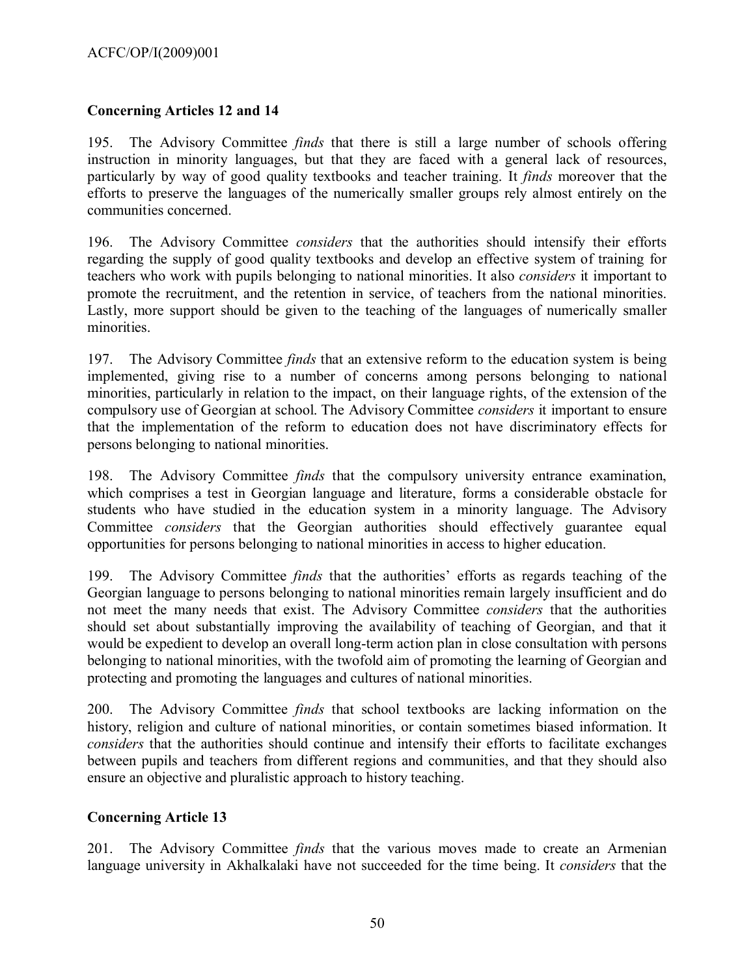## **Concerning Articles 12 and 14**

195. The Advisory Committee *finds* that there is still a large number of schools offering instruction in minority languages, but that they are faced with a general lack of resources, particularly by way of good quality textbooks and teacher training. It *finds* moreover that the efforts to preserve the languages of the numerically smaller groups rely almost entirely on the communities concerned.

196. The Advisory Committee *considers* that the authorities should intensify their efforts regarding the supply of good quality textbooks and develop an effective system of training for teachers who work with pupils belonging to national minorities. It also *considers* it important to promote the recruitment, and the retention in service, of teachers from the national minorities. Lastly, more support should be given to the teaching of the languages of numerically smaller minorities.

197. The Advisory Committee *finds* that an extensive reform to the education system is being implemented, giving rise to a number of concerns among persons belonging to national minorities, particularly in relation to the impact, on their language rights, of the extension of the compulsory use of Georgian at school. The Advisory Committee *considers* it important to ensure that the implementation of the reform to education does not have discriminatory effects for persons belonging to national minorities.

198. The Advisory Committee *finds* that the compulsory university entrance examination, which comprises a test in Georgian language and literature, forms a considerable obstacle for students who have studied in the education system in a minority language. The Advisory Committee *considers* that the Georgian authorities should effectively guarantee equal opportunities for persons belonging to national minorities in access to higher education.

199. The Advisory Committee *finds* that the authorities' efforts as regards teaching of the Georgian language to persons belonging to national minorities remain largely insufficient and do not meet the many needs that exist. The Advisory Committee *considers* that the authorities should set about substantially improving the availability of teaching of Georgian, and that it would be expedient to develop an overall long-term action plan in close consultation with persons belonging to national minorities, with the twofold aim of promoting the learning of Georgian and protecting and promoting the languages and cultures of national minorities.

200. The Advisory Committee *finds* that school textbooks are lacking information on the history, religion and culture of national minorities, or contain sometimes biased information. It *considers* that the authorities should continue and intensify their efforts to facilitate exchanges between pupils and teachers from different regions and communities, and that they should also ensure an objective and pluralistic approach to history teaching.

## **Concerning Article 13**

201. The Advisory Committee *finds* that the various moves made to create an Armenian language university in Akhalkalaki have not succeeded for the time being. It *considers* that the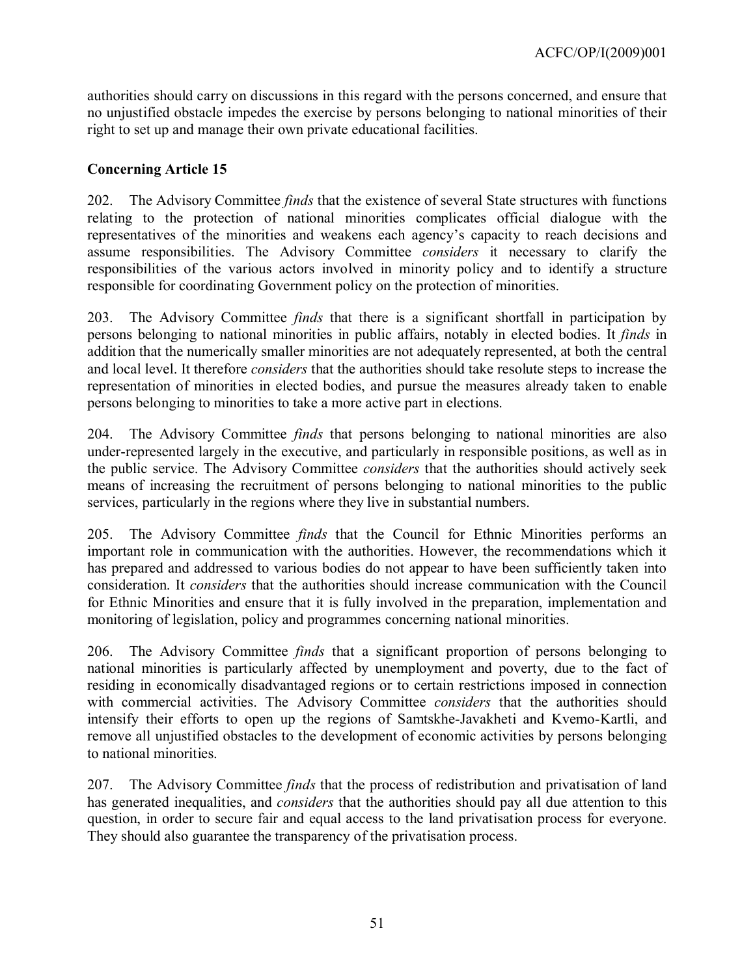authorities should carry on discussions in this regard with the persons concerned, and ensure that no unjustified obstacle impedes the exercise by persons belonging to national minorities of their right to set up and manage their own private educational facilities.

## **Concerning Article 15**

202. The Advisory Committee *finds* that the existence of several State structures with functions relating to the protection of national minorities complicates official dialogue with the representatives of the minorities and weakens each agency's capacity to reach decisions and assume responsibilities. The Advisory Committee *considers* it necessary to clarify the responsibilities of the various actors involved in minority policy and to identify a structure responsible for coordinating Government policy on the protection of minorities.

203. The Advisory Committee *finds* that there is a significant shortfall in participation by persons belonging to national minorities in public affairs, notably in elected bodies. It *finds* in addition that the numerically smaller minorities are not adequately represented, at both the central and local level. It therefore *considers* that the authorities should take resolute steps to increase the representation of minorities in elected bodies, and pursue the measures already taken to enable persons belonging to minorities to take a more active part in elections.

204. The Advisory Committee *finds* that persons belonging to national minorities are also under-represented largely in the executive, and particularly in responsible positions, as well as in the public service. The Advisory Committee *considers* that the authorities should actively seek means of increasing the recruitment of persons belonging to national minorities to the public services, particularly in the regions where they live in substantial numbers.

205. The Advisory Committee *finds* that the Council for Ethnic Minorities performs an important role in communication with the authorities. However, the recommendations which it has prepared and addressed to various bodies do not appear to have been sufficiently taken into consideration. It *considers* that the authorities should increase communication with the Council for Ethnic Minorities and ensure that it is fully involved in the preparation, implementation and monitoring of legislation, policy and programmes concerning national minorities.

206. The Advisory Committee *finds* that a significant proportion of persons belonging to national minorities is particularly affected by unemployment and poverty, due to the fact of residing in economically disadvantaged regions or to certain restrictions imposed in connection with commercial activities. The Advisory Committee *considers* that the authorities should intensify their efforts to open up the regions of Samtskhe-Javakheti and Kvemo-Kartli, and remove all unjustified obstacles to the development of economic activities by persons belonging to national minorities.

207. The Advisory Committee *finds* that the process of redistribution and privatisation of land has generated inequalities, and *considers* that the authorities should pay all due attention to this question, in order to secure fair and equal access to the land privatisation process for everyone. They should also guarantee the transparency of the privatisation process.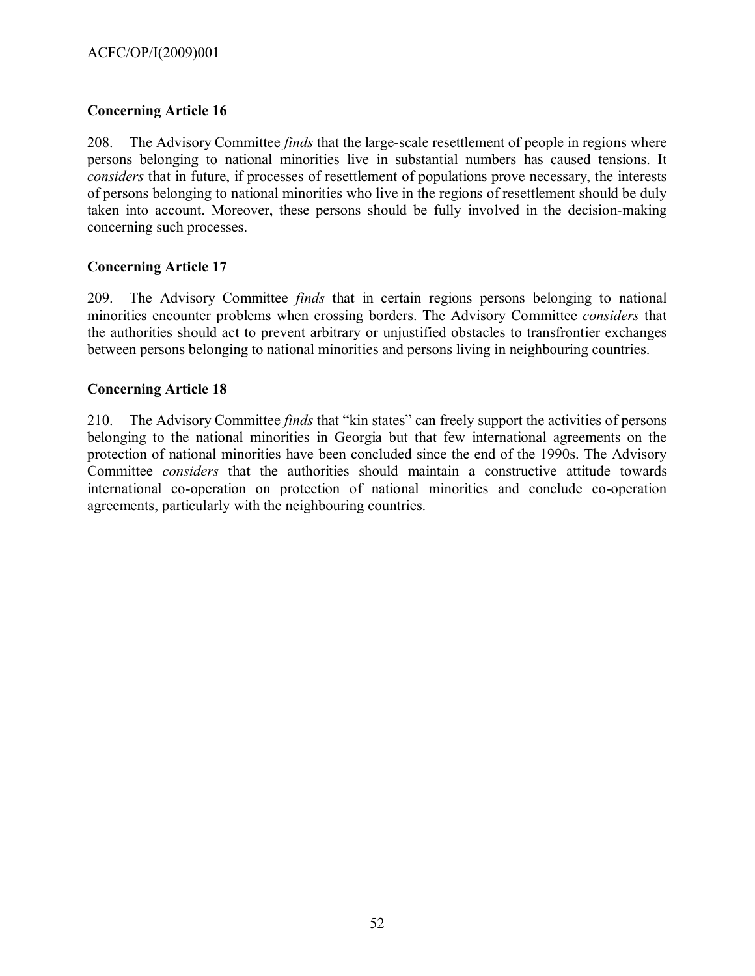## **Concerning Article 16**

208. The Advisory Committee *finds* that the large-scale resettlement of people in regions where persons belonging to national minorities live in substantial numbers has caused tensions. It *considers* that in future, if processes of resettlement of populations prove necessary, the interests of persons belonging to national minorities who live in the regions of resettlement should be duly taken into account. Moreover, these persons should be fully involved in the decision-making concerning such processes.

#### **Concerning Article 17**

209. The Advisory Committee *finds* that in certain regions persons belonging to national minorities encounter problems when crossing borders. The Advisory Committee *considers* that the authorities should act to prevent arbitrary or unjustified obstacles to transfrontier exchanges between persons belonging to national minorities and persons living in neighbouring countries.

#### **Concerning Article 18**

210. The Advisory Committee *finds* that "kin states" can freely support the activities of persons belonging to the national minorities in Georgia but that few international agreements on the protection of national minorities have been concluded since the end of the 1990s. The Advisory Committee *considers* that the authorities should maintain a constructive attitude towards international co-operation on protection of national minorities and conclude co-operation agreements, particularly with the neighbouring countries.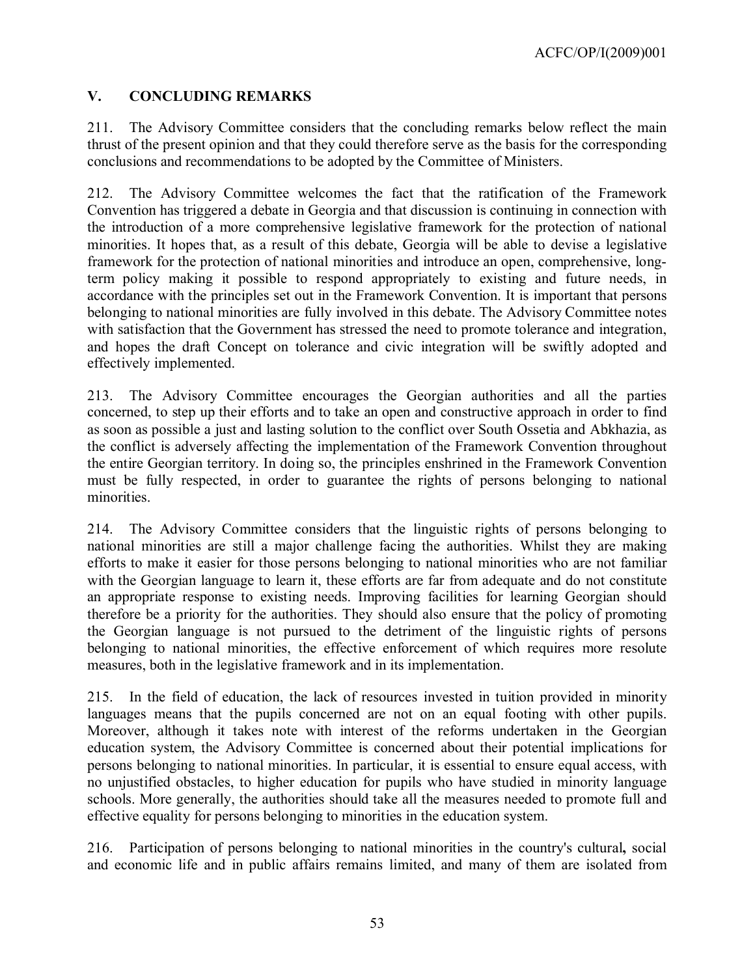ACFC/OP/I(2009)001

## <span id="page-52-0"></span>**V. CONCLUDING REMARKS**

211. The Advisory Committee considers that the concluding remarks below reflect the main thrust of the present opinion and that they could therefore serve as the basis for the corresponding conclusions and recommendations to be adopted by the Committee of Ministers.

212. The Advisory Committee welcomes the fact that the ratification of the Framework Convention has triggered a debate in Georgia and that discussion is continuing in connection with the introduction of a more comprehensive legislative framework for the protection of national minorities. It hopes that, as a result of this debate, Georgia will be able to devise a legislative framework for the protection of national minorities and introduce an open, comprehensive, longterm policy making it possible to respond appropriately to existing and future needs, in accordance with the principles set out in the Framework Convention. It is important that persons belonging to national minorities are fully involved in this debate. The Advisory Committee notes with satisfaction that the Government has stressed the need to promote tolerance and integration, and hopes the draft Concept on tolerance and civic integration will be swiftly adopted and effectively implemented.

213. The Advisory Committee encourages the Georgian authorities and all the parties concerned, to step up their efforts and to take an open and constructive approach in order to find as soon as possible a just and lasting solution to the conflict over South Ossetia and Abkhazia, as the conflict is adversely affecting the implementation of the Framework Convention throughout the entire Georgian territory. In doing so, the principles enshrined in the Framework Convention must be fully respected, in order to guarantee the rights of persons belonging to national minorities.

214. The Advisory Committee considers that the linguistic rights of persons belonging to national minorities are still a major challenge facing the authorities. Whilst they are making efforts to make it easier for those persons belonging to national minorities who are not familiar with the Georgian language to learn it, these efforts are far from adequate and do not constitute an appropriate response to existing needs. Improving facilities for learning Georgian should therefore be a priority for the authorities. They should also ensure that the policy of promoting the Georgian language is not pursued to the detriment of the linguistic rights of persons belonging to national minorities, the effective enforcement of which requires more resolute measures, both in the legislative framework and in its implementation.

215. In the field of education, the lack of resources invested in tuition provided in minority languages means that the pupils concerned are not on an equal footing with other pupils. Moreover, although it takes note with interest of the reforms undertaken in the Georgian education system, the Advisory Committee is concerned about their potential implications for persons belonging to national minorities. In particular, it is essential to ensure equal access, with no unjustified obstacles, to higher education for pupils who have studied in minority language schools. More generally, the authorities should take all the measures needed to promote full and effective equality for persons belonging to minorities in the education system.

216. Participation of persons belonging to national minorities in the country's cultural**,** social and economic life and in public affairs remains limited, and many of them are isolated from